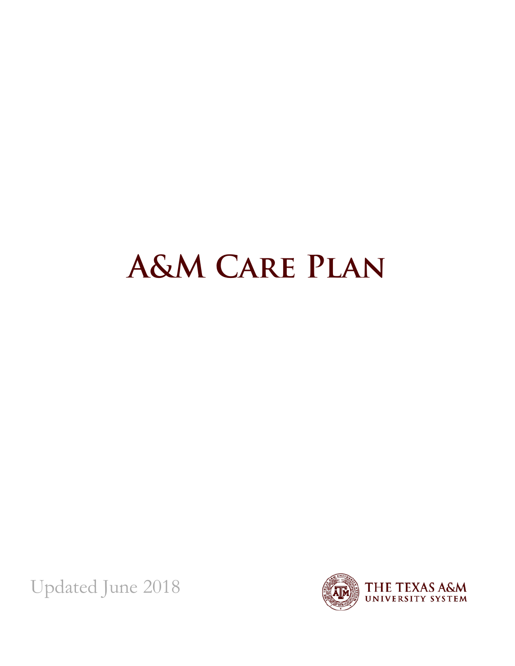# **A&M Care Plan**

Updated June 2018

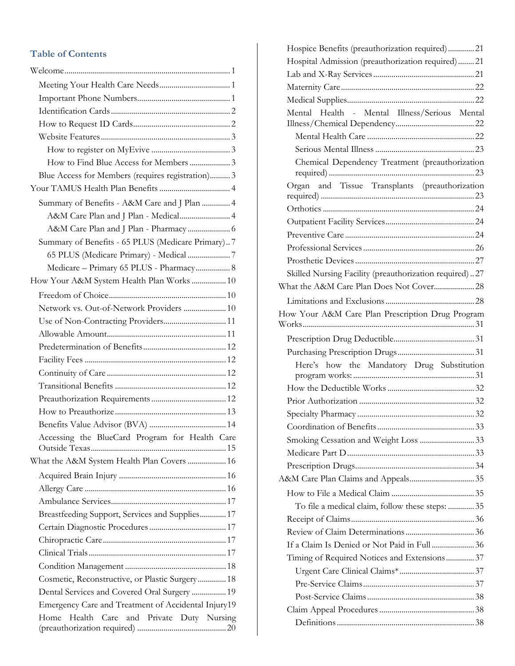#### **Table of Contents**

| How to Find Blue Access for Members  3              |
|-----------------------------------------------------|
| Blue Access for Members (requires registration) 3   |
|                                                     |
| Summary of Benefits - A&M Care and J Plan  4        |
| A&M Care Plan and J Plan - Medical 4                |
|                                                     |
| Summary of Benefits - 65 PLUS (Medicare Primary)7   |
| 65 PLUS (Medicare Primary) - Medical  7             |
| Medicare - Primary 65 PLUS - Pharmacy 8             |
| How Your A&M System Health Plan Works  10           |
|                                                     |
| Network vs. Out-of-Network Providers  10            |
| Use of Non-Contracting Providers 11                 |
|                                                     |
|                                                     |
|                                                     |
|                                                     |
|                                                     |
|                                                     |
|                                                     |
|                                                     |
| Accessing the BlueCard Program for Health Care      |
| What the A&M System Health Plan Covers  16          |
|                                                     |
|                                                     |
|                                                     |
| Breastfeeding Support, Services and Supplies 17     |
|                                                     |
|                                                     |
|                                                     |
|                                                     |
| Cosmetic, Reconstructive, or Plastic Surgery 18     |
| Dental Services and Covered Oral Surgery  19        |
| Emergency Care and Treatment of Accidental Injury19 |
| Health Care<br>and Private Duty Nursing<br>Home     |

| Hospice Benefits (preauthorization required)21         |  |
|--------------------------------------------------------|--|
| Hospital Admission (preauthorization required)21       |  |
|                                                        |  |
|                                                        |  |
|                                                        |  |
| Mental Health - Mental Illness/Serious Mental          |  |
|                                                        |  |
|                                                        |  |
|                                                        |  |
| Chemical Dependency Treatment (preauthorization        |  |
| Organ and Tissue Transplants (preauthorization         |  |
|                                                        |  |
|                                                        |  |
|                                                        |  |
|                                                        |  |
|                                                        |  |
|                                                        |  |
| Skilled Nursing Facility (preauthorization required)27 |  |
|                                                        |  |
|                                                        |  |
| How Your A&M Care Plan Prescription Drug Program       |  |
|                                                        |  |
|                                                        |  |
|                                                        |  |
| Here's how the Mandatory Drug Substitution             |  |
|                                                        |  |
|                                                        |  |
|                                                        |  |
|                                                        |  |
|                                                        |  |
| Smoking Cessation and Weight Loss 33                   |  |
|                                                        |  |
|                                                        |  |
|                                                        |  |
|                                                        |  |
| To file a medical claim, follow these steps:  35       |  |
|                                                        |  |
|                                                        |  |
| If a Claim Is Denied or Not Paid in Full  36           |  |
| Timing of Required Notices and Extensions 37           |  |
|                                                        |  |
|                                                        |  |
|                                                        |  |
|                                                        |  |
|                                                        |  |
|                                                        |  |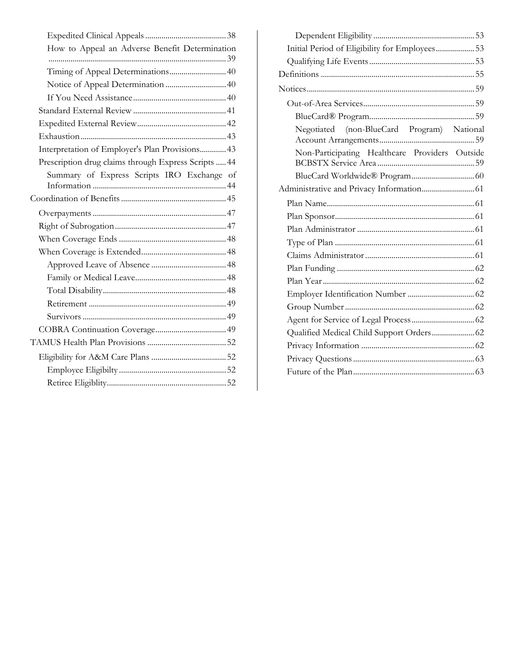| How to Appeal an Adverse Benefit Determination       |
|------------------------------------------------------|
|                                                      |
| Timing of Appeal Determinations 40                   |
|                                                      |
|                                                      |
|                                                      |
|                                                      |
|                                                      |
| Interpretation of Employer's Plan Provisions 43      |
| Prescription drug claims through Express Scripts  44 |
| Summary of Express Scripts IRO Exchange of           |
|                                                      |
|                                                      |
|                                                      |
|                                                      |
|                                                      |
|                                                      |
|                                                      |
|                                                      |
|                                                      |
|                                                      |
|                                                      |
|                                                      |
|                                                      |
|                                                      |
|                                                      |

| Initial Period of Eligibility for Employees 53 |  |
|------------------------------------------------|--|
|                                                |  |
|                                                |  |
|                                                |  |
|                                                |  |
|                                                |  |
| Negotiated (non-BlueCard Program) National     |  |
| Non-Participating Healthcare Providers Outside |  |
|                                                |  |
|                                                |  |
|                                                |  |
|                                                |  |
|                                                |  |
|                                                |  |
|                                                |  |
|                                                |  |
|                                                |  |
|                                                |  |
|                                                |  |
|                                                |  |
| Qualified Medical Child Support Orders 62      |  |
|                                                |  |
|                                                |  |
|                                                |  |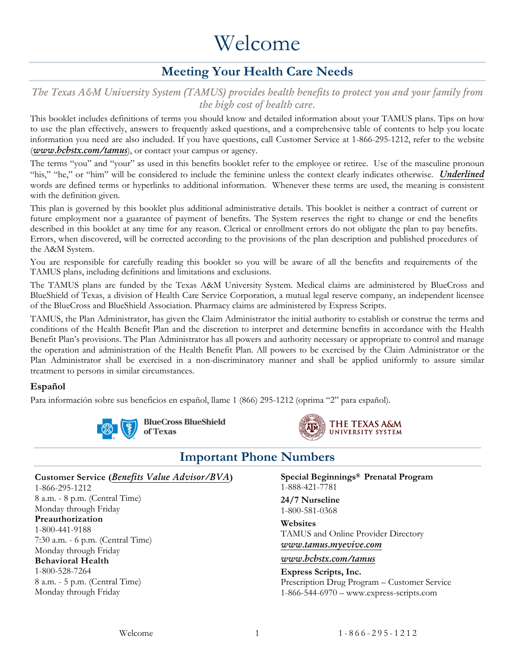## Welcome

## **Meeting Your Health Care Needs**

<span id="page-3-1"></span><span id="page-3-0"></span>*The Texas A&M University System (TAMUS) provides health benefits to protect you and your family from the high cost of health care.*

This booklet includes definitions of terms you should know and detailed information about your TAMUS plans. Tips on how to use the plan effectively, answers to frequently asked questions, and a comprehensive table of contents to help you locate information you need are also included. If you have questions, call Customer Service at 1-866-295-1212, refer to the website (*[www.bcbstx.com/tamus](http://www.bcbstx.com/tamus)*), or contact your campus or agency.

The terms "you" and "your" as used in this benefits booklet refer to the employee or retiree. Use of the masculine pronoun "his," "he," or "him" will be considered to include the feminine unless the context clearly indicates otherwise. *Underlined* words are defined terms or hyperlinks to additional information. Whenever these terms are used, the meaning is consistent with the definition given.

This plan is governed by this booklet plus additional administrative details. This booklet is neither a contract of current or future employment nor a guarantee of payment of benefits. The System reserves the right to change or end the benefits described in this booklet at any time for any reason. Clerical or enrollment errors do not obligate the plan to pay benefits. Errors, when discovered, will be corrected according to the provisions of the plan description and published procedures of the A&M System.

You are responsible for carefully reading this booklet so you will be aware of all the benefits and requirements of the TAMUS plans, including definitions and limitations and exclusions.

The TAMUS plans are funded by the Texas A&M University System. Medical claims are administered by BlueCross and BlueShield of Texas, a division of Health Care Service Corporation, a mutual legal reserve company, an independent licensee of the BlueCross and BlueShield Association. Pharmacy claims are administered by Express Scripts.

TAMUS, the Plan Administrator, has given the Claim Administrator the initial authority to establish or construe the terms and conditions of the Health Benefit Plan and the discretion to interpret and determine benefits in accordance with the Health Benefit Plan's provisions. The Plan Administrator has all powers and authority necessary or appropriate to control and manage the operation and administration of the Health Benefit Plan. All powers to be exercised by the Claim Administrator or the Plan Administrator shall be exercised in a non-discriminatory manner and shall be applied uniformly to assure similar treatment to persons in similar circumstances.

#### **Español**

Para información sobre sus beneficios en español, llame 1 (866) 295-1212 (oprima "2" para español).





#### **Important Phone Numbers**

<span id="page-3-2"></span>**Customer Service (***[Benefits Value Advisor/BVA](#page-16-0)***)**

1-866-295-1212 8 a.m. - 8 p.m. (Central Time) Monday through Friday **Preauthorization** 1-800-441-9188 7:30 a.m. - 6 p.m. (Central Time) Monday through Friday **Behavioral Health** 1-800-528-7264 8 a.m. - 5 p.m. (Central Time) Monday through Friday

**Special Beginnings® Prenatal Program** 1-888-421-7781

**24/7 Nurseline** 1-800-581-0368

**Websites** TAMUS and Online Provider Directory *[www.tamus.myevive.com](http://www.tamus.myevive.com/)*

#### *[www.bcbstx.com/tamus](http://www.bcbstx.com/tamus)*

**Express Scripts, Inc.**

Prescription Drug Program – Customer Service 1-866-544-6970 – www.express-scripts.com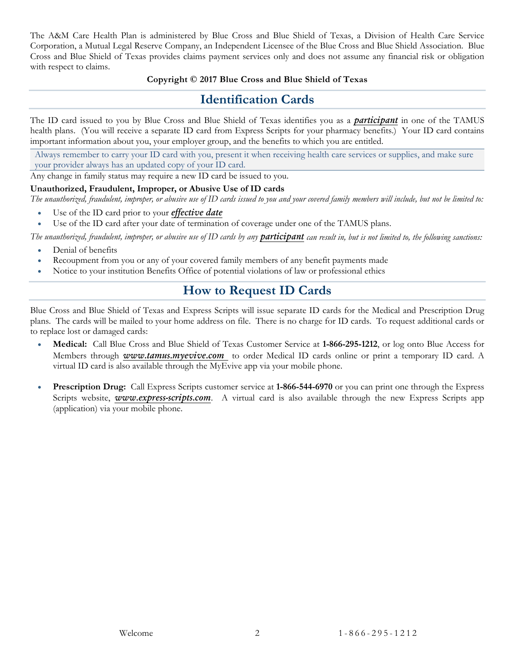The A&M Care Health Plan is administered by Blue Cross and Blue Shield of Texas, a Division of Health Care Service Corporation, a Mutual Legal Reserve Company, an Independent Licensee of the Blue Cross and Blue Shield Association. Blue Cross and Blue Shield of Texas provides claims payment services only and does not assume any financial risk or obligation with respect to claims.

#### **Copyright © 2017 Blue Cross and Blue Shield of Texas**

#### **Identification Cards**

<span id="page-4-0"></span>The ID card issued to you by Blue Cross and Blue Shield of Texas identifies you as a *[participant](#page-59-0)* in one of the TAMUS health plans. (You will receive a separate ID card from Express Scripts for your pharmacy benefits.) Your ID card contains important information about you, your employer group, and the benefits to which you are entitled.

Always remember to carry your ID card with you, present it when receiving health care services or supplies, and make sure your provider always has an updated copy of your ID card.

Any change in family status may require a new ID card be issued to you.

#### **Unauthorized, Fraudulent, Improper, or Abusive Use of ID cards**

*The unauthorized, fraudulent, improper, or abusive use of ID cards issued to you and your covered family members will include, but not be limited to:*

- Use of the ID card prior to your *[effective date](#page-58-0)*
- Use of the ID card after your date of termination of coverage under one of the TAMUS plans.

The unauthorized, fraudulent, improper, or abusive use of ID cards by any **[participant](#page-59-0)** can result in, but is not limited to, the following sanctions:

- Denial of benefits
- Recoupment from you or any of your covered family members of any benefit payments made
- <span id="page-4-1"></span>• Notice to your institution Benefits Office of potential violations of law or professional ethics

## **How to Request ID Cards**

Blue Cross and Blue Shield of Texas and Express Scripts will issue separate ID cards for the Medical and Prescription Drug plans. The cards will be mailed to your home address on file. There is no charge for ID cards. To request additional cards or to replace lost or damaged cards:

- **Medical:** Call Blue Cross and Blue Shield of Texas Customer Service at **1-866-295-1212**, or log onto Blue Access for Members through *[www.tamus.myevive.com](http://www.tamus.myevive.com/)* to order Medical ID cards online or print a temporary ID card. A virtual ID card is also available through the MyEvive app via your mobile phone.
- **Prescription Drug:** Call Express Scripts customer service at **1-866-544-6970** or you can print one through the Express Scripts website, **[www.express-scripts.com](http://www.express-scripts.com/)**. A virtual card is also available through the new Express Scripts app (application) via your mobile phone.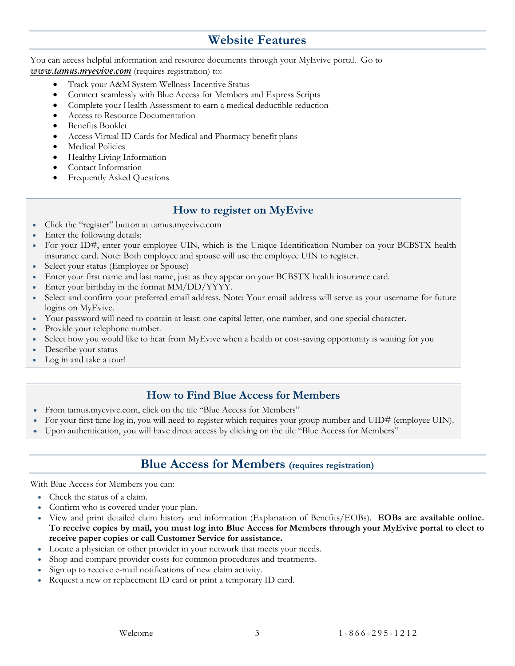## **Website Features**

<span id="page-5-0"></span>You can access helpful information and resource documents through your MyEvive portal. Go to *[www.tamus.myevive.com](http://www.tamus.myevive.com/)* (requires registration) to:

- Track your A&M System Wellness Incentive Status
- Connect seamlessly with Blue Access for Members and Express Scripts
- Complete your Health Assessment to earn a medical deductible reduction
- Access to Resource Documentation
- Benefits Booklet
- Access Virtual ID Cards for Medical and Pharmacy benefit plans
- Medical Policies
- Healthy Living Information
- Contact Information
- Frequently Asked Questions

#### **How to register on MyEvive**

- <span id="page-5-1"></span>• Click the "register" button at tamus.myevive.com
- Enter the following details:
- For your ID#, enter your employee UIN, which is the Unique Identification Number on your BCBSTX health insurance card. Note: Both employee and spouse will use the employee UIN to register.
- Select your status (Employee or Spouse)
- Enter your first name and last name, just as they appear on your BCBSTX health insurance card.
- Enter your birthday in the format MM/DD/YYYY.
- Select and confirm your preferred email address. Note: Your email address will serve as your username for future logins on MyEvive.
- Your password will need to contain at least: one capital letter, one number, and one special character.
- Provide your telephone number.
- Select how you would like to hear from MyEvive when a health or cost-saving opportunity is waiting for you
- Describe your status
- Log in and take a tour!

#### **How to Find Blue Access for Members**

- <span id="page-5-2"></span>• From tamus.myevive.com, click on the tile "Blue Access for Members"
- For your first time log in, you will need to register which requires your group number and UID# (employee UIN).
- <span id="page-5-3"></span>• Upon authentication, you will have direct access by clicking on the tile "Blue Access for Members"

#### **Blue Access for Members (requires registration)**

With Blue Access for Members you can:

- Check the status of a claim.
- Confirm who is covered under your plan.
- View and print detailed claim history and information (Explanation of Benefits/EOBs). **EOBs are available online. To receive copies by mail, you must log into Blue Access for Members through your MyEvive portal to elect to receive paper copies or call Customer Service for assistance.**
- Locate a physician or other provider in your network that meets your needs.
- Shop and compare provider costs for common procedures and treatments.
- Sign up to receive e-mail notifications of new claim activity.
- Request a new or replacement ID card or print a temporary ID card.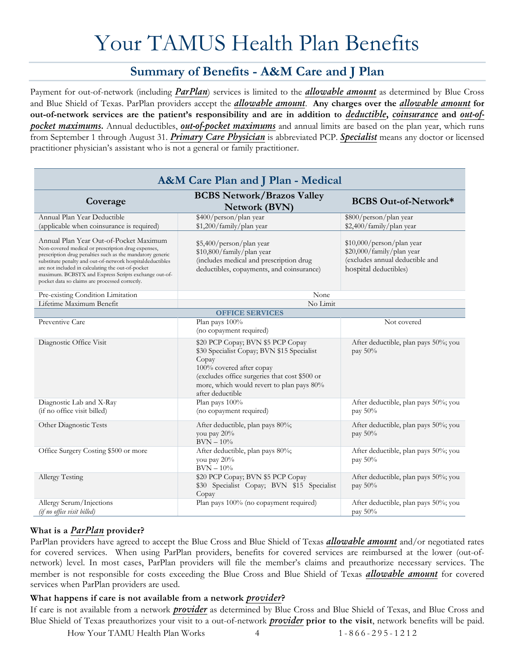# Your TAMUS Health Plan Benefits

## **Summary of Benefits - A&M Care and J Plan**

<span id="page-6-1"></span><span id="page-6-0"></span>Payment for out-of-network (including *[ParPlan](#page-6-3)*) services is limited to the *[allowable amount](#page-57-1)* as determined by Blue Cross and Blue Shield of Texas. ParPlan providers accept the *[allowable amount](#page-57-1)*. **Any charges over the** *[allowable amount](#page-57-1)* **for out-of-network services are the patient's responsibility and are in addition to** *[deductible](#page-58-1)***,** *[coinsurance](#page-58-2)* **and** *[out-of](#page-59-1)[pocket maximums](#page-59-1)***.** Annual deductibles, *[out-of-pocket maximums](#page-59-1)* and annual limits are based on the plan year, which runs from September 1 through August 31. *[Primary Care Physician](#page-59-2)* is abbreviated PCP. *[Specialist](#page-60-0)* means any doctor or licensed practitioner physician's assistant who is not a general or family practitioner.

<span id="page-6-2"></span>

| A&M Care Plan and J Plan - Medical                                                                                                                                                                                                                                                                                                                                                    |                                                                                                                                                                                                                                        |                                                                                                                    |  |
|---------------------------------------------------------------------------------------------------------------------------------------------------------------------------------------------------------------------------------------------------------------------------------------------------------------------------------------------------------------------------------------|----------------------------------------------------------------------------------------------------------------------------------------------------------------------------------------------------------------------------------------|--------------------------------------------------------------------------------------------------------------------|--|
| Coverage                                                                                                                                                                                                                                                                                                                                                                              | <b>BCBS Network/Brazos Valley</b><br><b>Network (BVN)</b>                                                                                                                                                                              | <b>BCBS Out-of-Network*</b>                                                                                        |  |
| Annual Plan Year Deductible<br>(applicable when coinsurance is required)                                                                                                                                                                                                                                                                                                              | \$400/person/plan year<br>\$1,200/family/plan year                                                                                                                                                                                     | \$800/person/plan year<br>\$2,400/family/plan year                                                                 |  |
| Annual Plan Year Out-of-Pocket Maximum<br>Non-covered medical or prescription drug expenses,<br>prescription drug penalties such as the mandatory generic<br>substitute penalty and out-of-network hospitaldeductibles<br>are not included in calculating the out-of-pocket<br>maximum. BCBSTX and Express Scripts exchange out-of-<br>pocket data so claims are processed correctly. | \$5,400/person/plan year<br>\$10,800/family/plan year<br>(includes medical and prescription drug<br>deductibles, copayments, and coinsurance)                                                                                          | \$10,000/person/plan year<br>\$20,000/family/plan year<br>(excludes annual deductible and<br>hospital deductibles) |  |
| Pre-existing Condition Limitation                                                                                                                                                                                                                                                                                                                                                     | None                                                                                                                                                                                                                                   |                                                                                                                    |  |
| Lifetime Maximum Benefit                                                                                                                                                                                                                                                                                                                                                              | No Limit                                                                                                                                                                                                                               |                                                                                                                    |  |
|                                                                                                                                                                                                                                                                                                                                                                                       | <b>OFFICE SERVICES</b>                                                                                                                                                                                                                 |                                                                                                                    |  |
| Preventive Care                                                                                                                                                                                                                                                                                                                                                                       | Plan pays 100%<br>(no copayment required)                                                                                                                                                                                              | Not covered                                                                                                        |  |
| Diagnostic Office Visit                                                                                                                                                                                                                                                                                                                                                               | \$20 PCP Copay; BVN \$5 PCP Copay<br>\$30 Specialist Copay; BVN \$15 Specialist<br>Copay<br>100% covered after copay<br>(excludes office surgeries that cost \$500 or<br>more, which would revert to plan pays 80%<br>after deductible | After deductible, plan pays 50%; you<br>pay $50\%$                                                                 |  |
| Diagnostic Lab and X-Ray<br>(if no office visit billed)                                                                                                                                                                                                                                                                                                                               | Plan pays 100%<br>(no copayment required)                                                                                                                                                                                              | After deductible, plan pays 50%; you<br>pay 50%                                                                    |  |
| Other Diagnostic Tests                                                                                                                                                                                                                                                                                                                                                                | After deductible, plan pays 80%;<br>you pay 20%<br>$\mathrm{BVN}-10\%$                                                                                                                                                                 | After deductible, plan pays 50%; you<br>pay 50%                                                                    |  |
| Office Surgery Costing \$500 or more                                                                                                                                                                                                                                                                                                                                                  | After deductible, plan pays 80%;<br>you pay 20%<br>$BVN - 10%$                                                                                                                                                                         | After deductible, plan pays 50%; you<br>pay 50%                                                                    |  |
| Allergy Testing                                                                                                                                                                                                                                                                                                                                                                       | \$20 PCP Copay; BVN \$5 PCP Copay<br>\$30 Specialist Copay; BVN \$15 Specialist<br>Copay                                                                                                                                               | After deductible, plan pays 50%; you<br>pay 50%                                                                    |  |
| Allergy Serum/Injections<br>(if no office visit billed)                                                                                                                                                                                                                                                                                                                               | Plan pays 100% (no copayment required)                                                                                                                                                                                                 | After deductible, plan pays 50%; you<br>pay $50\%$                                                                 |  |

#### <span id="page-6-3"></span>**What is a** *[ParPlan](#page-6-3)* **provider?**

ParPlan providers have agreed to accept the Blue Cross and Blue Shield of Texas *[allowable amount](#page-57-1)* and/or negotiated rates for covered services. When using ParPlan providers, benefits for covered services are reimbursed at the lower (out-ofnetwork) level. In most cases, ParPlan providers will file the member's claims and preauthorize necessary services. The member is not responsible for costs exceeding the Blue Cross and Blue Shield of Texas *[allowable amount](#page-57-1)* for covered services when ParPlan providers are used.

#### **What happens if care is not available from a network** *[provider](#page-59-3)***?**

If care is not available from a network *[provider](#page-59-3)* as determined by Blue Cross and Blue Shield of Texas, and Blue Cross and Blue Shield of Texas preauthorizes your visit to a out-of-network *[provider](#page-59-3)* **prior to the visit**, network benefits will be paid.

How Your TAMU Health Plan Works 4 1 - 866 - 295 - 1 2 1 2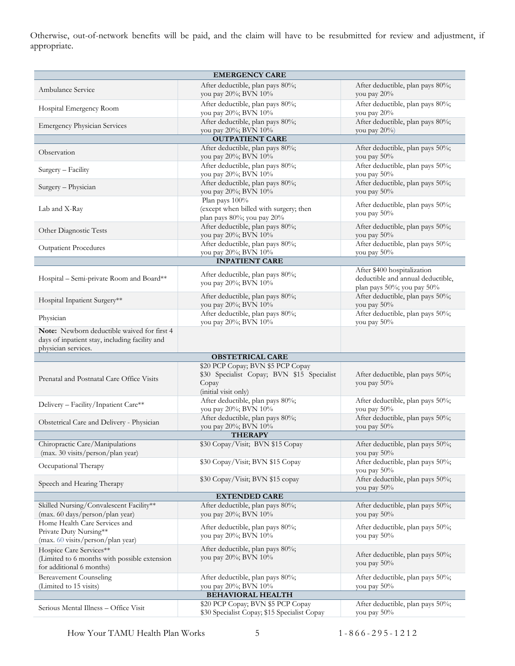Otherwise, out-of-network benefits will be paid, and the claim will have to be resubmitted for review and adjustment, if appropriate.

| <b>EMERGENCY CARE</b>                                                                                                |                                                                                        |                                                                                                |  |
|----------------------------------------------------------------------------------------------------------------------|----------------------------------------------------------------------------------------|------------------------------------------------------------------------------------------------|--|
| Ambulance Service                                                                                                    | After deductible, plan pays 80%;<br>you pay 20%; BVN 10%                               | After deductible, plan pays 80%;<br>you pay 20%                                                |  |
| Hospital Emergency Room                                                                                              | After deductible, plan pays 80%;<br>you pay 20%; BVN 10%                               | After deductible, plan pays 80%;<br>you pay 20%                                                |  |
| <b>Emergency Physician Services</b>                                                                                  | After deductible, plan pays 80%;<br>you pay 20%; BVN 10%                               | After deductible, plan pays 80%;<br>you pay $20\%$                                             |  |
|                                                                                                                      | <b>OUTPATIENT CARE</b>                                                                 |                                                                                                |  |
| Observation                                                                                                          | After deductible, plan pays 80%;<br>you pay 20%; BVN 10%                               | After deductible, plan pays 50%;<br>you pay 50%                                                |  |
| Surgery - Facility                                                                                                   | After deductible, plan pays 80%;<br>you pay 20%; BVN 10%                               | After deductible, plan pays 50%;<br>you pay 50%                                                |  |
| Surgery - Physician                                                                                                  | After deductible, plan pays 80%;<br>you pay 20%; BVN 10%                               | After deductible, plan pays 50%;<br>you pay 50%                                                |  |
| Lab and X-Ray                                                                                                        | Plan pays 100%<br>(except when billed with surgery; then<br>plan pays 80%; you pay 20% | After deductible, plan pays 50%;<br>you pay 50%                                                |  |
| Other Diagnostic Tests                                                                                               | After deductible, plan pays 80%;<br>you pay 20%; BVN 10%                               | After deductible, plan pays 50%;<br>you pay 50%                                                |  |
| <b>Outpatient Procedures</b>                                                                                         | After deductible, plan pays 80%;<br>you pay 20%; BVN 10%                               | After deductible, plan pays 50%;<br>you pay 50%                                                |  |
|                                                                                                                      | <b>INPATIENT CARE</b>                                                                  |                                                                                                |  |
| Hospital - Semi-private Room and Board**                                                                             | After deductible, plan pays 80%;<br>you pay 20%; BVN 10%                               | After \$400 hospitalization<br>deductible and annual deductible,<br>plan pays 50%; you pay 50% |  |
| Hospital Inpatient Surgery**                                                                                         | After deductible, plan pays 80%;<br>you pay 20%; BVN 10%                               | After deductible, plan pays 50%;<br>you pay 50%                                                |  |
| Physician                                                                                                            | After deductible, plan pays 80%;<br>you pay 20%; BVN 10%                               | After deductible, plan pays 50%;<br>you pay 50%                                                |  |
| Note: Newborn deductible waived for first 4<br>days of inpatient stay, including facility and<br>physician services. |                                                                                        |                                                                                                |  |
|                                                                                                                      | <b>OBSTETRICAL CARE</b>                                                                |                                                                                                |  |
|                                                                                                                      | \$20 PCP Copay; BVN \$5 PCP Copay                                                      |                                                                                                |  |
| Prenatal and Postnatal Care Office Visits                                                                            | \$30 Specialist Copay; BVN \$15 Specialist<br>Copay<br>(initial visit only)            | After deductible, plan pays 50%;<br>you pay 50%                                                |  |
| Delivery - Facility/Inpatient Care**                                                                                 | After deductible, plan pays 80%;<br>you pay 20%; BVN 10%                               | After deductible, plan pays 50%;<br>you pay 50%                                                |  |
| Obstetrical Care and Delivery - Physician                                                                            | After deductible, plan pays 80%;<br>you pay 20%; BVN 10%                               | After deductible, plan pays 50%;<br>you pay 50%                                                |  |
|                                                                                                                      | <b>THERAPY</b>                                                                         |                                                                                                |  |
| Chiropractic Care/Manipulations<br>(max. 30 visits/person/plan year)                                                 | \$30 Copay/Visit; BVN \$15 Copay                                                       | After deductible, plan pays 50%;<br>you pay 50%                                                |  |
| Occupational Therapy                                                                                                 | \$30 Copay/Visit; BVN \$15 Copay                                                       | After deductible, plan pays 50%;<br>you pay 50%                                                |  |
| Speech and Hearing Therapy                                                                                           | \$30 Copay/Visit; BVN \$15 copay                                                       | After deductible, plan pays 50%;<br>you pay $50\%$                                             |  |
|                                                                                                                      | <b>EXTENDED CARE</b>                                                                   |                                                                                                |  |
| Skilled Nursing/Convalescent Facility**<br>(max. 60 days/person/plan year)                                           | After deductible, plan pays 80%;<br>you pay 20%; BVN 10%                               | After deductible, plan pays 50%;<br>you pay 50%                                                |  |
| Home Health Care Services and<br>Private Duty Nursing**<br>(max. 60 visits/person/plan year)                         | After deductible, plan pays 80%;<br>you pay 20%; BVN 10%                               | After deductible, plan pays 50%;<br>you pay 50%                                                |  |
| Hospice Care Services**<br>(Limited to 6 months with possible extension<br>for additional 6 months)                  | After deductible, plan pays 80%;<br>you pay 20%; BVN 10%                               | After deductible, plan pays 50%;<br>you pay 50%                                                |  |
| <b>Bereavement Counseling</b><br>(Limited to 15 visits)                                                              | After deductible, plan pays 80%;<br>you pay 20%; BVN 10%                               | After deductible, plan pays 50%;<br>you pay $50\%$                                             |  |
|                                                                                                                      | <b>BEHAVIORAL HEALTH</b>                                                               |                                                                                                |  |
| Serious Mental Illness - Office Visit                                                                                | \$20 PCP Copay; BVN \$5 PCP Copay<br>\$30 Specialist Copay; \$15 Specialist Copay      | After deductible, plan pays 50%;<br>you pay 50%                                                |  |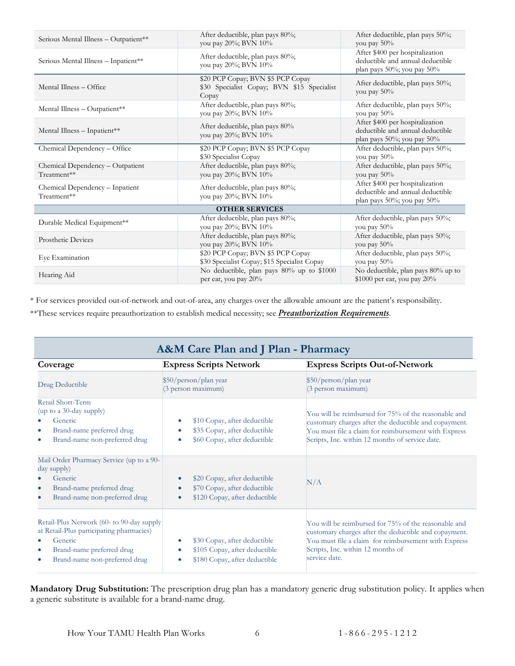| Serious Mental Illness - Outpatient**           | After deductible, plan pays 80%;<br>you pay 20%; BVN 10%                                 | After deductible, plan pays 50%;<br>you pay 50%                                                   |  |
|-------------------------------------------------|------------------------------------------------------------------------------------------|---------------------------------------------------------------------------------------------------|--|
| Serious Mental Illness - Inpatient**            | After deductible, plan pays 80%;<br>you pay 20%; BVN 10%                                 | After \$400 per hospitalization<br>deductible and annual deductible<br>plan pays 50%; you pay 50% |  |
| Mental Illness - Office                         | \$20 PCP Copay; BVN \$5 PCP Copay<br>\$30 Specialist Copay; BVN \$15 Specialist<br>Copay | After deductible, plan pays 50%;<br>you pay 50%                                                   |  |
| Mental Illness - Outpatient**                   | After deductible, plan pays 80%;<br>you pay 20%; BVN 10%                                 | After deductible, plan pays 50%;<br>you pay 50%                                                   |  |
| Mental Illness - Inpatient**                    | After deductible, plan pays 80%<br>you pay 20%; BVN 10%                                  | After \$400 per hospitalization<br>deductible and annual deductible<br>plan pays 50%; you pay 50% |  |
| Chemical Dependency - Office                    | \$20 PCP Copay; BVN \$5 PCP Copay<br>\$30 Specialist Copay                               | After deductible, plan pays 50%;<br>you pay $50\%$                                                |  |
| Chemical Dependency - Outpatient<br>Treatment** | After deductible, plan pays 80%;<br>you pay 20%; BVN 10%                                 | After deductible, plan pays 50%;<br>you pay $50\%$                                                |  |
| Chemical Dependency - Inpatient<br>Treatment**  | After deductible, plan pays 80%;<br>you pay 20%; BVN 10%                                 | After \$400 per hospitalization<br>deductible and annual deductible<br>plan pays 50%; you pay 50% |  |
| <b>OTHER SERVICES</b>                           |                                                                                          |                                                                                                   |  |
| Durable Medical Equipment**                     | After deductible, plan pays 80%;<br>you pay 20%; BVN 10%                                 | After deductible, plan pays 50%;<br>you pay $50\%$                                                |  |
| <b>Prosthetic Devices</b>                       | After deductible, plan pays 80%;<br>you pay 20%; BVN 10%                                 | After deductible, plan pays 50%;<br>you pay $50\%$                                                |  |
| Eye Examination                                 | \$20 PCP Copay; BVN \$5 PCP Copay<br>\$30 Specialist Copay; \$15 Specialist Copay        | After deductible, plan pays 50%;<br>you pay $50\%$                                                |  |
| Hearing Aid                                     | No deductible, plan pays 80% up to \$1000<br>per ear, you pay 20%                        | No deductible, plan pays 80% up to<br>$$1000$ per ear, you pay $20\%$                             |  |

\* For services provided out-of-network and out-of-area, any charges over the allowable amount are the patient's responsibility. \*\*These services require preauthorization to establish medical necessity; see *[Preauthorization Requirements](#page-14-4)*.

<span id="page-8-0"></span>

| A&M Care Plan and J Plan - Pharmacy                                                                                                                            |                                                                                                                         |                                                                                                                                                                                                                             |  |
|----------------------------------------------------------------------------------------------------------------------------------------------------------------|-------------------------------------------------------------------------------------------------------------------------|-----------------------------------------------------------------------------------------------------------------------------------------------------------------------------------------------------------------------------|--|
| Coverage                                                                                                                                                       | <b>Express Scripts Network</b>                                                                                          | <b>Express Scripts Out-of-Network</b>                                                                                                                                                                                       |  |
| Drug Deductible                                                                                                                                                | \$50/person/plan year<br>(3 person maximum)                                                                             | \$50/person/plan year<br>(3 person maximum)                                                                                                                                                                                 |  |
| Retail Short-Term<br>(up to a 30-day supply)<br>Generic<br>Brand-name preferred drug<br>Brand-name non-preferred drug                                          | \$10 Copay, after deductible<br>$\bullet$<br>\$35 Copay, after deductible<br>\$60 Copay, after deductible               | You will be reimbursed for 75% of the reasonable and<br>customary charges after the deductible and copayment.<br>You must file a claim for reimbursement with Express<br>Scripts, Inc. within 12 months of service date.    |  |
| Mail Order Pharmacy Service (up to a 90-<br>day supply)<br>Generic<br>Brand-name preferred drug<br>Brand-name non-preferred drug                               | \$20 Copay, after deductible<br>$\bullet$<br>\$70 Copay, after deductible<br>\$120 Copay, after deductible<br>$\bullet$ | N/A                                                                                                                                                                                                                         |  |
| Retail-Plus Network (60- to 90-day supply<br>at Retail-Plus participating pharmacies)<br>Generic<br>Brand-name preferred drug<br>Brand-name non-preferred drug | \$30 Copay, after deductible<br>\$105 Copay, after deductible<br>\$180 Copay, after deductible                          | You will be reimbursed for 75% of the reasonable and<br>customary charges after the deductible and copayment.<br>You must file a claim for reimbursement with Express<br>Scripts, Inc. within 12 months of<br>service date. |  |

**Mandatory Drug Substitution:** The prescription drug plan has a mandatory generic drug substitution policy. It applies when a generic substitute is available for a brand-name drug.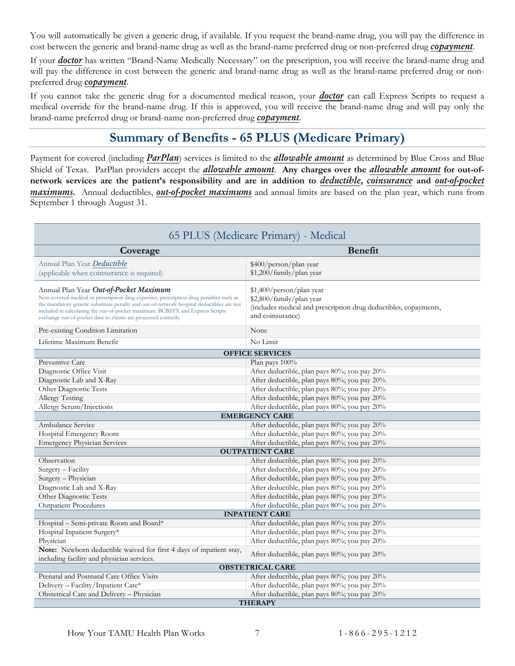You will automatically be given a generic drug, if available. If you request the brand-name drug, you will pay the difference in cost between the generic and brand-name drug as well as the brand-name preferred drug or non-preferred drug *[copayment](#page-58-3)*.

If your *[doctor](#page-58-4)* has written "Brand-Name Medically Necessary" on the prescription, you will receive the brand-name drug and will pay the difference in cost between the generic and brand-name drug as well as the brand-name preferred drug or nonpreferred drug *[copayment](#page-58-3)*.

If you cannot take the generic drug for a documented medical reason, your *[doctor](#page-58-4)* can call Express Scripts to request a medical override for the brand-name drug. If this is approved, you will receive the brand-name drug and will pay only the brand-name preferred drug or brand-name non-preferred drug *[copayment](#page-58-3)*.

## **Summary of Benefits - 65 PLUS (Medicare Primary)**

<span id="page-9-0"></span>Payment for covered (including *[ParPlan](#page-6-3)*) services is limited to the *[allowable amount](#page-57-1)* as determined by Blue Cross and Blue Shield of Texas. ParPlan providers accept the *[allowable amount](#page-57-1)*. **Any charges over the** *[allowable amount](#page-57-1)* **for out-ofnetwork services are the patient's responsibility and are in addition to** *deductible***,** *[coinsurance](#page-58-2)* **and** *[out-of-pocket](#page-59-1)  [maximums](#page-59-1)***.** Annual deductibles, *[out-of-pocket maximums](#page-59-1)* and annual limits are based on the plan year, which runs from September 1 through August 31.

<span id="page-9-1"></span>

| 65 PLUS (Medicare Primary) - Medical                                                                                                                                                                                                                                                                                                                                            |                                                                                                                                              |  |  |
|---------------------------------------------------------------------------------------------------------------------------------------------------------------------------------------------------------------------------------------------------------------------------------------------------------------------------------------------------------------------------------|----------------------------------------------------------------------------------------------------------------------------------------------|--|--|
| Coverage                                                                                                                                                                                                                                                                                                                                                                        | <b>Benefit</b>                                                                                                                               |  |  |
| Annual Plan Year <b>Deductible</b><br>(applicable when coinsurance is required)                                                                                                                                                                                                                                                                                                 | \$400/person/plan year<br>\$1,200/family/plan year                                                                                           |  |  |
| Annual Plan Year Out-of-Pocket Maximum<br>Non-covered medical or prescription drug expenses, prescription drug penalties such as<br>the mandatory generic substitute penalty and out-of-network hospital deductibles are not<br>included in calculating the out-of-pocket maximum. BCBSTX and Express Scripts<br>exchange out-of-pocket data so claims are processed correctly. | \$1,400/person/plan year<br>\$2,800/family/plan year<br>(includes medical and prescription drug deductibles, copayments,<br>and coinsurance) |  |  |
| Pre-existing Condition Limitation                                                                                                                                                                                                                                                                                                                                               | None                                                                                                                                         |  |  |
| Lifetime Maximum Benefit                                                                                                                                                                                                                                                                                                                                                        | No Limit                                                                                                                                     |  |  |
|                                                                                                                                                                                                                                                                                                                                                                                 | <b>OFFICE SERVICES</b>                                                                                                                       |  |  |
| Preventive Care                                                                                                                                                                                                                                                                                                                                                                 | Plan pays $100\%$                                                                                                                            |  |  |
| Diagnostic Office Visit                                                                                                                                                                                                                                                                                                                                                         | After deductible, plan pays 80%; you pay 20%                                                                                                 |  |  |
| Diagnostic Lab and X-Ray                                                                                                                                                                                                                                                                                                                                                        | After deductible, plan pays 80%; you pay 20%                                                                                                 |  |  |
| Other Diagnostic Tests                                                                                                                                                                                                                                                                                                                                                          | After deductible, plan pays 80%; you pay 20%                                                                                                 |  |  |
| <b>Allergy Testing</b>                                                                                                                                                                                                                                                                                                                                                          | After deductible, plan pays 80%; you pay 20%                                                                                                 |  |  |
| Allergy Serum/Injections                                                                                                                                                                                                                                                                                                                                                        | After deductible, plan pays 80%; you pay 20%                                                                                                 |  |  |
|                                                                                                                                                                                                                                                                                                                                                                                 | <b>EMERGENCY CARE</b>                                                                                                                        |  |  |
| Ambulance Service                                                                                                                                                                                                                                                                                                                                                               | After deductible, plan pays 80%; you pay 20%                                                                                                 |  |  |
| Hospital Emergency Room                                                                                                                                                                                                                                                                                                                                                         | After deductible, plan pays 80%; you pay 20%                                                                                                 |  |  |
| <b>Emergency Physician Services</b>                                                                                                                                                                                                                                                                                                                                             | After deductible, plan pays 80%; you pay 20%                                                                                                 |  |  |
|                                                                                                                                                                                                                                                                                                                                                                                 | <b>OUTPATIENT CARE</b>                                                                                                                       |  |  |
| Observation                                                                                                                                                                                                                                                                                                                                                                     | After deductible, plan pays 80%; you pay 20%                                                                                                 |  |  |
| Surgery - Facility                                                                                                                                                                                                                                                                                                                                                              | After deductible, plan pays 80%; you pay 20%                                                                                                 |  |  |
| Surgery - Physician                                                                                                                                                                                                                                                                                                                                                             | After deductible, plan pays 80%; you pay 20%                                                                                                 |  |  |
| Diagnostic Lab and X-Ray                                                                                                                                                                                                                                                                                                                                                        | After deductible, plan pays 80%; you pay 20%                                                                                                 |  |  |
| Other Diagnostic Tests                                                                                                                                                                                                                                                                                                                                                          | After deductible, plan pays 80%; you pay 20%                                                                                                 |  |  |
| <b>Outpatient Procedures</b>                                                                                                                                                                                                                                                                                                                                                    | After deductible, plan pays 80%; you pay 20%                                                                                                 |  |  |
|                                                                                                                                                                                                                                                                                                                                                                                 | <b>INPATIENT CARE</b>                                                                                                                        |  |  |
| Hospital - Semi-private Room and Board*                                                                                                                                                                                                                                                                                                                                         | After deductible, plan pays 80%; you pay 20%                                                                                                 |  |  |
| Hospital Inpatient Surgery*                                                                                                                                                                                                                                                                                                                                                     | After deductible, plan pays 80%; you pay 20%                                                                                                 |  |  |
| Physician                                                                                                                                                                                                                                                                                                                                                                       | After deductible, plan pays 80%; you pay 20%                                                                                                 |  |  |
| Note: Newborn deductible waived for first 4 days of inpatient stay,<br>including facility and physician services.                                                                                                                                                                                                                                                               | After deductible, plan pays 80%; you pay 20%                                                                                                 |  |  |
| <b>OBSTETRICAL CARE</b>                                                                                                                                                                                                                                                                                                                                                         |                                                                                                                                              |  |  |
| Prenatal and Postnatal Care Office Visits                                                                                                                                                                                                                                                                                                                                       | After deductible, plan pays 80%; you pay 20%                                                                                                 |  |  |
| Delivery - Facility/Inpatient Care*                                                                                                                                                                                                                                                                                                                                             | After deductible, plan pays 80%; you pay 20%                                                                                                 |  |  |
| Obstetrical Care and Delivery - Physician                                                                                                                                                                                                                                                                                                                                       | After deductible, plan pays 80%; you pay 20%                                                                                                 |  |  |
| <b>THERAPY</b>                                                                                                                                                                                                                                                                                                                                                                  |                                                                                                                                              |  |  |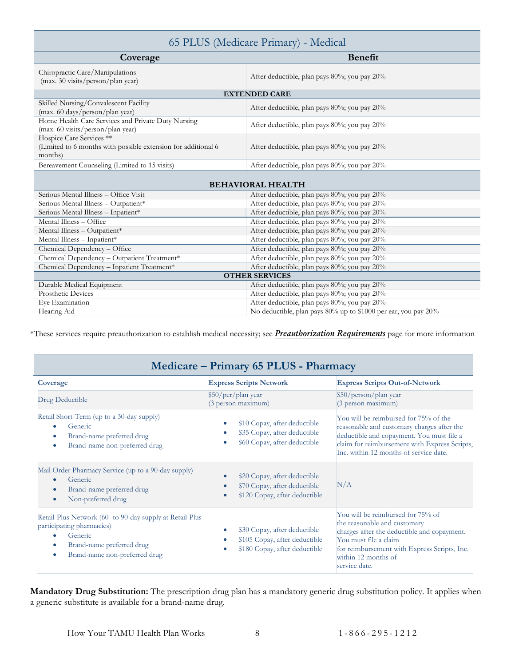| 65 PLUS (Medicare Primary) - Medical                                                                 |                                                                |  |  |
|------------------------------------------------------------------------------------------------------|----------------------------------------------------------------|--|--|
| Coverage                                                                                             | <b>Benefit</b>                                                 |  |  |
| Chiropractic Care/Manipulations<br>(max. 30 visits/person/plan year)                                 | After deductible, plan pays 80%; you pay 20%                   |  |  |
|                                                                                                      | <b>EXTENDED CARE</b>                                           |  |  |
| Skilled Nursing/Convalescent Facility<br>(max. 60 days/person/plan year)                             | After deductible, plan pays 80%; you pay 20%                   |  |  |
| Home Health Care Services and Private Duty Nursing<br>(max. 60 visits/person/plan year)              | After deductible, plan pays 80%; you pay 20%                   |  |  |
| Hospice Care Services **<br>(Limited to 6 months with possible extension for additional 6<br>months) | After deductible, plan pays 80%; you pay 20%                   |  |  |
| Bereavement Counseling (Limited to 15 visits)                                                        | After deductible, plan pays 80%; you pay 20%                   |  |  |
| <b>BEHAVIORAL HEALTH</b>                                                                             |                                                                |  |  |
| Serious Mental Illness - Office Visit                                                                | After deductible, plan pays 80%; you pay 20%                   |  |  |
| Serious Mental Illness - Outpatient*                                                                 | After deductible, plan pays 80%; you pay 20%                   |  |  |
| Serious Mental Illness - Inpatient*                                                                  | After deductible, plan pays 80%; you pay 20%                   |  |  |
| Mental Illness - Office                                                                              | After deductible, plan pays 80%; you pay 20%                   |  |  |
| Mental Illness - Outpatient*                                                                         | After deductible, plan pays 80%; you pay 20%                   |  |  |
| Mental Illness - Inpatient*                                                                          | After deductible, plan pays 80%; you pay 20%                   |  |  |
| Chemical Dependency - Office                                                                         | After deductible, plan pays 80%; you pay 20%                   |  |  |
| Chemical Dependency - Outpatient Treatment*                                                          | After deductible, plan pays 80%; you pay 20%                   |  |  |
| Chemical Dependency - Inpatient Treatment*                                                           | After deductible, plan pays 80%; you pay 20%                   |  |  |
| <b>OTHER SERVICES</b>                                                                                |                                                                |  |  |
| Durable Medical Equipment                                                                            | After deductible, plan pays 80%; you pay 20%                   |  |  |
| Prosthetic Devices                                                                                   | After deductible, plan pays 80%; you pay 20%                   |  |  |
| Eye Examination                                                                                      | After deductible, plan pays 80%; you pay 20%                   |  |  |
| Hearing Aid                                                                                          | No deductible, plan pays 80% up to \$1000 per ear, you pay 20% |  |  |

\*These services require preauthorization to establish medical necessity; see *[Preauthorization Requirements](#page-14-4)* page for more information

<span id="page-10-0"></span>

| Medicare - Primary 65 PLUS - Pharmacy                                                                                                                                         |                                                                                                                         |                                                                                                                                                                                                                                   |
|-------------------------------------------------------------------------------------------------------------------------------------------------------------------------------|-------------------------------------------------------------------------------------------------------------------------|-----------------------------------------------------------------------------------------------------------------------------------------------------------------------------------------------------------------------------------|
| Coverage                                                                                                                                                                      | <b>Express Scripts Network</b>                                                                                          | <b>Express Scripts Out-of-Network</b>                                                                                                                                                                                             |
| Drug Deductible                                                                                                                                                               | \$50/per/plan year<br>(3 person maximum)                                                                                | \$50/person/plan year<br>$(3$ person maximum)                                                                                                                                                                                     |
| Retail Short-Term (up to a 30-day supply)<br>Generic<br>$\bullet$<br>Brand-name preferred drug<br>$\bullet$<br>Brand-name non-preferred drug<br>$\bullet$                     | \$10 Copay, after deductible<br>$\bullet$<br>\$35 Copay, after deductible<br>\$60 Copay, after deductible               | You will be reimbursed for 75% of the<br>reasonable and customary charges after the<br>deductible and copayment. You must file a<br>claim for reimbursement with Express Scripts,<br>Inc. within 12 months of service date.       |
| Mail Order Pharmacy Service (up to a 90-day supply)<br>Generic<br>$\bullet$<br>Brand-name preferred drug<br>$\bullet$<br>Non-preferred drug<br>$\bullet$                      | \$20 Copay, after deductible<br>$\bullet$<br>\$70 Copay, after deductible<br>\$120 Copay, after deductible<br>$\bullet$ | N/A                                                                                                                                                                                                                               |
| Retail-Plus Network (60- to 90-day supply at Retail-Plus<br>participating pharmacies)<br>Generic<br>۰<br>Brand-name preferred drug<br>۰<br>Brand-name non-preferred drug<br>۰ | \$30 Copay, after deductible<br>$\bullet$<br>\$105 Copay, after deductible<br>\$180 Copay, after deductible             | You will be reimbursed for 75% of<br>the reasonable and customary<br>charges after the deductible and copayment.<br>You must file a claim<br>for reimbursement with Express Scripts, Inc.<br>within 12 months of<br>service date. |

**Mandatory Drug Substitution:** The prescription drug plan has a mandatory generic drug substitution policy. It applies when a generic substitute is available for a brand-name drug.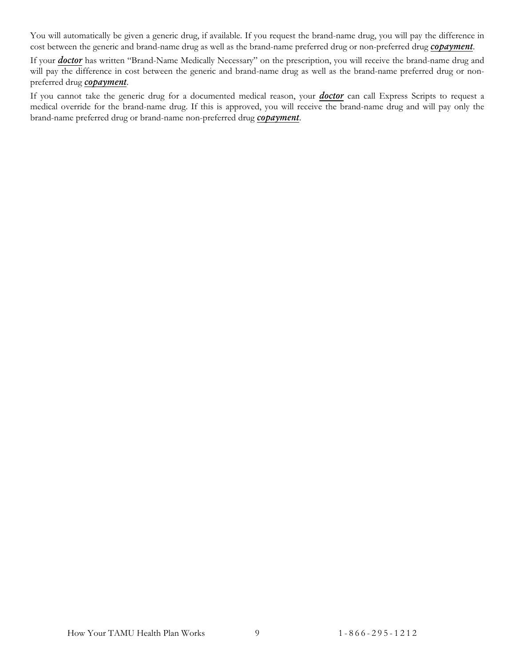You will automatically be given a generic drug, if available. If you request the brand-name drug, you will pay the difference in cost between the generic and brand-name drug as well as the brand-name preferred drug or non-preferred drug *[copayment](#page-58-3)*.

If your *[doctor](#page-58-4)* has written "Brand-Name Medically Necessary" on the prescription, you will receive the brand-name drug and will pay the difference in cost between the generic and brand-name drug as well as the brand-name preferred drug or nonpreferred drug *[copayment](#page-58-3)*.

If you cannot take the generic drug for a documented medical reason, your *[doctor](#page-58-4)* can call Express Scripts to request a medical override for the brand-name drug. If this is approved, you will receive the brand-name drug and will pay only the brand-name preferred drug or brand-name non-preferred drug *[copayment](#page-58-3)*.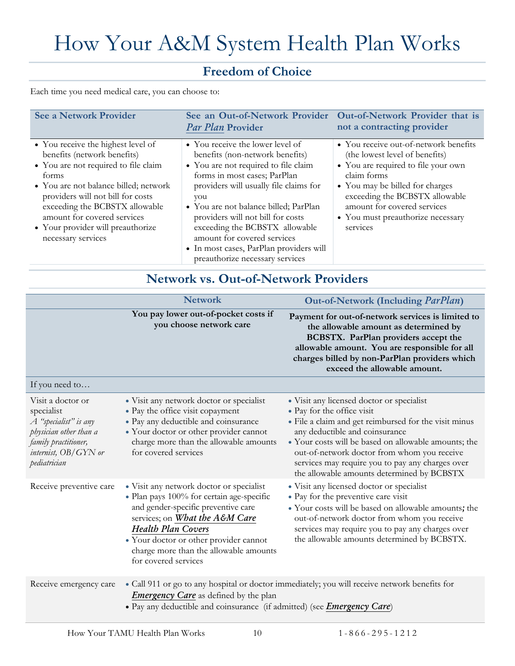# <span id="page-12-0"></span>How Your A&M System Health Plan Works

## **Freedom of Choice**

<span id="page-12-1"></span>Each time you need medical care, you can choose to:

| <b>See a Network Provider</b>                                                                                                                                                                                                                                                                                                | Par Plan Provider                                                                                                                                                                                                                                                                                                                                                                                                         | See an Out-of-Network Provider Out-of-Network Provider that is<br>not a contracting provider                                                                                                                                                                                       |
|------------------------------------------------------------------------------------------------------------------------------------------------------------------------------------------------------------------------------------------------------------------------------------------------------------------------------|---------------------------------------------------------------------------------------------------------------------------------------------------------------------------------------------------------------------------------------------------------------------------------------------------------------------------------------------------------------------------------------------------------------------------|------------------------------------------------------------------------------------------------------------------------------------------------------------------------------------------------------------------------------------------------------------------------------------|
| • You receive the highest level of<br>benefits (network benefits)<br>• You are not required to file claim<br>forms<br>• You are not balance billed; network<br>providers will not bill for costs<br>exceeding the BCBSTX allowable<br>amount for covered services<br>• Your provider will preauthorize<br>necessary services | • You receive the lower level of<br>benefits (non-network benefits)<br>• You are not required to file claim<br>forms in most cases; ParPlan<br>providers will usually file claims for<br>you<br>• You are not balance billed; ParPlan<br>providers will not bill for costs<br>exceeding the BCBSTX allowable<br>amount for covered services<br>• In most cases, ParPlan providers will<br>preauthorize necessary services | • You receive out-of-network benefits<br>(the lowest level of benefits)<br>• You are required to file your own<br>claim forms<br>• You may be billed for charges<br>exceeding the BCBSTX allowable<br>amount for covered services<br>• You must preauthorize necessary<br>services |

## **Network vs. Out-of-Network Providers**

<span id="page-12-2"></span>

|                                                                                                                                                      | <b>Network</b>                                                                                                                                                                                                                                                                                          | Out-of-Network (Including <i>ParPlan</i> )                                                                                                                                                                                                                                                                                                                                  |
|------------------------------------------------------------------------------------------------------------------------------------------------------|---------------------------------------------------------------------------------------------------------------------------------------------------------------------------------------------------------------------------------------------------------------------------------------------------------|-----------------------------------------------------------------------------------------------------------------------------------------------------------------------------------------------------------------------------------------------------------------------------------------------------------------------------------------------------------------------------|
|                                                                                                                                                      | You pay lower out-of-pocket costs if<br>you choose network care                                                                                                                                                                                                                                         | Payment for out-of-network services is limited to<br>the allowable amount as determined by<br>BCBSTX. ParPlan providers accept the<br>allowable amount. You are responsible for all<br>charges billed by non-ParPlan providers which<br>exceed the allowable amount.                                                                                                        |
| If you need to                                                                                                                                       |                                                                                                                                                                                                                                                                                                         |                                                                                                                                                                                                                                                                                                                                                                             |
| Visit a doctor or<br>specialist<br>A "specialist" is any<br>physician other than a<br>family practitioner,<br>internist, $OB/GYN$ or<br>pediatrician | • Visit any network doctor or specialist<br>• Pay the office visit copayment<br>• Pay any deductible and coinsurance<br>• Your doctor or other provider cannot<br>charge more than the allowable amounts<br>for covered services                                                                        | • Visit any licensed doctor or specialist<br>• Pay for the office visit<br>• File a claim and get reimbursed for the visit minus<br>any deductible and coinsurance<br>· Your costs will be based on allowable amounts; the<br>out-of-network doctor from whom you receive<br>services may require you to pay any charges over<br>the allowable amounts determined by BCBSTX |
| Receive preventive care                                                                                                                              | • Visit any network doctor or specialist<br>· Plan pays 100% for certain age-specific<br>and gender-specific preventive care<br>services; on What the A&M Care<br><b>Health Plan Covers</b><br>· Your doctor or other provider cannot<br>charge more than the allowable amounts<br>for covered services | • Visit any licensed doctor or specialist<br>· Pay for the preventive care visit<br>• Your costs will be based on allowable amounts; the<br>out-of-network doctor from whom you receive<br>services may require you to pay any charges over<br>the allowable amounts determined by BCBSTX.                                                                                  |
| Receive emergency care                                                                                                                               | <b>Emergency Care</b> as defined by the plan<br>· Pay any deductible and coinsurance (if admitted) (see <i>Emergency Care</i> )                                                                                                                                                                         | · Call 911 or go to any hospital or doctor immediately; you will receive network benefits for                                                                                                                                                                                                                                                                               |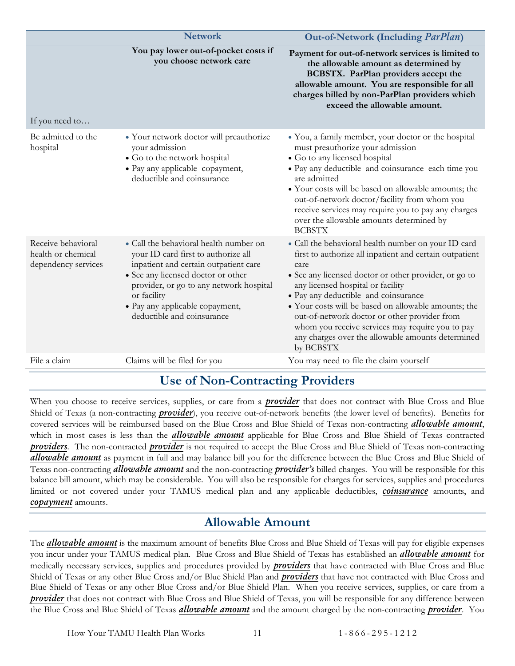|                                                                 | <b>Network</b>                                                                                                                                                                                                                                                                          | Out-of-Network (Including <i>ParPlan</i> )                                                                                                                                                                                                                                                                                                                                                                                                                                                 |
|-----------------------------------------------------------------|-----------------------------------------------------------------------------------------------------------------------------------------------------------------------------------------------------------------------------------------------------------------------------------------|--------------------------------------------------------------------------------------------------------------------------------------------------------------------------------------------------------------------------------------------------------------------------------------------------------------------------------------------------------------------------------------------------------------------------------------------------------------------------------------------|
|                                                                 | You pay lower out-of-pocket costs if<br>you choose network care                                                                                                                                                                                                                         | Payment for out-of-network services is limited to<br>the allowable amount as determined by<br>BCBSTX. ParPlan providers accept the<br>allowable amount. You are responsible for all<br>charges billed by non-ParPlan providers which<br>exceed the allowable amount.                                                                                                                                                                                                                       |
| If you need to                                                  |                                                                                                                                                                                                                                                                                         |                                                                                                                                                                                                                                                                                                                                                                                                                                                                                            |
| Be admitted to the<br>hospital                                  | • Your network doctor will preauthorize<br>your admission<br>• Go to the network hospital<br>• Pay any applicable copayment,<br>deductible and coinsurance                                                                                                                              | • You, a family member, your doctor or the hospital<br>must preauthorize your admission<br>· Go to any licensed hospital<br>· Pay any deductible and coinsurance each time you<br>are admitted<br>• Your costs will be based on allowable amounts; the<br>out-of-network doctor/facility from whom you<br>receive services may require you to pay any charges<br>over the allowable amounts determined by<br><b>BCBSTX</b>                                                                 |
| Receive behavioral<br>health or chemical<br>dependency services | • Call the behavioral health number on<br>your ID card first to authorize all<br>inpatient and certain outpatient care<br>• See any licensed doctor or other<br>provider, or go to any network hospital<br>or facility<br>• Pay any applicable copayment,<br>deductible and coinsurance | • Call the behavioral health number on your ID card<br>first to authorize all inpatient and certain outpatient<br>care<br>• See any licensed doctor or other provider, or go to<br>any licensed hospital or facility<br>· Pay any deductible and coinsurance<br>• Your costs will be based on allowable amounts; the<br>out-of-network doctor or other provider from<br>whom you receive services may require you to pay<br>any charges over the allowable amounts determined<br>by BCBSTX |
| File a claim                                                    | Claims will be filed for you                                                                                                                                                                                                                                                            | You may need to file the claim yourself                                                                                                                                                                                                                                                                                                                                                                                                                                                    |

#### **Use of Non-Contracting Providers**

<span id="page-13-0"></span>When you choose to receive services, supplies, or care from a *[provider](#page-59-3)* that does not contract with Blue Cross and Blue Shield of Texas (a non-contracting *[provider](#page-59-3)*), you receive out-of-network benefits (the lower level of benefits). Benefits for covered services will be reimbursed based on the Blue Cross and Blue Shield of Texas non-contracting *[allowable amount](#page-57-1)*, which in most cases is less than the *[allowable amount](#page-57-1)* applicable for Blue Cross and Blue Shield of Texas contracted *[providers](#page-59-3)*. The non-contracted *[provider](#page-59-3)* is not required to accept the Blue Cross and Blue Shield of Texas non-contracting *[allowable amount](#page-57-1)* as payment in full and may balance bill you for the difference between the Blue Cross and Blue Shield of Texas non-contracting *[allowable amount](#page-57-1)* and the non-contracting *[provider's](#page-59-3)* billed charges. You will be responsible for this balance bill amount, which may be considerable. You will also be responsible for charges for services, supplies and procedures limited or not covered under your TAMUS medical plan and any applicable deductibles, *[coinsurance](#page-58-2)* amounts, and *[copayment](#page-58-3)* amounts.

#### **Allowable Amount**

<span id="page-13-1"></span>The *[allowable amount](#page-57-1)* is the maximum amount of benefits Blue Cross and Blue Shield of Texas will pay for eligible expenses you incur under your TAMUS medical plan. Blue Cross and Blue Shield of Texas has established an *[allowable amount](#page-57-1)* for medically necessary services, supplies and procedures provided by *[providers](#page-59-3)* that have contracted with Blue Cross and Blue Shield of Texas or any other Blue Cross and/or Blue Shield Plan and *[providers](#page-59-3)* that have not contracted with Blue Cross and Blue Shield of Texas or any other Blue Cross and/or Blue Shield Plan. When you receive services, supplies, or care from a *[provider](#page-59-3)* that does not contract with Blue Cross and Blue Shield of Texas, you will be responsible for any difference between the Blue Cross and Blue Shield of Texas *[allowable amount](#page-57-1)* and the amount charged by the non-contracting *[provider](#page-59-3)*. You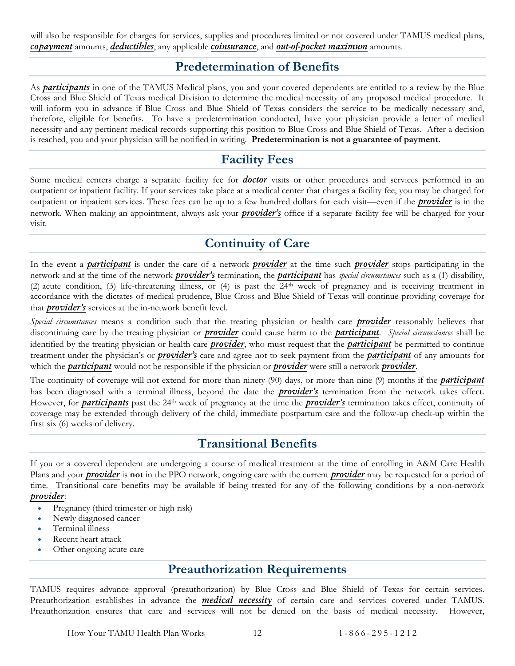<span id="page-14-0"></span>will also be responsible for charges for services, supplies and procedures limited or not covered under TAMUS medical plans, *[copayment](#page-58-3)* amounts, *deductibles*, any applicable *[coinsurance](#page-58-2)*, and *[out-of-pocket maximum](#page-59-1)* amounts.

#### **Predetermination of Benefits**

As *[participants](#page-59-0)* in one of the TAMUS Medical plans, you and your covered dependents are entitled to a review by the Blue Cross and Blue Shield of Texas medical Division to determine the medical necessity of any proposed medical procedure. It will inform you in advance if Blue Cross and Blue Shield of Texas considers the service to be medically necessary and, therefore, eligible for benefits. To have a predetermination conducted, have your physician provide a letter of medical necessity and any pertinent medical records supporting this position to Blue Cross and Blue Shield of Texas. After a decision is reached, you and your physician will be notified in writing. **Predetermination is not a guarantee of payment.**

## **Facility Fees**

<span id="page-14-1"></span>Some medical centers charge a separate facility fee for *[doctor](#page-58-4)* visits or other procedures and services performed in an outpatient or inpatient facility. If your services take place at a medical center that charges a facility fee, you may be charged for outpatient or inpatient services. These fees can be up to a few hundred dollars for each visit—even if the *[provider](#page-59-3)* is in the network. When making an appointment, always ask your *[provider's](#page-59-3)* office if a separate facility fee will be charged for your visit.

## **Continuity of Care**

<span id="page-14-2"></span>In the event a *[participant](#page-59-0)* is under the care of a network *[provider](#page-59-3)* at the time such *[provider](#page-59-3)* stops participating in the network and at the time of the network *[provider's](#page-59-3)* termination, the *[participant](#page-59-0)* has *special circumstances* such as a (1) disability, (2) acute condition, (3) life-threatening illness, or (4) is past the 24th week of pregnancy and is receiving treatment in accordance with the dictates of medical prudence, Blue Cross and Blue Shield of Texas will continue providing coverage for that *[provider's](#page-59-3)* services at the in-network benefit level.

*Special circumstances* means a condition such that the treating physician or health care *[provider](#page-59-3)* reasonably believes that discontinuing care by the treating physician or *[provider](#page-59-3)* could cause harm to the *[participant](#page-59-0)*. *Special circumstances* shall be identified by the treating physician or health care *[provider](#page-59-3)*, who must request that the *[participant](#page-59-0)* be permitted to continue treatment under the physician's or *[provider's](#page-59-3)* care and agree not to seek payment from the *[participant](#page-59-0)* of any amounts for which the *[participant](#page-59-0)* would not be responsible if the physician or *[provider](#page-59-3)* were still a network *[provider](#page-59-3)*.

The continuity of coverage will not extend for more than ninety (90) days, or more than nine (9) months if the *[participant](#page-59-0)* has been diagnosed with a terminal illness, beyond the date the *[provider's](#page-59-3)* termination from the network takes effect. However, for *[participants](#page-59-0)* past the 24<sup>th</sup> week of pregnancy at the time the *[provider's](#page-59-3)* termination takes effect, continuity of coverage may be extended through delivery of the child, immediate postpartum care and the follow-up check-up within the first six (6) weeks of delivery.

#### **Transitional Benefits**

<span id="page-14-3"></span>If you or a covered dependent are undergoing a course of medical treatment at the time of enrolling in A&M Care Health Plans and your *[provider](#page-59-3)* is **not** in the PPO network, ongoing care with the current *[provider](#page-59-3)* may be requested for a period of time. Transitional care benefits may be available if being treated for any of the following conditions by a non-network *[provider](#page-59-3)*:

- Pregnancy (third trimester or high risk)
- Newly diagnosed cancer
- Terminal illness
- Recent heart attack
- <span id="page-14-4"></span>Other ongoing acute care

#### **Preauthorization Requirements**

TAMUS requires advance approval (preauthorization) by Blue Cross and Blue Shield of Texas for certain services. Preauthorization establishes in advance the *medical necessity* of certain care and services covered under TAMUS. Preauthorization ensures that care and services will not be denied on the basis of medical necessity. However,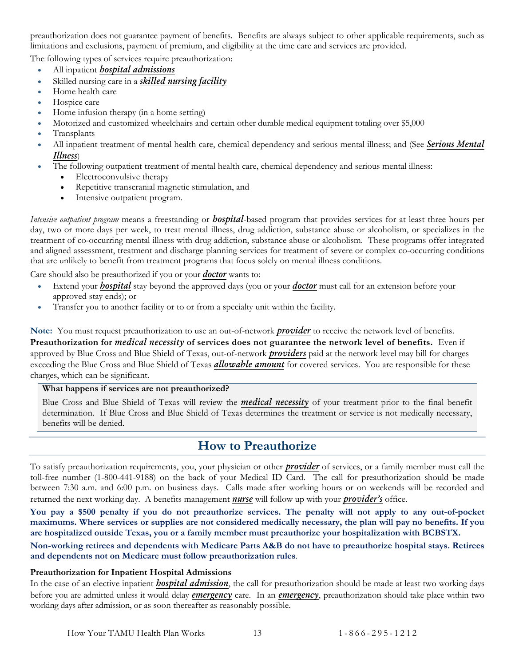preauthorization does not guarantee payment of benefits. Benefits are always subject to other applicable requirements, such as limitations and exclusions, payment of premium, and eligibility at the time care and services are provided.

The following types of services require preauthorization:

- All inpatient *[hospital admissions](#page-59-4)*
- Skilled nursing care in a *[skilled nursing facility](#page-60-1)*
- Home health care
- Hospice care
- Home infusion therapy (in a home setting)
- Motorized and customized wheelchairs and certain other durable medical equipment totaling over \$5,000
- Transplants
- All inpatient treatment of mental health care, chemical dependency and serious mental illness; and (See *[Serious Mental](#page-25-0)  [Illness](#page-25-0)*)
	- The following outpatient treatment of mental health care, chemical dependency and serious mental illness:
		- Electroconvulsive therapy
		- Repetitive transcranial magnetic stimulation, and
		- Intensive outpatient program.

*Intensive outpatient program* means a freestanding or *[hospital](#page-59-4)*-based program that provides services for at least three hours per day, two or more days per week, to treat mental illness, drug addiction, substance abuse or alcoholism, or specializes in the treatment of co-occurring mental illness with drug addiction, substance abuse or alcoholism. These programs offer integrated and aligned assessment, treatment and discharge planning services for treatment of severe or complex co-occurring conditions that are unlikely to benefit from treatment programs that focus solely on mental illness conditions.

Care should also be preauthorized if you or your *[doctor](#page-58-4)* wants to:

- Extend your *[hospital](#page-59-4)* stay beyond the approved days (you or your *[doctor](#page-58-4)* must call for an extension before your approved stay ends); or
- Transfer you to another facility or to or from a specialty unit within the facility.

**Note:** You must request preauthorization to use an out-of-network *[provider](#page-59-3)* to receive the network level of benefits. **Preauthorization for** *medical necessity* **of services does not guarantee the network level of benefits.** Even if approved by Blue Cross and Blue Shield of Texas, out-of-network *[providers](#page-59-3)* paid at the network level may bill for charges exceeding the Blue Cross and Blue Shield of Texas *[allowable amount](#page-57-1)* for covered services. You are responsible for these charges, which can be significant.

#### **What happens if services are not preauthorized?**

Blue Cross and Blue Shield of Texas will review the *medical necessity* of your treatment prior to the final benefit determination. If Blue Cross and Blue Shield of Texas determines the treatment or service is not medically necessary, benefits will be denied.

#### **How to Preauthorize**

<span id="page-15-0"></span>To satisfy preauthorization requirements, you, your physician or other *[provider](#page-59-3)* of services, or a family member must call the toll-free number (1-800-441-9188) on the back of your Medical ID Card. The call for preauthorization should be made between 7:30 a.m. and 6:00 p.m. on business days. Calls made after working hours or on weekends will be recorded and returned the next working day. A benefits management *[nurse](#page-59-5)* will follow up with your *[provider's](#page-59-3)* office.

**You pay a \$500 penalty if you do not preauthorize services. The penalty will not apply to any out-of-pocket maximums. Where services or supplies are not considered medically necessary, the plan will pay no benefits. If you are hospitalized outside Texas, you or a family member must preauthorize your hospitalization with BCBSTX.** 

**Non-working retirees and dependents with Medicare Parts A&B do not have to preauthorize hospital stays. Retirees and dependents not on Medicare must follow preauthorization rules**.

#### **Preauthorization for Inpatient Hospital Admissions**

In the case of an elective inpatient *[hospital admission](#page-59-4)*, the call for preauthorization should be made at least two working days before you are admitted unless it would delay *[emergency](#page-58-5)* care. In an *[emergency](#page-58-5)*, preauthorization should take place within two working days after admission, or as soon thereafter as reasonably possible.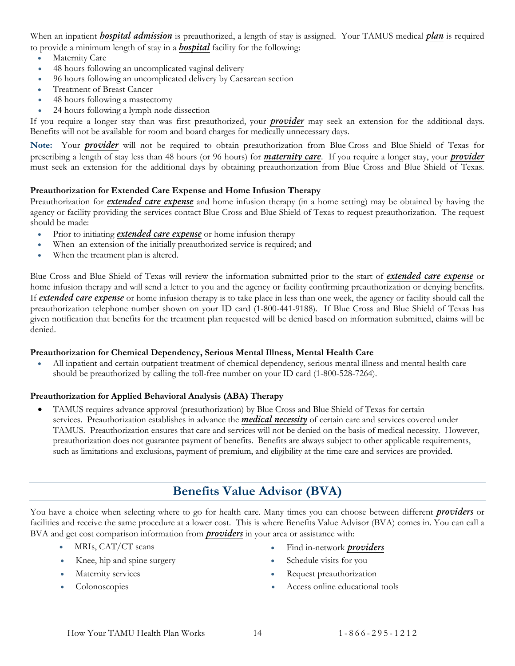When an inpatient *hospital admission* is preauthorized, a length of stay is assigned. Your TAMUS medical *plan* is required to provide a minimum length of stay in a *[hospital](#page-59-4)* facility for the following:

- Maternity Care
- 48 hours following an uncomplicated vaginal delivery
- 96 hours following an uncomplicated delivery by Caesarean section
- Treatment of Breast Cancer
- 48 hours following a mastectomy
- 24 hours following a lymph node dissection

If you require a longer stay than was first preauthorized, your *[provider](#page-59-3)* may seek an extension for the additional days. Benefits will not be available for room and board charges for medically unnecessary days.

**Note:** Your *[provider](#page-59-3)* will not be required to obtain preauthorization from Blue Cross and Blue Shield of Texas for prescribing a length of stay less than 48 hours (or 96 hours) for *[maternity care](#page-24-0)*. If you require a longer stay, your *[provider](#page-59-3)* must seek an extension for the additional days by obtaining preauthorization from Blue Cross and Blue Shield of Texas.

#### **Preauthorization for Extended Care Expense and Home Infusion Therapy**

Preauthorization for *extended care expense* and home infusion therapy (in a home setting) may be obtained by having the agency or facility providing the services contact Blue Cross and Blue Shield of Texas to request preauthorization. The request should be made:

- Prior to initiating *extended care expense* or home infusion therapy
- When an extension of the initially preauthorized service is required; and
- When the treatment plan is altered.

Blue Cross and Blue Shield of Texas will review the information submitted prior to the start of *extended care expense* or home infusion therapy and will send a letter to you and the agency or facility confirming preauthorization or denying benefits. If *extended care expense* or home infusion therapy is to take place in less than one week, the agency or facility should call the preauthorization telephone number shown on your ID card (1-800-441-9188). If Blue Cross and Blue Shield of Texas has given notification that benefits for the treatment plan requested will be denied based on information submitted, claims will be denied.

#### **Preauthorization for Chemical Dependency, Serious Mental Illness, Mental Health Care**

• All inpatient and certain outpatient treatment of chemical dependency, serious mental illness and mental health care should be preauthorized by calling the toll-free number on your ID card (1-800-528-7264).

#### **Preauthorization for Applied Behavioral Analysis (ABA) Therapy**

• TAMUS requires advance approval (preauthorization) by Blue Cross and Blue Shield of Texas for certain services. Preauthorization establishes in advance the *medical necessity* of certain care and services covered under TAMUS. Preauthorization ensures that care and services will not be denied on the basis of medical necessity. However, preauthorization does not guarantee payment of benefits. Benefits are always subject to other applicable requirements, such as limitations and exclusions, payment of premium, and eligibility at the time care and services are provided.

## **Benefits Value Advisor (BVA)**

<span id="page-16-0"></span>You have a choice when selecting where to go for health care. Many times you can choose between different *[providers](#page-59-3)* or facilities and receive the same procedure at a lower cost. This is where Benefits Value Advisor (BVA) comes in. You can call a BVA and get cost comparison information from *[providers](#page-59-3)* in your area or assistance with:

- 
- Knee, hip and spine surgery example of Schedule visits for you
- 
- 
- MRIs, CAT/CT scans Find in-network *[providers](#page-59-3)* 
	-
	- **Maternity services** Request preauthorization
	- Colonoscopies Access online educational tools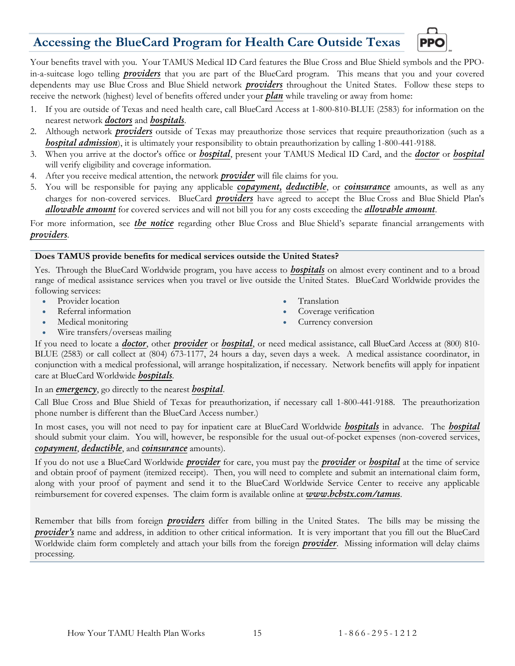## <span id="page-17-0"></span>**Accessing the BlueCard Program for Health Care Outside Texas**



Your benefits travel with you. Your TAMUS Medical ID Card features the Blue Cross and Blue Shield symbols and the PPOin-a-suitcase logo telling *[providers](#page-59-3)* that you are part of the BlueCard program. This means that you and your covered dependents may use Blue Cross and Blue Shield network *[providers](#page-59-3)* throughout the United States. Follow these steps to receive the network (highest) level of benefits offered under your *plan* while traveling or away from home:

- 1. If you are outside of Texas and need health care, call BlueCard Access at 1-800-810-BLUE (2583) for information on the nearest network *[doctors](#page-58-4)* and *[hospitals](#page-59-4)*.
- 2. Although network *[providers](#page-59-3)* outside of Texas may preauthorize those services that require preauthorization (such as a *[hospital admission](#page-59-4)*), it is ultimately your responsibility to obtain preauthorization by calling 1-800-441-9188.
- 3. When you arrive at the doctor's office or *[hospital](#page-59-4)*, present your TAMUS Medical ID Card, and the *[doctor](#page-58-4)* or *[hospital](#page-59-4)* will verify eligibility and coverage information.
- 4. After you receive medical attention, the network *[provider](#page-59-3)* will file claims for you.
- 5. You will be responsible for paying any applicable *[copayment,](#page-58-3) deductible*, or *[coinsurance](#page-58-2)* amounts, as well as any charges for non-covered services. BlueCard *[providers](#page-59-3)* have agreed to accept the Blue Cross and Blue Shield Plan's *[allowable amount](#page-57-1)* for covered services and will not bill you for any costs exceeding the *[allowable amount](#page-57-1)*.

For more information, see *[the notice](#page-65-2)* regarding other Blue Cross and Blue Shield's separate financial arrangements with *[providers](#page-59-3)*.

#### **Does TAMUS provide benefits for medical services outside the United States?**

Yes. Through the BlueCard Worldwide program, you have access to *[hospitals](#page-59-4)* on almost every continent and to a broad range of medical assistance services when you travel or live outside the United States. BlueCard Worldwide provides the following services:

- Provider location
- Referral information
- Medical monitoring
- Translation
- Coverage verification
- Currency conversion

• Wire transfers/overseas mailing

If you need to locate a *[doctor](#page-58-4)*, other *[provider](#page-59-3)* or *[hospital](#page-59-4)*, or need medical assistance, call BlueCard Access at (800) 810- BLUE (2583) or call collect at (804) 673-1177, 24 hours a day, seven days a week. A medical assistance coordinator, in conjunction with a medical professional, will arrange hospitalization, if necessary. Network benefits will apply for inpatient care at BlueCard Worldwide *[hospitals](#page-59-4)*.

#### In an *[emergency](#page-58-5)*, go directly to the nearest *[hospital](#page-59-4)*.

Call Blue Cross and Blue Shield of Texas for preauthorization, if necessary call 1-800-441-9188. The preauthorization phone number is different than the BlueCard Access number.)

In most cases, you will not need to pay for inpatient care at BlueCard Worldwide *[hospitals](#page-59-4)* in advance. The *[hospital](#page-59-4)* should submit your claim. You will, however, be responsible for the usual out-of-pocket expenses (non-covered services, *[copayment](#page-58-3)*, *deductible*, and *[coinsurance](#page-58-2)* amounts).

If you do not use a BlueCard Worldwide *[provider](#page-59-3)* for care, you must pay the *[provider](#page-59-3)* or *[hospital](#page-59-4)* at the time of service and obtain proof of payment (itemized receipt). Then, you will need to complete and submit an international claim form, along with your proof of payment and send it to the BlueCard Worldwide Service Center to receive any applicable reimbursement for covered expenses. The claim form is available online at *[www.bcbstx.com/tamus](http://www.bcbstx.com/tamus)*.

Remember that bills from foreign *[providers](#page-59-3)* differ from billing in the United States. The bills may be missing the *[provider's](#page-59-3)* name and address, in addition to other critical information. It is very important that you fill out the BlueCard Worldwide claim form completely and attach your bills from the foreign *[provider](#page-59-3)*. Missing information will delay claims processing.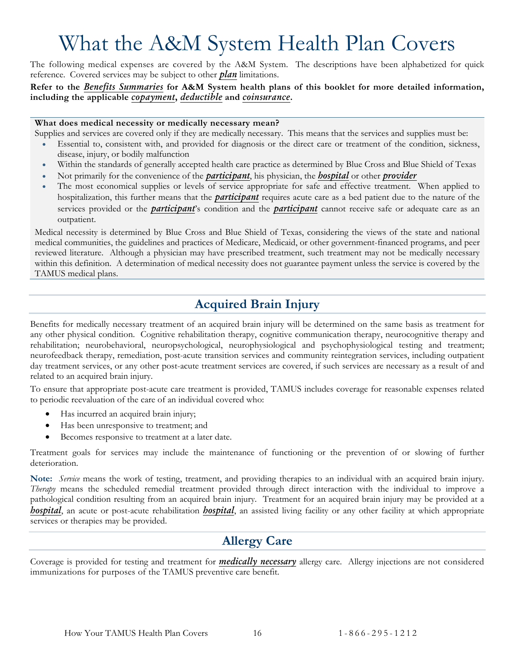# What the A&M System Health Plan Covers

<span id="page-18-0"></span>The following medical expenses are covered by the A&M System. The descriptions have been alphabetized for quick reference. Covered services may be subject to other *plan* limitations.

**Refer to the** *[Benefits Summaries](#page-6-0)* **for A&M System health plans of this booklet for more detailed information, including the applicable** *[copayment](#page-58-3)***,** *deductible* **and** *[coinsurance](#page-58-2)***.**

#### **What does medical necessity or medically necessary mean?**

Supplies and services are covered only if they are medically necessary. This means that the services and supplies must be:

- Essential to, consistent with, and provided for diagnosis or the direct care or treatment of the condition, sickness, disease, injury, or bodily malfunction
- Within the standards of generally accepted health care practice as determined by Blue Cross and Blue Shield of Texas
- Not primarily for the convenience of the *[participant](#page-59-0)*, his physician, the *[hospital](#page-59-4)* or other *[provider](#page-59-3)*
- The most economical supplies or levels of service appropriate for safe and effective treatment. When applied to hospitalization, this further means that the *[participant](#page-59-0)* requires acute care as a bed patient due to the nature of the services provided or the *[participant](#page-59-0)*'s condition and the *[participant](#page-59-0)* cannot receive safe or adequate care as an outpatient.

Medical necessity is determined by Blue Cross and Blue Shield of Texas, considering the views of the state and national medical communities, the guidelines and practices of Medicare, Medicaid, or other government-financed programs, and peer reviewed literature. Although a physician may have prescribed treatment, such treatment may not be medically necessary within this definition. A determination of medical necessity does not guarantee payment unless the service is covered by the TAMUS medical plans.

## **Acquired Brain Injury**

<span id="page-18-1"></span>Benefits for medically necessary treatment of an acquired brain injury will be determined on the same basis as treatment for any other physical condition. Cognitive rehabilitation therapy, cognitive communication therapy, neurocognitive therapy and rehabilitation; neurobehavioral, neuropsychological, neurophysiological and psychophysiological testing and treatment; neurofeedback therapy, remediation, post-acute transition services and community reintegration services, including outpatient day treatment services, or any other post-acute treatment services are covered, if such services are necessary as a result of and related to an acquired brain injury.

To ensure that appropriate post-acute care treatment is provided, TAMUS includes coverage for reasonable expenses related to periodic reevaluation of the care of an individual covered who:

- Has incurred an acquired brain injury;
- Has been unresponsive to treatment; and
- Becomes responsive to treatment at a later date.

Treatment goals for services may include the maintenance of functioning or the prevention of or slowing of further deterioration.

**Note:** *Service* means the work of testing, treatment, and providing therapies to an individual with an acquired brain injury. *Therapy* means the scheduled remedial treatment provided through direct interaction with the individual to improve a pathological condition resulting from an acquired brain injury. Treatment for an acquired brain injury may be provided at a *[hospital](#page-59-4)*, an acute or post-acute rehabilitation *[hospital](#page-59-4)*, an assisted living facility or any other facility at which appropriate services or therapies may be provided.

## **Allergy Care**

<span id="page-18-2"></span>Coverage is provided for testing and treatment for *medically necessary* allergy care. Allergy injections are not considered immunizations for purposes of the TAMUS preventive care benefit.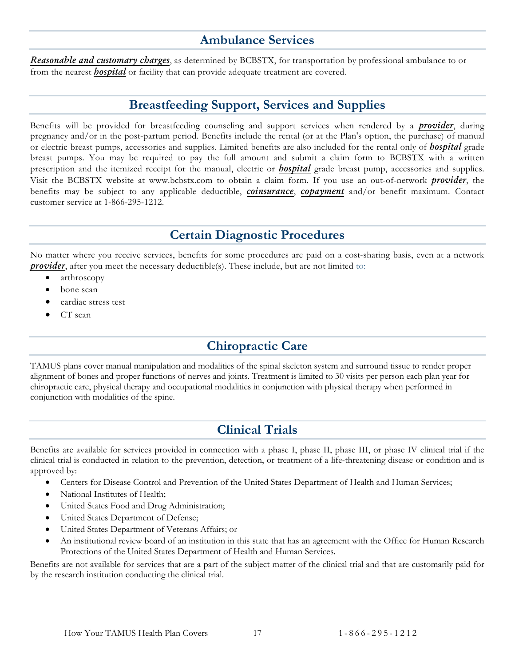#### **Ambulance Services**

<span id="page-19-0"></span>*[Reasonable and customary charges](#page-59-6)*, as determined by BCBSTX, for transportation by professional ambulance to or from the nearest *[hospital](#page-59-4)* or facility that can provide adequate treatment are covered.

## **Breastfeeding Support, Services and Supplies**

<span id="page-19-1"></span>Benefits will be provided for breastfeeding counseling and support services when rendered by a *[provider](#page-59-3)*, during pregnancy and/or in the post-partum period. Benefits include the rental (or at the Plan's option, the purchase) of manual or electric breast pumps, accessories and supplies. Limited benefits are also included for the rental only of *[hospital](#page-59-4)* grade breast pumps. You may be required to pay the full amount and submit a claim form to BCBSTX with a written prescription and the itemized receipt for the manual, electric or *[hospital](#page-59-4)* grade breast pump, accessories and supplies. Visit the BCBSTX website at www.bcbstx.com to obtain a claim form. If you use an out-of-network *[provider](#page-59-3)*, the benefits may be subject to any applicable deductible, *[coinsurance](#page-58-2)*, *[copayment](#page-58-3)* and/or benefit maximum. Contact customer service at 1-866-295-1212.

## **Certain Diagnostic Procedures**

<span id="page-19-2"></span>No matter where you receive services, benefits for some procedures are paid on a cost-sharing basis, even at a network *[provider](#page-59-3)*, after you meet the necessary deductible(s). These include, but are not limited to:

- arthroscopy
- bone scan
- cardiac stress test
- <span id="page-19-3"></span>CT scan

## **Chiropractic Care**

TAMUS plans cover manual manipulation and modalities of the spinal skeleton system and surround tissue to render proper alignment of bones and proper functions of nerves and joints. Treatment is limited to 30 visits per person each plan year for chiropractic care, physical therapy and occupational modalities in conjunction with physical therapy when performed in conjunction with modalities of the spine.

## **Clinical Trials**

<span id="page-19-4"></span>Benefits are available for services provided in connection with a phase I, phase II, phase III, or phase IV clinical trial if the clinical trial is conducted in relation to the prevention, detection, or treatment of a life-threatening disease or condition and is approved by:

- Centers for Disease Control and Prevention of the United States Department of Health and Human Services;
- National Institutes of Health;
- United States Food and Drug Administration;
- United States Department of Defense;
- United States Department of Veterans Affairs; or
- An institutional review board of an institution in this state that has an agreement with the Office for Human Research Protections of the United States Department of Health and Human Services.

Benefits are not available for services that are a part of the subject matter of the clinical trial and that are customarily paid for by the research institution conducting the clinical trial.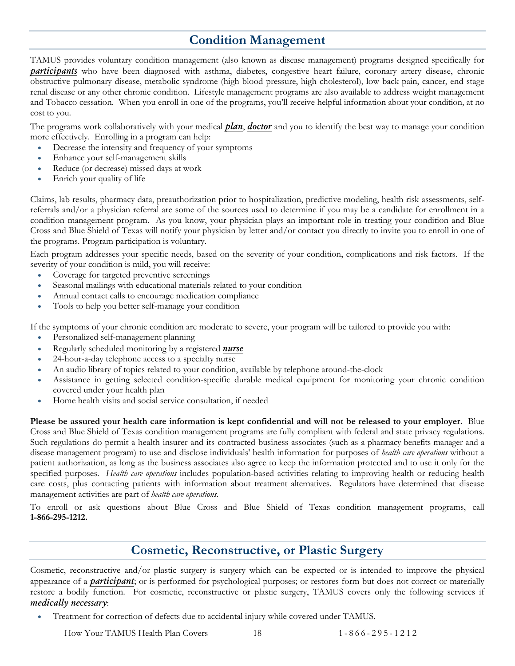## **Condition Management**

<span id="page-20-0"></span>TAMUS provides voluntary condition management (also known as disease management) programs designed specifically for *[participants](#page-59-0)* who have been diagnosed with asthma, diabetes, congestive heart failure, coronary artery disease, chronic obstructive pulmonary disease, metabolic syndrome (high blood pressure, high cholesterol), low back pain, cancer, end stage renal disease or any other chronic condition. Lifestyle management programs are also available to address weight management and Tobacco cessation. When you enroll in one of the programs, you'll receive helpful information about your condition, at no cost to you.

The programs work collaboratively with your medical *plan*, *[doctor](#page-58-4)* and you to identify the best way to manage your condition more effectively. Enrolling in a program can help:

- Decrease the intensity and frequency of your symptoms
- Enhance your self-management skills
- Reduce (or decrease) missed days at work
- Enrich your quality of life

Claims, lab results, pharmacy data, preauthorization prior to hospitalization, predictive modeling, health risk assessments, selfreferrals and/or a physician referral are some of the sources used to determine if you may be a candidate for enrollment in a condition management program. As you know, your physician plays an important role in treating your condition and Blue Cross and Blue Shield of Texas will notify your physician by letter and/or contact you directly to invite you to enroll in one of the programs. Program participation is voluntary.

Each program addresses your specific needs, based on the severity of your condition, complications and risk factors. If the severity of your condition is mild, you will receive:

- Coverage for targeted preventive screenings
- Seasonal mailings with educational materials related to your condition
- Annual contact calls to encourage medication compliance
- Tools to help you better self-manage your condition

If the symptoms of your chronic condition are moderate to severe, your program will be tailored to provide you with:

- Personalized self-management planning
- Regularly scheduled monitoring by a registered *[nurse](#page-59-5)*
- 24-hour-a-day telephone access to a specialty nurse
- An audio library of topics related to your condition, available by telephone around-the-clock
- Assistance in getting selected condition-specific durable medical equipment for monitoring your chronic condition covered under your health plan
- Home health visits and social service consultation, if needed

**Please be assured your health care information is kept confidential and will not be released to your employer.** Blue Cross and Blue Shield of Texas condition management programs are fully compliant with federal and state privacy regulations. Such regulations do permit a health insurer and its contracted business associates (such as a pharmacy benefits manager and a disease management program) to use and disclose individuals' health information for purposes of *health care operations* without a patient authorization, as long as the business associates also agree to keep the information protected and to use it only for the specified purposes. *Health care operations* includes population-based activities relating to improving health or reducing health care costs, plus contacting patients with information about treatment alternatives. Regulators have determined that disease management activities are part of *health care operations.*

To enroll or ask questions about Blue Cross and Blue Shield of Texas condition management programs, call **1-866-295-1212.**

#### **Cosmetic, Reconstructive, or Plastic Surgery**

<span id="page-20-1"></span>Cosmetic, reconstructive and/or plastic surgery is surgery which can be expected or is intended to improve the physical appearance of a *[participant](#page-59-0)*; or is performed for psychological purposes; or restores form but does not correct or materially restore a bodily function. For cosmetic, reconstructive or plastic surgery, TAMUS covers only the following services if *medically necessary*:

• Treatment for correction of defects due to accidental injury while covered under TAMUS.

How Your TAMUS Health Plan Covers 18 1 - 866 - 295 - 1 2 1 2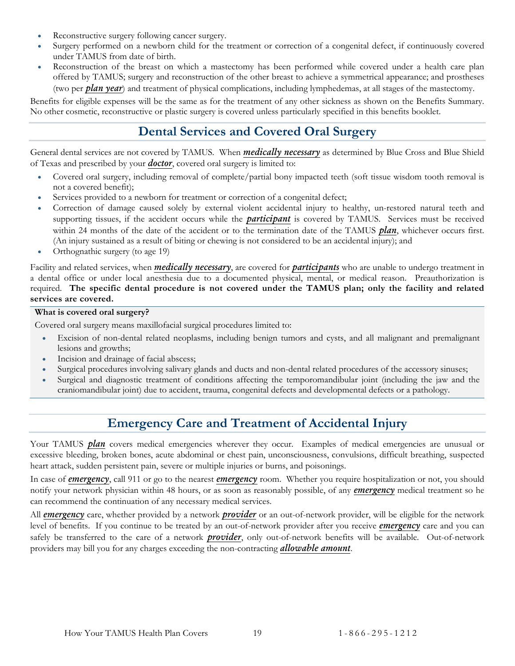- Reconstructive surgery following cancer surgery.
- Surgery performed on a newborn child for the treatment or correction of a congenital defect, if continuously covered under TAMUS from date of birth.
- Reconstruction of the breast on which a mastectomy has been performed while covered under a health care plan offered by TAMUS; surgery and reconstruction of the other breast to achieve a symmetrical appearance; and prostheses (two per *plan year*) and treatment of physical complications, including lymphedemas, at all stages of the mastectomy.

<span id="page-21-0"></span>Benefits for eligible expenses will be the same as for the treatment of any other sickness as shown on the Benefits Summary. No other cosmetic, reconstructive or plastic surgery is covered unless particularly specified in this benefits booklet.

## **Dental Services and Covered Oral Surgery**

General dental services are not covered by TAMUS. When *medically necessary* as determined by Blue Cross and Blue Shield of Texas and prescribed by your *[doctor](#page-58-4)*, covered oral surgery is limited to:

- Covered oral surgery, including removal of complete/partial bony impacted teeth (soft tissue wisdom tooth removal is not a covered benefit);
- Services provided to a newborn for treatment or correction of a congenital defect;
- Correction of damage caused solely by external violent accidental injury to healthy, un-restored natural teeth and supporting tissues, if the accident occurs while the *[participant](#page-59-0)* is covered by TAMUS. Services must be received within 24 months of the date of the accident or to the termination date of the TAMUS *plan*, whichever occurs first. (An injury sustained as a result of biting or chewing is not considered to be an accidental injury); and
- Orthognathic surgery (to age 19)

Facility and related services, when *medically necessary*, are covered for *[participants](#page-59-0)* who are unable to undergo treatment in a dental office or under local anesthesia due to a documented physical, mental, or medical reason. Preauthorization is required. **The specific dental procedure is not covered under the TAMUS plan; only the facility and related services are covered.**

#### **What is covered oral surgery?**

Covered oral surgery means maxillofacial surgical procedures limited to:

- Excision of non-dental related neoplasms, including benign tumors and cysts, and all malignant and premalignant lesions and growths;
- Incision and drainage of facial abscess;
- Surgical procedures involving salivary glands and ducts and non-dental related procedures of the accessory sinuses;
- Surgical and diagnostic treatment of conditions affecting the temporomandibular joint (including the jaw and the craniomandibular joint) due to accident, trauma, congenital defects and developmental defects or a pathology.

## **Emergency Care and Treatment of Accidental Injury**

<span id="page-21-1"></span>Your TAMUS *plan* covers medical emergencies wherever they occur. Examples of medical emergencies are unusual or excessive bleeding, broken bones, acute abdominal or chest pain, unconsciousness, convulsions, difficult breathing, suspected heart attack, sudden persistent pain, severe or multiple injuries or burns, and poisonings.

In case of *[emergency](#page-58-5)*, call 911 or go to the nearest *[emergency](#page-58-5)* room. Whether you require hospitalization or not, you should notify your network physician within 48 hours, or as soon as reasonably possible, of any *[emergency](#page-58-5)* medical treatment so he can recommend the continuation of any necessary medical services.

All *[emergency](#page-58-5)* care, whether provided by a network *[provider](#page-59-3)* or an out-of-network provider, will be eligible for the network level of benefits. If you continue to be treated by an out-of-network provider after you receive *[emergency](#page-58-5)* care and you can safely be transferred to the care of a network *[provider](#page-59-3)*, only out-of-network benefits will be available. Out-of-network providers may bill you for any charges exceeding the non-contracting *[allowable amount](#page-57-1)*.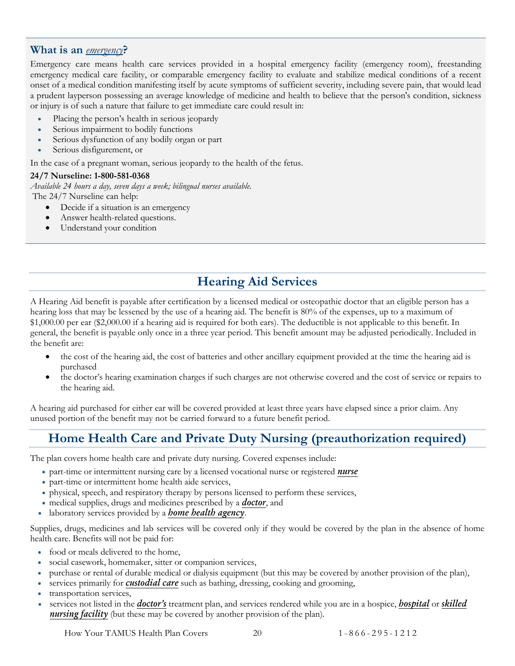#### <span id="page-22-1"></span>**What is an** *[emergency](#page-58-5)***?**

Emergency care means health care services provided in a hospital emergency facility (emergency room), freestanding emergency medical care facility, or comparable emergency facility to evaluate and stabilize medical conditions of a recent onset of a medical condition manifesting itself by acute symptoms of sufficient severity, including severe pain, that would lead a prudent layperson possessing an average knowledge of medicine and health to believe that the person's condition, sickness or injury is of such a nature that failure to get immediate care could result in:

- Placing the person's health in serious jeopardy
- Serious impairment to bodily functions
- Serious dysfunction of any bodily organ or part
- Serious disfigurement, or

In the case of a pregnant woman, serious jeopardy to the health of the fetus.

#### **24/7 Nurseline: 1-800-581-0368**

*Available 24 hours a day, seven days a week; bilingual nurses available.*  The 24/7 Nurseline can help:

- Decide if a situation is an emergency
- Answer health-related questions.
- Understand your condition

## **Hearing Aid Services**

A Hearing Aid benefit is payable after certification by a licensed medical or osteopathic doctor that an eligible person has a hearing loss that may be lessened by the use of a hearing aid. The benefit is 80% of the expenses, up to a maximum of \$1,000.00 per ear (\$2,000.00 if a hearing aid is required for both ears). The deductible is not applicable to this benefit. In general, the benefit is payable only once in a three year period. This benefit amount may be adjusted periodically. Included in the benefit are:

- the cost of the hearing aid, the cost of batteries and other ancillary equipment provided at the time the hearing aid is purchased
- the doctor's hearing examination charges if such charges are not otherwise covered and the cost of service or repairs to the hearing aid.

A hearing aid purchased for either ear will be covered provided at least three years have elapsed since a prior claim. Any unused portion of the benefit may not be carried forward to a future benefit period.

## <span id="page-22-0"></span>**Home Health Care and Private Duty Nursing (preauthorization required)**

The plan covers home health care and private duty nursing. Covered expenses include:

- part-time or intermittent nursing care by a licensed vocational nurse or registered *[nurse](#page-59-5)*
- part-time or intermittent home health aide services,
- physical, speech, and respiratory therapy by persons licensed to perform these services,
- medical supplies, drugs and medicines prescribed by a *[doctor](#page-58-4)*, and
- laboratory services provided by a *[home health agency](#page-59-7)*.

Supplies, drugs, medicines and lab services will be covered only if they would be covered by the plan in the absence of home health care. Benefits will not be paid for:

- food or meals delivered to the home,
- social casework, homemaker, sitter or companion services,
- purchase or rental of durable medical or dialysis equipment (but this may be covered by another provision of the plan),
- services primarily for **[custodial care](#page-58-6)** such as bathing, dressing, cooking and grooming,
- transportation services,
- services not listed in the *[doctor's](#page-58-4)* treatment plan, and services rendered while you are in a hospice, *[hospital](#page-59-4)* or *[skilled](#page-60-1)  [nursing facility](#page-60-1)* (but these may be covered by another provision of the plan).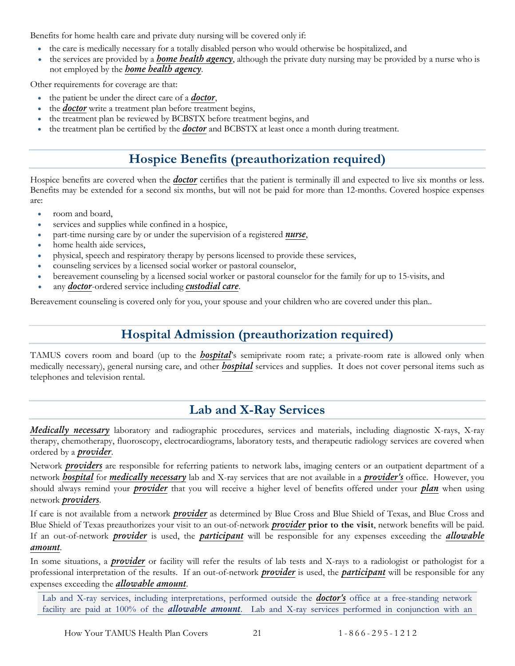Benefits for home health care and private duty nursing will be covered only if:

- the care is medically necessary for a totally disabled person who would otherwise be hospitalized, and
- the services are provided by a *[home health agency](#page-59-7)*, although the private duty nursing may be provided by a nurse who is not employed by the *[home health agency](#page-59-7)*.

Other requirements for coverage are that:

- the patient be under the direct care of a *[doctor](#page-58-4)*,
- the *[doctor](#page-58-4)* write a treatment plan before treatment begins,
- the treatment plan be reviewed by BCBSTX before treatment begins, and
- <span id="page-23-0"></span>• the treatment plan be certified by the *[doctor](#page-58-4)* and BCBSTX at least once a month during treatment.

## **Hospice Benefits (preauthorization required)**

Hospice benefits are covered when the *[doctor](#page-58-4)* certifies that the patient is terminally ill and expected to live six months or less. Benefits may be extended for a second six months, but will not be paid for more than 12-months. Covered hospice expenses are:

- room and board,
- services and supplies while confined in a hospice,
- part-time nursing care by or under the supervision of a registered *[nurse](#page-59-5)*,
- home health aide services,
- physical, speech and respiratory therapy by persons licensed to provide these services,
- counseling services by a licensed social worker or pastoral counselor,
- bereavement counseling by a licensed social worker or pastoral counselor for the family for up to 15-visits, and
- any *[doctor](#page-58-4)*-ordered service including *[custodial care](#page-58-6)*.

<span id="page-23-1"></span>Bereavement counseling is covered only for you, your spouse and your children who are covered under this plan..

## **Hospital Admission (preauthorization required)**

TAMUS covers room and board (up to the *[hospital](#page-59-4)*'s semiprivate room rate; a private-room rate is allowed only when medically necessary), general nursing care, and other *[hospital](#page-59-4)* services and supplies. It does not cover personal items such as telephones and television rental.

## **Lab and X-Ray Services**

<span id="page-23-2"></span>*Medically necessary* laboratory and radiographic procedures, services and materials, including diagnostic X-rays, X-ray therapy, chemotherapy, fluoroscopy, electrocardiograms, laboratory tests, and therapeutic radiology services are covered when ordered by a *[provider](#page-59-3)*.

Network *[providers](#page-59-3)* are responsible for referring patients to network labs, imaging centers or an outpatient department of a network *[hospital](#page-59-4)* for *medically necessary* lab and X-ray services that are not available in a *[provider's](#page-59-3)* office. However, you should always remind your *[provider](#page-59-3)* that you will receive a higher level of benefits offered under your *plan* when using network *[providers](#page-59-3)*.

If care is not available from a network *[provider](#page-59-3)* as determined by Blue Cross and Blue Shield of Texas, and Blue Cross and Blue Shield of Texas preauthorizes your visit to an out-of-network *[provider](#page-59-3)* **prior to the visit**, network benefits will be paid. If an out-of-network *[provider](#page-59-3)* is used, the *[participant](#page-59-0)* will be responsible for any expenses exceeding the *[allowable](#page-57-1)  [amount](#page-57-1)*.

In some situations, a *[provider](#page-59-3)* or facility will refer the results of lab tests and X-rays to a radiologist or pathologist for a professional interpretation of the results. If an out-of-network *[provider](#page-59-3)* is used, the *[participant](#page-59-0)* will be responsible for any expenses exceeding the *[allowable amount](#page-57-1)*.

Lab and X-ray services, including interpretations, performed outside the *[doctor's](#page-58-4)* office at a free-standing network facility are paid at 100% of the *[allowable amount](#page-57-1)*. Lab and X-ray services performed in conjunction with an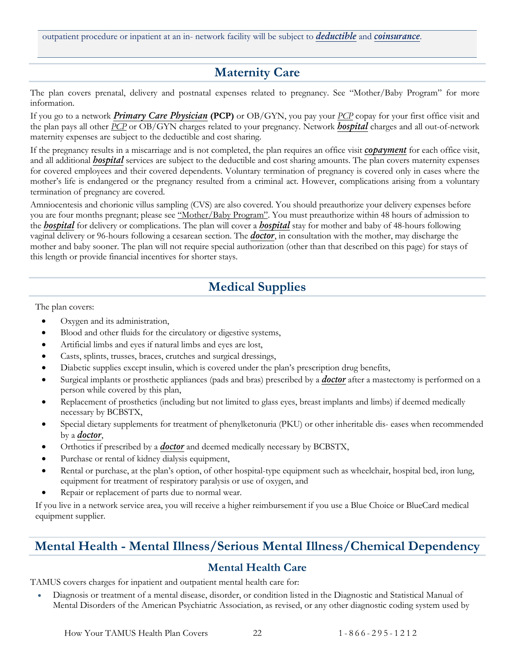<span id="page-24-0"></span>outpatient procedure or inpatient at an in- network facility will be subject to *deductible* and *[coinsurance](#page-58-2)*.

## **Maternity Care**

The plan covers prenatal, delivery and postnatal expenses related to pregnancy. See "Mother/Baby Program" for more information.

If you go to a network *[Primary Care Physician](#page-59-2)* **(PCP)** or OB/GYN, you pay your *[PCP](#page-59-2)* copay for your first office visit and the plan pays all other *[PCP](#page-59-2)* or OB/GYN charges related to your pregnancy. Network *[hospital](#page-59-4)* charges and all out-of-network maternity expenses are subject to the deductible and cost sharing.

If the pregnancy results in a miscarriage and is not completed, the plan requires an office visit *[copayment](#page-58-3)* for each office visit, and all additional *[hospital](#page-59-4)* services are subject to the deductible and cost sharing amounts. The plan covers maternity expenses for covered employees and their covered dependents. Voluntary termination of pregnancy is covered only in cases where the mother's life is endangered or the pregnancy resulted from a criminal act. However, complications arising from a voluntary termination of pregnancy are covered.

Amniocentesis and chorionic villus sampling (CVS) are also covered. You should preauthorize your delivery expenses before you are four months pregnant; please see "Mother/Baby Program". You must preauthorize within 48 hours of admission to the *[hospital](#page-59-4)* for delivery or complications. The plan will cover a *[hospital](#page-59-4)* stay for mother and baby of 48-hours following vaginal delivery or 96-hours following a cesarean section. The *[doctor](#page-58-4)*, in consultation with the mother, may discharge the mother and baby sooner. The plan will not require special authorization (other than that described on this page) for stays of this length or provide financial incentives for shorter stays.

## **Medical Supplies**

<span id="page-24-1"></span>The plan covers:

- Oxygen and its administration,
- Blood and other fluids for the circulatory or digestive systems,
- Artificial limbs and eyes if natural limbs and eyes are lost,
- Casts, splints, trusses, braces, crutches and surgical dressings,
- Diabetic supplies except insulin, which is covered under the plan's prescription drug benefits,
- Surgical implants or prosthetic appliances (pads and bras) prescribed by a *[doctor](#page-58-4)* after a mastectomy is performed on a person while covered by this plan,
- Replacement of prosthetics (including but not limited to glass eyes, breast implants and limbs) if deemed medically necessary by BCBSTX,
- Special dietary supplements for treatment of phenylketonuria (PKU) or other inheritable dis- eases when recommended by a *[doctor](#page-58-4)*,
- Orthotics if prescribed by a *[doctor](#page-58-4)* and deemed medically necessary by BCBSTX,
- Purchase or rental of kidney dialysis equipment,
- Rental or purchase, at the plan's option, of other hospital-type equipment such as wheelchair, hospital bed, iron lung, equipment for treatment of respiratory paralysis or use of oxygen, and
- Repair or replacement of parts due to normal wear.

If you live in a network service area, you will receive a higher reimbursement if you use a Blue Choice or BlueCard medical equipment supplier.

## <span id="page-24-2"></span>**Mental Health - Mental Illness/Serious Mental Illness/Chemical Dependency**

#### **Mental Health Care**

<span id="page-24-3"></span>TAMUS covers charges for inpatient and outpatient mental health care for:

• Diagnosis or treatment of a mental disease, disorder, or condition listed in the Diagnostic and Statistical Manual of Mental Disorders of the American Psychiatric Association, as revised, or any other diagnostic coding system used by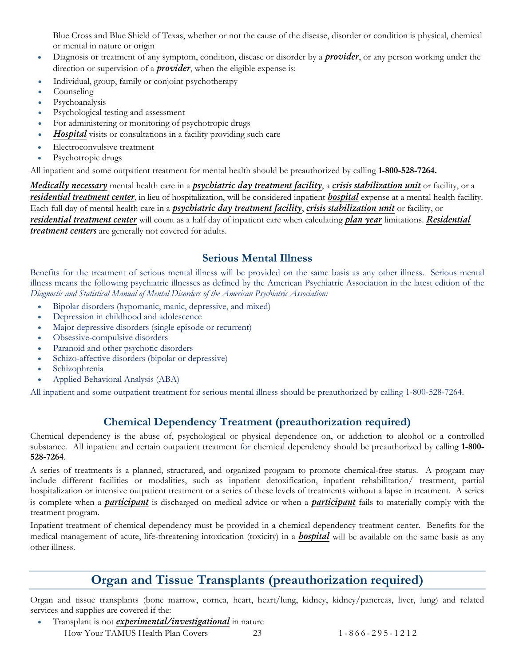Blue Cross and Blue Shield of Texas, whether or not the cause of the disease, disorder or condition is physical, chemical or mental in nature or origin

- Diagnosis or treatment of any symptom, condition, disease or disorder by a *[provider](#page-59-3)*, or any person working under the direction or supervision of a *[provider](#page-59-3)*, when the eligible expense is:
- Individual, group, family or conjoint psychotherapy
- Counseling
- Psychoanalysis
- Psychological testing and assessment
- For administering or monitoring of psychotropic drugs
- *[Hospital](#page-59-4)* visits or consultations in a facility providing such care
- Electroconvulsive treatment
- Psychotropic drugs

All inpatient and some outpatient treatment for mental health should be preauthorized by calling **1-800-528-7264.**

*Medically necessary* mental health care in a *psychiatric day treatment facility*, a *[crisis stabilization unit](#page-58-7)* or facility, or a *[residential treatment center](#page-59-8)*, in lieu of hospitalization, will be considered inpatient *[hospital](#page-59-4)* expense at a mental health facility. Each full day of mental health care in a *psychiatric day treatment facility*, *[crisis stabilization unit](#page-58-7)* or facility, or *[residential treatment center](#page-59-8)* will count as a half day of inpatient care when calculating *plan year* limitations. *[Residential](#page-59-8)  [treatment centers](#page-59-8)* are generally not covered for adults.

#### **Serious Mental Illness**

<span id="page-25-0"></span>Benefits for the treatment of serious mental illness will be provided on the same basis as any other illness. Serious mental illness means the following psychiatric illnesses as defined by the American Psychiatric Association in the latest edition of the *Diagnostic and Statistical Manual of Mental Disorders of the American Psychiatric Association:*

- Bipolar disorders (hypomanic, manic, depressive, and mixed)
- Depression in childhood and adolescence
- Major depressive disorders (single episode or recurrent)
- Obsessive-compulsive disorders
- Paranoid and other psychotic disorders
- Schizo-affective disorders (bipolar or depressive)
- Schizophrenia
- Applied Behavioral Analysis (ABA)

All inpatient and some outpatient treatment for serious mental illness should be preauthorized by calling 1-800-528-7264.

#### **Chemical Dependency Treatment (preauthorization required)**

<span id="page-25-1"></span>Chemical dependency is the abuse of, psychological or physical dependence on, or addiction to alcohol or a controlled substance. All inpatient and certain outpatient treatment for chemical dependency should be preauthorized by calling **1-800- 528-7264**.

A series of treatments is a planned, structured, and organized program to promote chemical-free status. A program may include different facilities or modalities, such as inpatient detoxification, inpatient rehabilitation/ treatment, partial hospitalization or intensive outpatient treatment or a series of these levels of treatments without a lapse in treatment. A series is complete when a *[participant](#page-59-0)* is discharged on medical advice or when a *[participant](#page-59-0)* fails to materially comply with the treatment program.

Inpatient treatment of chemical dependency must be provided in a chemical dependency treatment center. Benefits for the medical management of acute, life-threatening intoxication (toxicity) in a *[hospital](#page-59-4)* will be available on the same basis as any other illness.

## **Organ and Tissue Transplants (preauthorization required)**

<span id="page-25-2"></span>Organ and tissue transplants (bone marrow, cornea, heart, heart/lung, kidney, kidney/pancreas, liver, lung) and related services and supplies are covered if the:

- Transplant is not *experimental/investigational* in nature
	- How Your TAMUS Health Plan Covers 23 1 866 295 1 2 1 2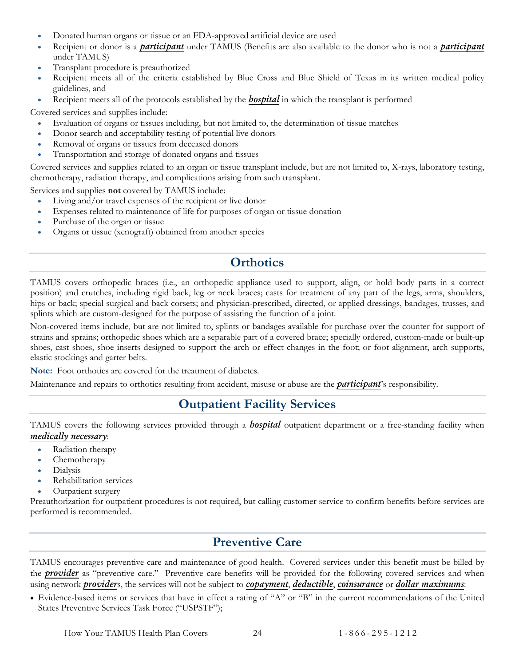- Donated human organs or tissue or an FDA-approved artificial device are used
- Recipient or donor is a *[participant](#page-59-0)* under TAMUS (Benefits are also available to the donor who is not a *[participant](#page-59-0)* under TAMUS)
- Transplant procedure is preauthorized
- Recipient meets all of the criteria established by Blue Cross and Blue Shield of Texas in its written medical policy guidelines, and
- Recipient meets all of the protocols established by the *[hospital](#page-59-4)* in which the transplant is performed

Covered services and supplies include:

- Evaluation of organs or tissues including, but not limited to, the determination of tissue matches
- Donor search and acceptability testing of potential live donors
- Removal of organs or tissues from deceased donors
- Transportation and storage of donated organs and tissues

Covered services and supplies related to an organ or tissue transplant include, but are not limited to, X-rays, laboratory testing, chemotherapy, radiation therapy, and complications arising from such transplant.

Services and supplies **not** covered by TAMUS include:

- Living and/or travel expenses of the recipient or live donor
- Expenses related to maintenance of life for purposes of organ or tissue donation
- Purchase of the organ or tissue
- Organs or tissue (xenograft) obtained from another species

## **Orthotics**

<span id="page-26-0"></span>TAMUS covers orthopedic braces (i.e., an orthopedic appliance used to support, align, or hold body parts in a correct position) and crutches, including rigid back, leg or neck braces; casts for treatment of any part of the legs, arms, shoulders, hips or back; special surgical and back corsets; and physician-prescribed, directed, or applied dressings, bandages, trusses, and splints which are custom-designed for the purpose of assisting the function of a joint.

Non-covered items include, but are not limited to, splints or bandages available for purchase over the counter for support of strains and sprains; orthopedic shoes which are a separable part of a covered brace; specially ordered, custom-made or built-up shoes, cast shoes, shoe inserts designed to support the arch or effect changes in the foot; or foot alignment, arch supports, elastic stockings and garter belts.

**Note:** Foot orthotics are covered for the treatment of diabetes.

<span id="page-26-1"></span>Maintenance and repairs to orthotics resulting from accident, misuse or abuse are the *[participant](#page-59-0)*'s responsibility.

## **Outpatient Facility Services**

TAMUS covers the following services provided through a *[hospital](#page-59-4)* outpatient department or a free-standing facility when *medically necessary*:

- Radiation therapy
- Chemotherapy
- Dialysis
- Rehabilitation services
- Outpatient surgery

Preauthorization for outpatient procedures is not required, but calling customer service to confirm benefits before services are performed is recommended.

## **Preventive Care**

<span id="page-26-2"></span>TAMUS encourages preventive care and maintenance of good health. Covered services under this benefit must be billed by the *[provider](#page-59-3)* as "preventive care." Preventive care benefits will be provided for the following covered services and when using network *[provider](#page-59-3)*s, the services will not be subject to *[copayment](#page-58-3)*, *deductible*, *[coinsurance](#page-58-2)* or *dollar maximums*:

• Evidence-based items or services that have in effect a rating of "A" or "B" in the current recommendations of the United States Preventive Services Task Force ("USPSTF");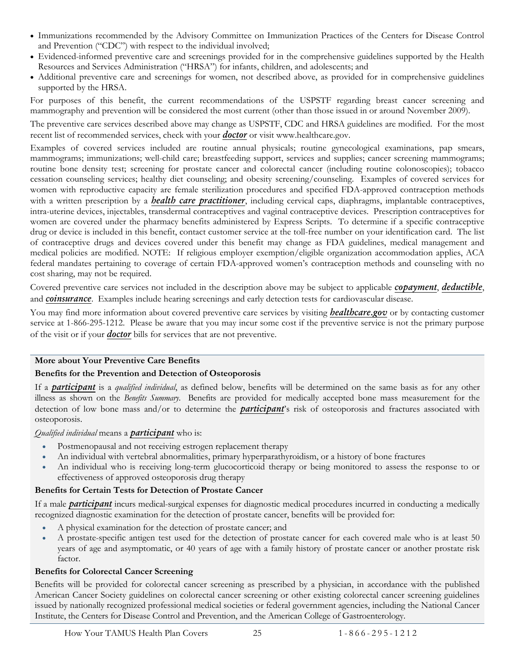- Immunizations recommended by the Advisory Committee on Immunization Practices of the Centers for Disease Control and Prevention ("CDC") with respect to the individual involved;
- Evidenced-informed preventive care and screenings provided for in the comprehensive guidelines supported by the Health Resources and Services Administration ("HRSA") for infants, children, and adolescents; and
- Additional preventive care and screenings for women, not described above, as provided for in comprehensive guidelines supported by the HRSA.

For purposes of this benefit, the current recommendations of the USPSTF regarding breast cancer screening and mammography and prevention will be considered the most current (other than those issued in or around November 2009).

The preventive care services described above may change as USPSTF, CDC and HRSA guidelines are modified. For the most recent list of recommended services, check with your *[doctor](#page-58-4)* or visit www.healthcare.gov.

Examples of covered services included are routine annual physicals; routine gynecological examinations, pap smears, mammograms; immunizations; well-child care; breastfeeding support, services and supplies; cancer screening mammograms; routine bone density test; screening for prostate cancer and colorectal cancer (including routine colonoscopies); tobacco cessation counseling services; healthy diet counseling; and obesity screening/counseling. Examples of covered services for women with reproductive capacity are female sterilization procedures and specified FDA-approved contraception methods with a written prescription by a *health care practitioner*, including cervical caps, diaphragms, implantable contraceptives, intra-uterine devices, injectables, transdermal contraceptives and vaginal contraceptive devices. Prescription contraceptives for women are covered under the pharmacy benefits administered by Express Scripts. To determine if a specific contraceptive drug or device is included in this benefit, contact customer service at the toll-free number on your identification card. The list of contraceptive drugs and devices covered under this benefit may change as FDA guidelines, medical management and medical policies are modified. NOTE: If religious employer exemption/eligible organization accommodation applies, ACA federal mandates pertaining to coverage of certain FDA-approved women's contraception methods and counseling with no cost sharing, may not be required.

Covered preventive care services not included in the description above may be subject to applicable *[copayment](#page-58-3)*, *deductible*, and *[coinsurance](#page-58-2)*. Examples include hearing screenings and early detection tests for cardiovascular disease.

You may find more information about covered preventive care services by visiting *[healthcare.gov](http://www.healthcare.gov/news/factsheets/2010/07/preventive-services-list.html)* or by contacting customer service at 1-866-295-1212. Please be aware that you may incur some cost if the preventive service is not the primary purpose of the visit or if your *[doctor](#page-58-4)* bills for services that are not preventive.

#### **More about Your Preventive Care Benefits**

#### **Benefits for the Prevention and Detection of Osteoporosis**

If a *[participant](#page-59-0)* is a *qualified individual*, as defined below, benefits will be determined on the same basis as for any other illness as shown on the *Benefits Summary*. Benefits are provided for medically accepted bone mass measurement for the detection of low bone mass and/or to determine the *[participant](#page-59-0)*'s risk of osteoporosis and fractures associated with osteoporosis.

*Qualified individual* means a *[participant](#page-59-0)* who is:

- Postmenopausal and not receiving estrogen replacement therapy
- An individual with vertebral abnormalities, primary hyperparathyroidism, or a history of bone fractures
- An individual who is receiving long-term glucocorticoid therapy or being monitored to assess the response to or effectiveness of approved osteoporosis drug therapy

#### **Benefits for Certain Tests for Detection of Prostate Cancer**

If a male *[participant](#page-59-0)* incurs medical-surgical expenses for diagnostic medical procedures incurred in conducting a medically recognized diagnostic examination for the detection of prostate cancer, benefits will be provided for:

- A physical examination for the detection of prostate cancer; and
- A prostate-specific antigen test used for the detection of prostate cancer for each covered male who is at least 50 years of age and asymptomatic, or 40 years of age with a family history of prostate cancer or another prostate risk factor.

#### **Benefits for Colorectal Cancer Screening**

Benefits will be provided for colorectal cancer screening as prescribed by a physician, in accordance with the published American Cancer Society guidelines on colorectal cancer screening or other existing colorectal cancer screening guidelines issued by nationally recognized professional medical societies or federal government agencies, including the National Cancer Institute, the Centers for Disease Control and Prevention, and the American College of Gastroenterology.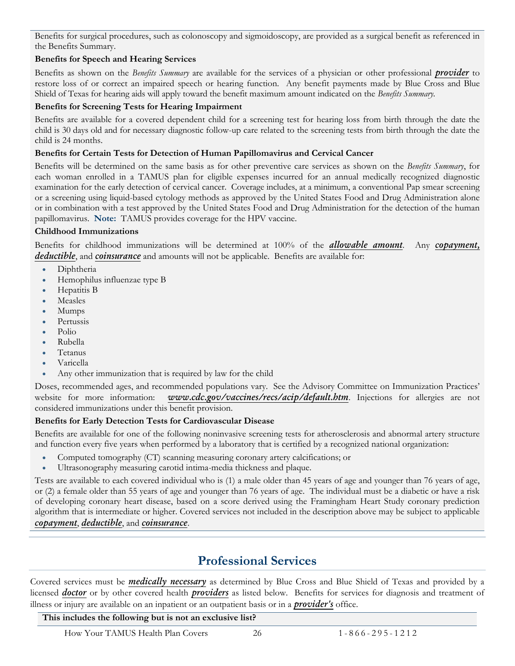Benefits for surgical procedures, such as colonoscopy and sigmoidoscopy, are provided as a surgical benefit as referenced in the Benefits Summary.

#### **Benefits for Speech and Hearing Services**

Benefits as shown on the *Benefits Summary* are available for the services of a physician or other professional *[provider](#page-59-3)* to restore loss of or correct an impaired speech or hearing function. Any benefit payments made by Blue Cross and Blue Shield of Texas for hearing aids will apply toward the benefit maximum amount indicated on the *Benefits Summary.*

#### **Benefits for Screening Tests for Hearing Impairment**

Benefits are available for a covered dependent child for a screening test for hearing loss from birth through the date the child is 30 days old and for necessary diagnostic follow-up care related to the screening tests from birth through the date the child is 24 months.

#### **Benefits for Certain Tests for Detection of Human Papillomavirus and Cervical Cancer**

Benefits will be determined on the same basis as for other preventive care services as shown on the *Benefits Summary*, for each woman enrolled in a TAMUS plan for eligible expenses incurred for an annual medically recognized diagnostic examination for the early detection of cervical cancer. Coverage includes, at a minimum, a conventional Pap smear screening or a screening using liquid-based cytology methods as approved by the United States Food and Drug Administration alone or in combination with a test approved by the United States Food and Drug Administration for the detection of the human papillomavirus. **Note:** TAMUS provides coverage for the HPV vaccine.

#### **Childhood Immunizations**

Benefits for childhood immunizations will be determined at 100% of the *[allowable amount](#page-57-1)*. Any *[copayment,](#page-58-3) deductible*, and *[coinsurance](#page-58-2)* and amounts will not be applicable. Benefits are available for:

- Diphtheria
- Hemophilus influenzae type B
- Hepatitis B
- **Measles**
- Mumps
- Pertussis
- Polio
- Rubella
- Tetanus
- Varicella
- Any other immunization that is required by law for the child

Doses, recommended ages, and recommended populations vary. See the Advisory Committee on Immunization Practices' website for more information: *[www.cdc.gov/vaccines/recs/acip/default.htm](http://www.cdc.gov/vaccines/recs/acip/default.htm)*. Injections for allergies are not considered immunizations under this benefit provision.

#### **Benefits for Early Detection Tests for Cardiovascular Disease**

Benefits are available for one of the following noninvasive screening tests for atherosclerosis and abnormal artery structure and function every five years when performed by a laboratory that is certified by a recognized national organization:

- Computed tomography (CT) scanning measuring coronary artery calcifications; or
- Ultrasonography measuring carotid intima-media thickness and plaque.

Tests are available to each covered individual who is (1) a male older than 45 years of age and younger than 76 years of age, or (2) a female older than 55 years of age and younger than 76 years of age. The individual must be a diabetic or have a risk of developing coronary heart disease, based on a score derived using the Framingham Heart Study coronary prediction algorithm that is intermediate or higher. Covered services not included in the description above may be subject to applicable *[copayment](#page-58-3)*, *deductible*, and *[coinsurance](#page-58-2)*.

## **Professional Services**

<span id="page-28-0"></span>Covered services must be *medically necessary* as determined by Blue Cross and Blue Shield of Texas and provided by a licensed *[doctor](#page-58-4)* or by other covered health *[providers](#page-59-3)* as listed below. Benefits for services for diagnosis and treatment of illness or injury are available on an inpatient or an outpatient basis or in a *[provider's](#page-59-3)* office.

#### **This includes the following but is not an exclusive list?**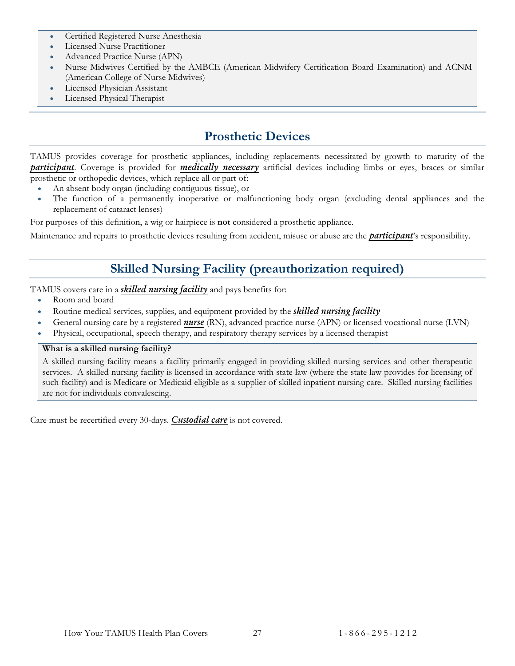- Certified Registered Nurse Anesthesia
- Licensed Nurse Practitioner
- Advanced Practice Nurse (APN)
- Nurse Midwives Certified by the AMBCE (American Midwifery Certification Board Examination) and ACNM (American College of Nurse Midwives)
- Licensed Physician Assistant
- Licensed Physical Therapist

#### **Prosthetic Devices**

<span id="page-29-0"></span>TAMUS provides coverage for prosthetic appliances, including replacements necessitated by growth to maturity of the *[participant](#page-59-0)*. Coverage is provided for *medically necessary* artificial devices including limbs or eyes, braces or similar prosthetic or orthopedic devices, which replace all or part of:

- An absent body organ (including contiguous tissue), or
- The function of a permanently inoperative or malfunctioning body organ (excluding dental appliances and the replacement of cataract lenses)

For purposes of this definition, a wig or hairpiece is **not** considered a prosthetic appliance.

<span id="page-29-1"></span>Maintenance and repairs to prosthetic devices resulting from accident, misuse or abuse are the *[participant](#page-59-0)*'s responsibility.

## **Skilled Nursing Facility (preauthorization required)**

TAMUS covers care in a *[skilled nursing facility](#page-60-1)* and pays benefits for:

- Room and board
- Routine medical services, supplies, and equipment provided by the *[skilled nursing facility](#page-60-1)*
- General nursing care by a registered *[nurse](#page-59-5)* (RN), advanced practice nurse (APN) or licensed vocational nurse (LVN)
- Physical, occupational, speech therapy, and respiratory therapy services by a licensed therapist

#### **What is a skilled nursing facility?**

A skilled nursing facility means a facility primarily engaged in providing skilled nursing services and other therapeutic services. A skilled nursing facility is licensed in accordance with state law (where the state law provides for licensing of such facility) and is Medicare or Medicaid eligible as a supplier of skilled inpatient nursing care. Skilled nursing facilities are not for individuals convalescing.

Care must be recertified every 30-days. *[Custodial care](#page-58-6)* is not covered.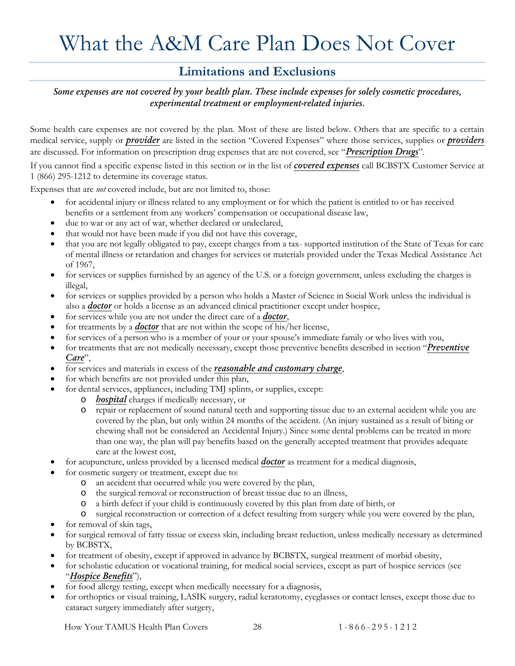# <span id="page-30-0"></span>What the A&M Care Plan Does Not Cover

#### **Limitations and Exclusions**

<span id="page-30-1"></span>*Some expenses are not covered by your health plan. These include expenses for solely cosmetic procedures, experimental treatment or employment-related injuries.*

Some health care expenses are not covered by the plan. Most of these are listed below. Others that are specific to a certain medical service, supply or *[provider](#page-59-3)* are listed in the section "Covered Expenses" where those services, supplies or *[providers](#page-59-3)* are discussed. For information on prescription drug expenses that are not covered, see "*Prescription Drugs*".

If you cannot find a specific expense listed in this section or in the list of *covered expenses* call BCBSTX Customer Service at 1 (866) 295-1212 to determine its coverage status.

Expenses that are *not* covered include, but are not limited to, those:

- for accidental injury or illness related to any employment or for which the patient is entitled to or has received benefits or a settlement from any workers' compensation or occupational disease law,
- due to war or any act of war, whether declared or undeclared,
- that would not have been made if you did not have this coverage,
- that you are not legally obligated to pay, except charges from a tax- supported institution of the State of Texas for care of mental illness or retardation and charges for services or materials provided under the Texas Medical Assistance Act of 1967,
- for services or supplies furnished by an agency of the U.S. or a foreign government, unless excluding the charges is illegal,
- for services or supplies provided by a person who holds a Master of Science in Social Work unless the individual is also a *[doctor](#page-58-4)* or holds a license as an advanced clinical practitioner except under hospice,
- for services while you are not under the direct care of a *[doctor](#page-58-4)*,
- for treatments by a *[doctor](#page-58-4)* that are not within the scope of his/her license,
- for services of a person who is a member of your or your spouse's immediate family or who lives with you,
- for treatments that are not medically necessary, except those preventive benefits described in section "*Preventive Care*",
- for services and materials in excess of the *[reasonable and customary charge](#page-59-6)*,
- for which benefits are not provided under this plan,
- for dental services, appliances, including TMJ splints, or supplies, except:
	- o *[hospital](#page-59-4)* charges if medically necessary, or
	- o repair or replacement of sound natural teeth and supporting tissue due to an external accident while you are covered by the plan, but only within 24 months of the accident. (An injury sustained as a result of biting or chewing shall not be considered an Accidental Injury.) Since some dental problems can be treated in more than one way, the plan will pay benefits based on the generally accepted treatment that provides adequate care at the lowest cost,
- for acupuncture, unless provided by a licensed medical *[doctor](#page-58-4)* as treatment for a medical diagnosis,
- for cosmetic surgery or treatment, except due to:
	- o an accident that occurred while you were covered by the plan,
	- o the surgical removal or reconstruction of breast tissue due to an illness,
	- o a birth defect if your child is continuously covered by this plan from date of birth, or
	- surgical reconstruction or correction of a defect resulting from surgery while you were covered by the plan,
- for removal of skin tags,
- for surgical removal of fatty tissue or excess skin, including breast reduction, unless medically necessary as determined by BCBSTX,
- for treatment of obesity, except if approved in advance by BCBSTX, surgical treatment of morbid obesity,
- for scholastic education or vocational training, for medical social services, except as part of hospice services (see "*Hospice Benefits*"),
- for food allergy testing, except when medically necessary for a diagnosis,
- for orthoptics or visual training, LASIK surgery, radial keratotomy, eyeglasses or contact lenses, except those due to cataract surgery immediately after surgery,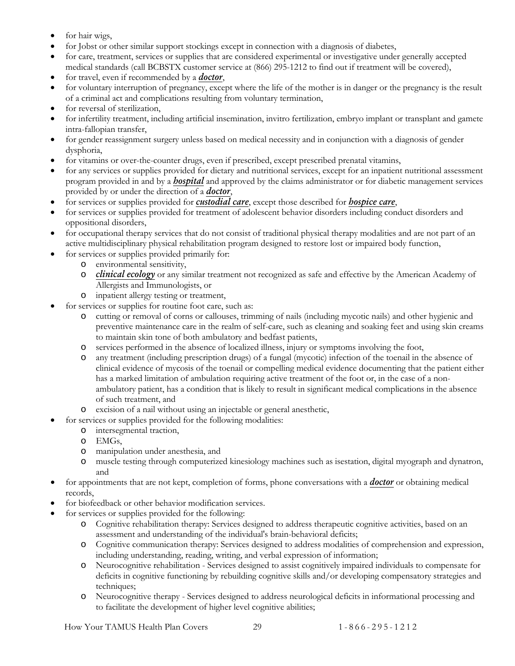- for hair wigs,
- for Jobst or other similar support stockings except in connection with a diagnosis of diabetes,
- for care, treatment, services or supplies that are considered experimental or investigative under generally accepted medical standards (call BCBSTX customer service at (866) 295-1212 to find out if treatment will be covered),
- for travel, even if recommended by a *[doctor](#page-58-4)*,
- for voluntary interruption of pregnancy, except where the life of the mother is in danger or the pregnancy is the result of a criminal act and complications resulting from voluntary termination,
- for reversal of sterilization,
- for infertility treatment, including artificial insemination, invitro fertilization, embryo implant or transplant and gamete intra-fallopian transfer,
- for gender reassignment surgery unless based on medical necessity and in conjunction with a diagnosis of gender dysphoria,
- for vitamins or over-the-counter drugs, even if prescribed, except prescribed prenatal vitamins,
- for any services or supplies provided for dietary and nutritional services, except for an inpatient nutritional assessment program provided in and by a *[hospital](#page-59-4)* and approved by the claims administrator or for diabetic management services provided by or under the direction of a *[doctor](#page-58-4)*,
- for services or supplies provided for *[custodial care](#page-58-6)*, except those described for *hospice care*,
- for services or supplies provided for treatment of adolescent behavior disorders including conduct disorders and oppositional disorders,
- for occupational therapy services that do not consist of traditional physical therapy modalities and are not part of an active multidisciplinary physical rehabilitation program designed to restore lost or impaired body function,
- for services or supplies provided primarily for:
	- o environmental sensitivity,
	- o *[clinical ecology](#page-57-2)* or any similar treatment not recognized as safe and effective by the American Academy of Allergists and Immunologists, or
	- o inpatient allergy testing or treatment,
- for services or supplies for routine foot care, such as:
	- o cutting or removal of corns or callouses, trimming of nails (including mycotic nails) and other hygienic and preventive maintenance care in the realm of self-care, such as cleaning and soaking feet and using skin creams to maintain skin tone of both ambulatory and bedfast patients,
	- o services performed in the absence of localized illness, injury or symptoms involving the foot,
	- o any treatment (including prescription drugs) of a fungal (mycotic) infection of the toenail in the absence of clinical evidence of mycosis of the toenail or compelling medical evidence documenting that the patient either has a marked limitation of ambulation requiring active treatment of the foot or, in the case of a nonambulatory patient, has a condition that is likely to result in significant medical complications in the absence of such treatment, and
	- o excision of a nail without using an injectable or general anesthetic,
- for services or supplies provided for the following modalities:
	- o intersegmental traction,
	- o EMGs,
	- o manipulation under anesthesia, and
	- muscle testing through computerized kinesiology machines such as isestation, digital myograph and dynatron, and
- for appointments that are not kept, completion of forms, phone conversations with a *[doctor](#page-58-4)* or obtaining medical records,
- for biofeedback or other behavior modification services.
- for services or supplies provided for the following:
	- o Cognitive rehabilitation therapy: Services designed to address therapeutic cognitive activities, based on an assessment and understanding of the individual's brain-behavioral deficits;
	- o Cognitive communication therapy: Services designed to address modalities of comprehension and expression, including understanding, reading, writing, and verbal expression of information;
	- o Neurocognitive rehabilitation Services designed to assist cognitively impaired individuals to compensate for deficits in cognitive functioning by rebuilding cognitive skills and/or developing compensatory strategies and techniques;
	- o Neurocognitive therapy Services designed to address neurological deficits in informational processing and to facilitate the development of higher level cognitive abilities;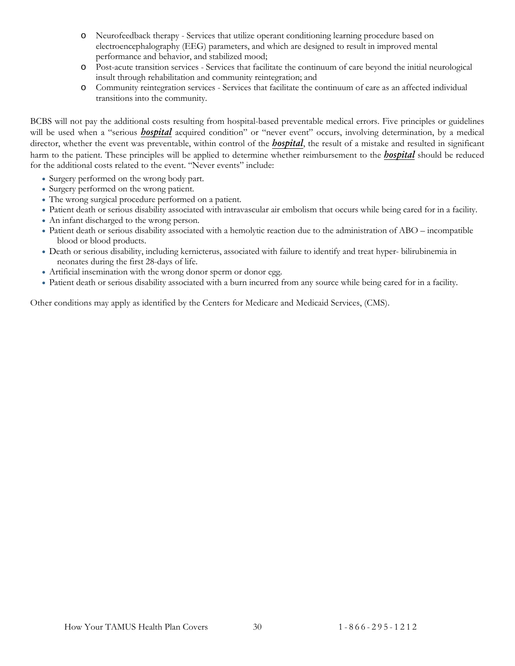- o Neurofeedback therapy Services that utilize operant conditioning learning procedure based on electroencephalography (EEG) parameters, and which are designed to result in improved mental performance and behavior, and stabilized mood;
- o Post-acute transition services Services that facilitate the continuum of care beyond the initial neurological insult through rehabilitation and community reintegration; and
- o Community reintegration services Services that facilitate the continuum of care as an affected individual transitions into the community.

BCBS will not pay the additional costs resulting from hospital-based preventable medical errors. Five principles or guidelines will be used when a "serious **[hospital](#page-59-4)** acquired condition" or "never event" occurs, involving determination, by a medical director, whether the event was preventable, within control of the *[hospital](#page-59-4)*, the result of a mistake and resulted in significant harm to the patient. These principles will be applied to determine whether reimbursement to the *[hospital](#page-59-4)* should be reduced for the additional costs related to the event. "Never events" include:

- Surgery performed on the wrong body part.
- Surgery performed on the wrong patient.
- The wrong surgical procedure performed on a patient.
- Patient death or serious disability associated with intravascular air embolism that occurs while being cared for in a facility.
- An infant discharged to the wrong person.
- Patient death or serious disability associated with a hemolytic reaction due to the administration of ABO incompatible blood or blood products.
- Death or serious disability, including kernicterus, associated with failure to identify and treat hyper- bilirubinemia in neonates during the first 28-days of life.
- Artificial insemination with the wrong donor sperm or donor egg.
- Patient death or serious disability associated with a burn incurred from any source while being cared for in a facility.

Other conditions may apply as identified by the Centers for Medicare and Medicaid Services, (CMS).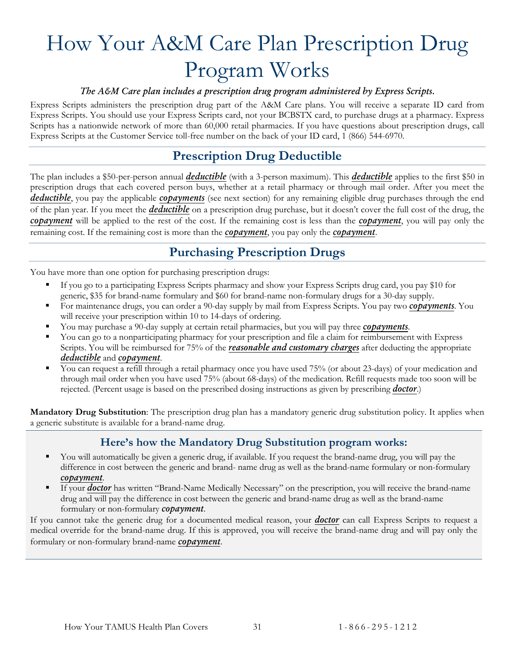# <span id="page-33-0"></span>How Your A&M Care Plan Prescription Drug Program Works

#### *The A&M Care plan includes a prescription drug program administered by Express Scripts.*

Express Scripts administers the prescription drug part of the A&M Care plans. You will receive a separate ID card from Express Scripts. You should use your Express Scripts card, not your BCBSTX card, to purchase drugs at a pharmacy. Express Scripts has a nationwide network of more than 60,000 retail pharmacies. If you have questions about prescription drugs, call Express Scripts at the Customer Service toll-free number on the back of your ID card, 1 (866) 544-6970.

## **Prescription Drug Deductible**

<span id="page-33-1"></span>The plan includes a \$50-per-person annual *[deductible](#page-58-1)* (with a 3-person maximum). This *[deductible](#page-58-1)* applies to the first \$50 in prescription drugs that each covered person buys, whether at a retail pharmacy or through mail order. After you meet the *[deductible](#page-58-1)*, you pay the applicable *[copayments](#page-58-3)* (see next section) for any remaining eligible drug purchases through the end of the plan year. If you meet the *[deductible](#page-58-1)* on a prescription drug purchase, but it doesn't cover the full cost of the drug, the *[copayment](#page-58-3)* will be applied to the rest of the cost. If the remaining cost is less than the *[copayment](#page-58-3)*, you will pay only the remaining cost. If the remaining cost is more than the *[copayment](#page-58-3)*, you pay only the *[copayment](#page-58-3)*.

#### **Purchasing Prescription Drugs**

<span id="page-33-2"></span>You have more than one option for purchasing prescription drugs:

- If you go to a participating Express Scripts pharmacy and show your Express Scripts drug card, you pay \$10 for generic, \$35 for brand-name formulary and \$60 for brand-name non-formulary drugs for a 30-day supply.
- For maintenance drugs, you can order a 90-day supply by mail from Express Scripts. You pay two *[copayments](#page-58-3)*. You will receive your prescription within 10 to 14-days of ordering.
- You may purchase a 90-day supply at certain retail pharmacies, but you will pay three *[copayments](#page-58-3)*.
- You can go to a nonparticipating pharmacy for your prescription and file a claim for reimbursement with Express Scripts. You will be reimbursed for 75% of the *[reasonable and customary charges](#page-59-6)* after deducting the appropriate *[deductible](#page-58-1)* and *[copayment](#page-58-3)*.
- You can request a refill through a retail pharmacy once you have used 75% (or about 23-days) of your medication and through mail order when you have used 75% (about 68-days) of the medication. Refill requests made too soon will be rejected. (Percent usage is based on the prescribed dosing instructions as given by prescribing *[doctor](#page-58-4)*.)

<span id="page-33-3"></span>**Mandatory Drug Substitution**: The prescription drug plan has a mandatory generic drug substitution policy. It applies when a generic substitute is available for a brand-name drug.

#### **Here's how the Mandatory Drug Substitution program works:**

- You will automatically be given a generic drug, if available. If you request the brand-name drug, you will pay the difference in cost between the generic and brand- name drug as well as the brand-name formulary or non-formulary *[copayment](#page-58-3)*.
- If your *[doctor](#page-58-4)* has written "Brand-Name Medically Necessary" on the prescription, you will receive the brand-name drug and will pay the difference in cost between the generic and brand-name drug as well as the brand-name formulary or non-formulary *[copayment](#page-58-3)*.

If you cannot take the generic drug for a documented medical reason, your *[doctor](#page-58-4)* can call Express Scripts to request a medical override for the brand-name drug. If this is approved, you will receive the brand-name drug and will pay only the formulary or non-formulary brand-name *[copayment](#page-58-3)*.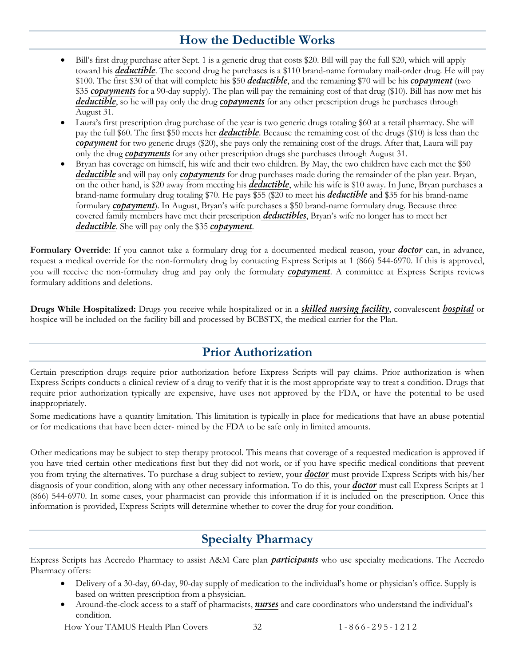## **How the Deductible Works**

- <span id="page-34-0"></span>• Bill's first drug purchase after Sept. 1 is a generic drug that costs \$20. Bill will pay the full \$20, which will apply toward his *[deductible](#page-58-1)*. The second drug he purchases is a \$110 brand-name formulary mail-order drug. He will pay \$100. The first \$30 of that will complete his \$50 *[deductible](#page-58-1)*, and the remaining \$70 will be his *[copayment](#page-58-3)* (two \$35 *[copayments](#page-58-3)* for a 90-day supply). The plan will pay the remaining cost of that drug (\$10). Bill has now met his *[deductible](#page-58-1)*, so he will pay only the drug *[copayments](#page-58-3)* for any other prescription drugs he purchases through August 31.
- Laura's first prescription drug purchase of the year is two generic drugs totaling \$60 at a retail pharmacy. She will pay the full \$60. The first \$50 meets her *[deductible](#page-58-1)*. Because the remaining cost of the drugs (\$10) is less than the *[copayment](#page-58-3)* for two generic drugs (\$20), she pays only the remaining cost of the drugs. After that, Laura will pay only the drug *[copayments](#page-58-3)* for any other prescription drugs she purchases through August 31.
- Bryan has coverage on himself, his wife and their two children. By May, the two children have each met the \$50 *[deductible](#page-58-1)* and will pay only *[copayments](#page-58-3)* for drug purchases made during the remainder of the plan year. Bryan, on the other hand, is \$20 away from meeting his *[deductible](#page-58-1)*, while his wife is \$10 away. In June, Bryan purchases a brand-name formulary drug totaling \$70. He pays \$55 (\$20 to meet his *[deductible](#page-58-1)* and \$35 for his brand-name formulary *[copayment](#page-58-3)*). In August, Bryan's wife purchases a \$50 brand-name formulary drug. Because three covered family members have met their prescription *[deductibles](#page-58-1)*, Bryan's wife no longer has to meet her *[deductible](#page-58-1)*. She will pay only the \$35 *[copayment](#page-58-3)*.

**Formulary Override**: If you cannot take a formulary drug for a documented medical reason, your *[doctor](#page-58-4)* can, in advance, request a medical override for the non-formulary drug by contacting Express Scripts at 1 (866) 544-6970. If this is approved, you will receive the non-formulary drug and pay only the formulary *[copayment](#page-58-3)*. A committee at Express Scripts reviews formulary additions and deletions.

**Drugs While Hospitalized:** Drugs you receive while hospitalized or in a *[skilled nursing facility](#page-60-1)*, convalescent *[hospital](#page-59-4)* or hospice will be included on the facility bill and processed by BCBSTX, the medical carrier for the Plan.

## **Prior Authorization**

<span id="page-34-1"></span>Certain prescription drugs require prior authorization before Express Scripts will pay claims. Prior authorization is when Express Scripts conducts a clinical review of a drug to verify that it is the most appropriate way to treat a condition. Drugs that require prior authorization typically are expensive, have uses not approved by the FDA, or have the potential to be used inappropriately.

Some medications have a quantity limitation. This limitation is typically in place for medications that have an abuse potential or for medications that have been deter- mined by the FDA to be safe only in limited amounts.

Other medications may be subject to step therapy protocol. This means that coverage of a requested medication is approved if you have tried certain other medications first but they did not work, or if you have specific medical conditions that prevent you from trying the alternatives. To purchase a drug subject to review, your *[doctor](#page-58-4)* must provide Express Scripts with his/her diagnosis of your condition, along with any other necessary information. To do this, your *[doctor](#page-58-4)* must call Express Scripts at 1 (866) 544-6970. In some cases, your pharmacist can provide this information if it is included on the prescription. Once this information is provided, Express Scripts will determine whether to cover the drug for your condition.

## **Specialty Pharmacy**

<span id="page-34-2"></span>Express Scripts has Accredo Pharmacy to assist A&M Care plan *[participants](#page-59-0)* who use specialty medications. The Accredo Pharmacy offers:

- Delivery of a 30-day, 60-day, 90-day supply of medication to the individual's home or physician's office. Supply is based on written prescription from a phsysician.
- Around-the-clock access to a staff of pharmacists, *[nurses](#page-59-5)* and care coordinators who understand the individual's condition.

How Your TAMUS Health Plan Covers 32 1 - 866 - 295 - 1 2 1 2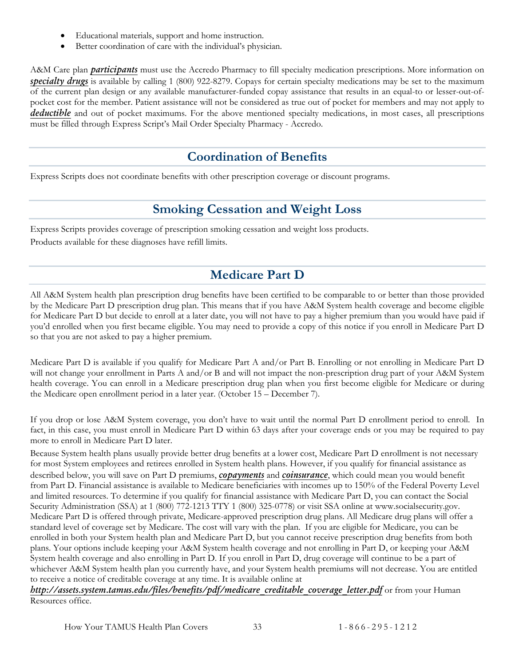- Educational materials, support and home instruction.
- Better coordination of care with the individual's physician.

A&M Care plan *[participants](#page-59-0)* must use the Accredo Pharmacy to fill specialty medication prescriptions. More information on *[specialty drugs](#page-60-2)* is available by calling 1 (800) 922-8279. Copays for certain specialty medications may be set to the maximum of the current plan design or any available manufacturer-funded copay assistance that results in an equal-to or lesser-out-ofpocket cost for the member. Patient assistance will not be considered as true out of pocket for members and may not apply to *[deductible](#page-58-1)* and out of pocket maximums. For the above mentioned specialty medications, in most cases, all prescriptions must be filled through Express Script's Mail Order Specialty Pharmacy - Accredo.

## **Coordination of Benefits**

<span id="page-35-1"></span><span id="page-35-0"></span>Express Scripts does not coordinate benefits with other prescription coverage or discount programs.

## **Smoking Cessation and Weight Loss**

Express Scripts provides coverage of prescription smoking cessation and weight loss products. Products available for these diagnoses have refill limits.

## **Medicare Part D**

<span id="page-35-2"></span>All A&M System health plan prescription drug benefits have been certified to be comparable to or better than those provided by the Medicare Part D prescription drug plan. This means that if you have A&M System health coverage and become eligible for Medicare Part D but decide to enroll at a later date, you will not have to pay a higher premium than you would have paid if you'd enrolled when you first became eligible. You may need to provide a copy of this notice if you enroll in Medicare Part D so that you are not asked to pay a higher premium.

Medicare Part D is available if you qualify for Medicare Part A and/or Part B. Enrolling or not enrolling in Medicare Part D will not change your enrollment in Parts A and/or B and will not impact the non-prescription drug part of your A&M System health coverage. You can enroll in a Medicare prescription drug plan when you first become eligible for Medicare or during the Medicare open enrollment period in a later year. (October 15 – December 7).

If you drop or lose A&M System coverage, you don't have to wait until the normal Part D enrollment period to enroll. In fact, in this case, you must enroll in Medicare Part D within 63 days after your coverage ends or you may be required to pay more to enroll in Medicare Part D later.

Because System health plans usually provide better drug benefits at a lower cost, Medicare Part D enrollment is not necessary for most System employees and retirees enrolled in System health plans. However, if you qualify for financial assistance as described below, you will save on Part D premiums, *[copayments](#page-58-3)* and *[coinsurance](#page-58-2)*, which could mean you would benefit from Part D. Financial assistance is available to Medicare beneficiaries with incomes up to 150% of the Federal Poverty Level and limited resources. To determine if you qualify for financial assistance with Medicare Part D, you can contact the Social Security Administration (SSA) at 1 (800) 772-1213 TTY 1 (800) 325-0778) or visit SSA online at www.socialsecurity.gov. Medicare Part D is offered through private, Medicare-approved prescription drug plans. All Medicare drug plans will offer a standard level of coverage set by Medicare. The cost will vary with the plan. If you are eligible for Medicare, you can be enrolled in both your System health plan and Medicare Part D, but you cannot receive prescription drug benefits from both plans. Your options include keeping your A&M System health coverage and not enrolling in Part D, or keeping your A&M System health coverage and also enrolling in Part D. If you enroll in Part D, drug coverage will continue to be a part of whichever A&M System health plan you currently have, and your System health premiums will not decrease. You are entitled to receive a notice of creditable coverage at any time. It is available online at

*[http://assets.system.tamus.edu/files/benefits/pdf/medicare\\_creditable\\_coverage\\_letter.pdf](http://assets.system.tamus.edu/files/benefits/pdf/medicare_creditable_coverage_letter.pdf)* or from your Human Resources office.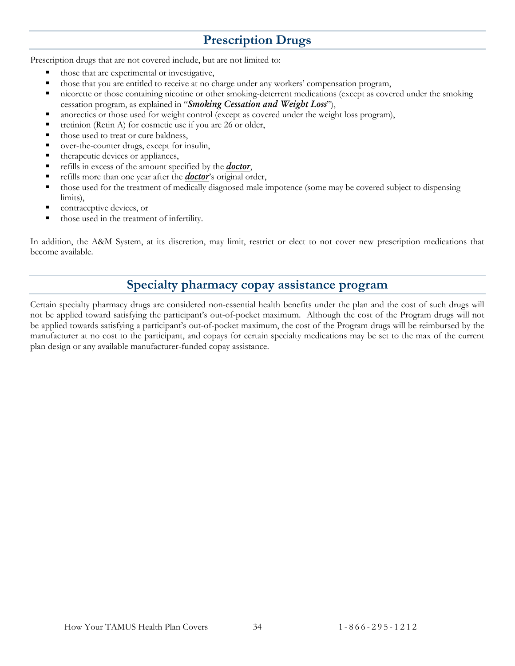## **Prescription Drugs**

<span id="page-36-0"></span>Prescription drugs that are not covered include, but are not limited to:

- those that are experimental or investigative,
- those that you are entitled to receive at no charge under any workers' compensation program,
- nicorette or those containing nicotine or other smoking-deterrent medications (except as covered under the smoking cessation program, as explained in "*[Smoking Cessation and Weight Loss](#page-35-1)*"),
- anorectics or those used for weight control (except as covered under the weight loss program),
- tretinion (Retin A) for cosmetic use if you are 26 or older,
- those used to treat or cure baldness,
- over-the-counter drugs, except for insulin,
- therapeutic devices or appliances,
- refills in excess of the amount specified by the *[doctor](#page-58-4)*,
- refills more than one year after the *[doctor](#page-58-4)*'s original order,
- those used for the treatment of medically diagnosed male impotence (some may be covered subject to dispensing limits),
- contraceptive devices, or
- those used in the treatment of infertility.

In addition, the A&M System, at its discretion, may limit, restrict or elect to not cover new prescription medications that become available.

#### **Specialty pharmacy copay assistance program**

Certain specialty pharmacy drugs are considered non-essential health benefits under the plan and the cost of such drugs will not be applied toward satisfying the participant's out-of-pocket maximum. Although the cost of the Program drugs will not be applied towards satisfying a participant's out-of-pocket maximum, the cost of the Program drugs will be reimbursed by the manufacturer at no cost to the participant, and copays for certain specialty medications may be set to the max of the current plan design or any available manufacturer-funded copay assistance.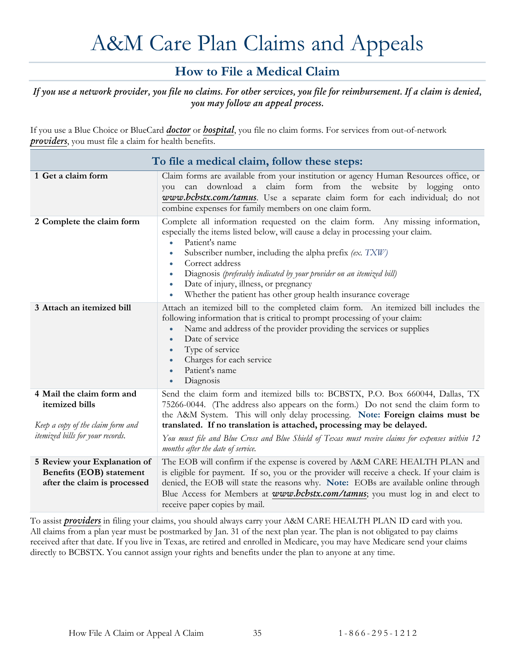# A&M Care Plan Claims and Appeals

## **How to File a Medical Claim**

#### <span id="page-37-1"></span><span id="page-37-0"></span>*If you use a network provider, you file no claims. For other services, you file for reimbursement. If a claim is denied, you may follow an appeal process.*

If you use a Blue Choice or BlueCard *[doctor](#page-58-4)* or *[hospital](#page-59-4)*, you file no claim forms. For services from out-of-network *[providers](#page-59-3)*, you must file a claim for health benefits.

<span id="page-37-2"></span>

| To file a medical claim, follow these steps:                                             |                                                                                                                                                                                                                                                                                                                                                                                                                                                                                                                                    |  |
|------------------------------------------------------------------------------------------|------------------------------------------------------------------------------------------------------------------------------------------------------------------------------------------------------------------------------------------------------------------------------------------------------------------------------------------------------------------------------------------------------------------------------------------------------------------------------------------------------------------------------------|--|
| 1 Get a claim form                                                                       | Claim forms are available from your institution or agency Human Resources office, or<br>you can download a claim form from the website by logging onto<br>www.bcbstx.com/tamus. Use a separate claim form for each individual; do not<br>combine expenses for family members on one claim form.                                                                                                                                                                                                                                    |  |
| 2 Complete the claim form                                                                | Complete all information requested on the claim form. Any missing information,<br>especially the items listed below, will cause a delay in processing your claim.<br>Patient's name<br>$\bullet$<br>Subscriber number, including the alpha prefix (ex. TXW)<br>$\bullet$<br>Correct address<br>$\bullet$<br>Diagnosis (preferably indicated by your provider on an itemized bill)<br>$\bullet$<br>Date of injury, illness, or pregnancy<br>$\bullet$<br>Whether the patient has other group health insurance coverage<br>$\bullet$ |  |
| 3 Attach an itemized bill                                                                | Attach an itemized bill to the completed claim form. An itemized bill includes the<br>following information that is critical to prompt processing of your claim:<br>Name and address of the provider providing the services or supplies<br>$\bullet$<br>Date of service<br>$\bullet$<br>Type of service<br>$\bullet$<br>Charges for each service<br>$\bullet$<br>Patient's name<br>$\bullet$<br>Diagnosis<br>$\bullet$                                                                                                             |  |
| 4 Mail the claim form and<br>itemized bills<br>Keep a copy of the claim form and         | Send the claim form and itemized bills to: BCBSTX, P.O. Box 660044, Dallas, TX<br>75266-0044. (The address also appears on the form.) Do not send the claim form to<br>the A&M System. This will only delay processing. Note: Foreign claims must be<br>translated. If no translation is attached, processing may be delayed.                                                                                                                                                                                                      |  |
| <i>itemized bills for your records.</i>                                                  | You must file and Blue Cross and Blue Shield of Texas must receive claims for expenses within 12<br>months after the date of service.                                                                                                                                                                                                                                                                                                                                                                                              |  |
| 5 Review your Explanation of<br>Benefits (EOB) statement<br>after the claim is processed | The EOB will confirm if the expense is covered by A&M CARE HEALTH PLAN and<br>is eligible for payment. If so, you or the provider will receive a check. If your claim is<br>denied, the EOB will state the reasons why. Note: EOBs are available online through<br>Blue Access for Members at www.bcbstx.com/tamus; you must log in and elect to<br>receive paper copies by mail.                                                                                                                                                  |  |

To assist *[providers](#page-59-3)* in filing your claims, you should always carry your A&M CARE HEALTH PLAN ID card with you. All claims from a plan year must be postmarked by Jan. 31 of the next plan year. The plan is not obligated to pay claims received after that date. If you live in Texas, are retired and enrolled in Medicare, you may have Medicare send your claims directly to BCBSTX. You cannot assign your rights and benefits under the plan to anyone at any time.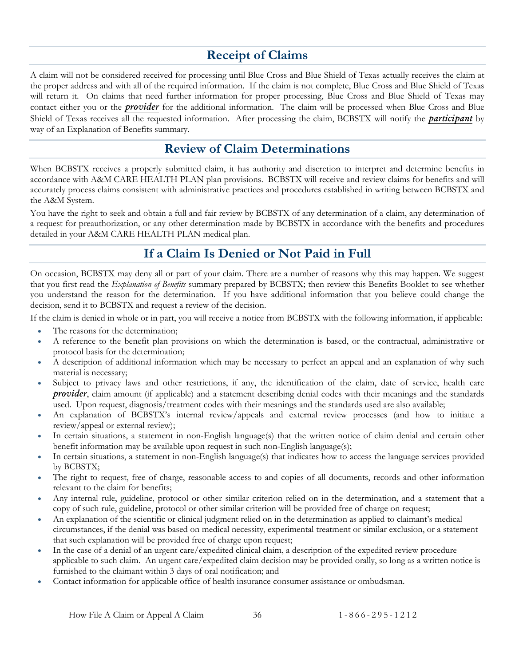## **Receipt of Claims**

<span id="page-38-0"></span>A claim will not be considered received for processing until Blue Cross and Blue Shield of Texas actually receives the claim at the proper address and with all of the required information. If the claim is not complete, Blue Cross and Blue Shield of Texas will return it. On claims that need further information for proper processing, Blue Cross and Blue Shield of Texas may contact either you or the *[provider](#page-59-3)* for the additional information. The claim will be processed when Blue Cross and Blue Shield of Texas receives all the requested information. After processing the claim, BCBSTX will notify the *[participant](#page-59-0)* by way of an Explanation of Benefits summary.

#### **Review of Claim Determinations**

<span id="page-38-1"></span>When BCBSTX receives a properly submitted claim, it has authority and discretion to interpret and determine benefits in accordance with A&M CARE HEALTH PLAN plan provisions. BCBSTX will receive and review claims for benefits and will accurately process claims consistent with administrative practices and procedures established in writing between BCBSTX and the A&M System.

You have the right to seek and obtain a full and fair review by BCBSTX of any determination of a claim, any determination of a request for preauthorization, or any other determination made by BCBSTX in accordance with the benefits and procedures detailed in your A&M CARE HEALTH PLAN medical plan.

## **If a Claim Is Denied or Not Paid in Full**

<span id="page-38-2"></span>On occasion, BCBSTX may deny all or part of your claim. There are a number of reasons why this may happen. We suggest that you first read the *Explanation of Benefits* summary prepared by BCBSTX; then review this Benefits Booklet to see whether you understand the reason for the determination. If you have additional information that you believe could change the decision, send it to BCBSTX and request a review of the decision.

If the claim is denied in whole or in part, you will receive a notice from BCBSTX with the following information, if applicable:

- The reasons for the determination;
- A reference to the benefit plan provisions on which the determination is based, or the contractual, administrative or protocol basis for the determination;
- A description of additional information which may be necessary to perfect an appeal and an explanation of why such material is necessary;
- Subject to privacy laws and other restrictions, if any, the identification of the claim, date of service, health care *[provider](#page-59-3)*, claim amount (if applicable) and a statement describing denial codes with their meanings and the standards used. Upon request, diagnosis/treatment codes with their meanings and the standards used are also available;
- An explanation of BCBSTX's internal review/appeals and external review processes (and how to initiate a review/appeal or external review);
- In certain situations, a statement in non-English language(s) that the written notice of claim denial and certain other benefit information may be available upon request in such non-English language(s);
- In certain situations, a statement in non-English language(s) that indicates how to access the language services provided by BCBSTX;
- The right to request, free of charge, reasonable access to and copies of all documents, records and other information relevant to the claim for benefits;
- Any internal rule, guideline, protocol or other similar criterion relied on in the determination, and a statement that a copy of such rule, guideline, protocol or other similar criterion will be provided free of charge on request;
- An explanation of the scientific or clinical judgment relied on in the determination as applied to claimant's medical circumstances, if the denial was based on medical necessity, experimental treatment or similar exclusion, or a statement that such explanation will be provided free of charge upon request;
- In the case of a denial of an urgent care/expedited clinical claim, a description of the expedited review procedure applicable to such claim. An urgent care/expedited claim decision may be provided orally, so long as a written notice is furnished to the claimant within 3 days of oral notification; and
- Contact information for applicable office of health insurance consumer assistance or ombudsman.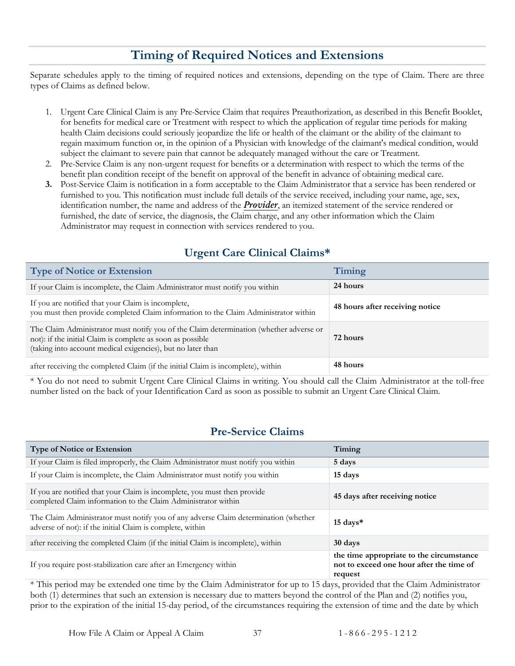## **Timing of Required Notices and Extensions**

<span id="page-39-0"></span>Separate schedules apply to the timing of required notices and extensions, depending on the type of Claim. There are three types of Claims as defined below.

- 1. Urgent Care Clinical Claim is any Pre-Service Claim that requires Preauthorization, as described in this Benefit Booklet, for benefits for medical care or Treatment with respect to which the application of regular time periods for making health Claim decisions could seriously jeopardize the life or health of the claimant or the ability of the claimant to regain maximum function or, in the opinion of a Physician with knowledge of the claimant's medical condition, would subject the claimant to severe pain that cannot be adequately managed without the care or Treatment.
- 2. Pre-Service Claim is any non-urgent request for benefits or a determination with respect to which the terms of the benefit plan condition receipt of the benefit on approval of the benefit in advance of obtaining medical care.
- **3.** Post-Service Claim is notification in a form acceptable to the Claim Administrator that a service has been rendered or furnished to you. This notification must include full details of the service received, including your name, age, sex, identification number, the name and address of the *[Provider](#page-59-3)*, an itemized statement of the service rendered or furnished, the date of service, the diagnosis, the Claim charge, and any other information which the Claim Administrator may request in connection with services rendered to you.

#### **Urgent Care Clinical Claims\***

<span id="page-39-1"></span>

| <b>Type of Notice or Extension</b>                                                                                                                                                                                  | Timing                          |
|---------------------------------------------------------------------------------------------------------------------------------------------------------------------------------------------------------------------|---------------------------------|
| If your Claim is incomplete, the Claim Administrator must notify you within                                                                                                                                         | 24 hours                        |
| If you are notified that your Claim is incomplete,<br>you must then provide completed Claim information to the Claim Administrator within                                                                           | 48 hours after receiving notice |
| The Claim Administrator must notify you of the Claim determination (whether adverse or<br>not): if the initial Claim is complete as soon as possible<br>(taking into account medical exigencies), but no later than | 72 hours                        |
| after receiving the completed Claim (if the initial Claim is incomplete), within                                                                                                                                    | 48 hours                        |

\* You do not need to submit Urgent Care Clinical Claims in writing. You should call the Claim Administrator at the toll-free number listed on the back of your Identification Card as soon as possible to submit an Urgent Care Clinical Claim.

#### **Pre-Service Claims**

<span id="page-39-2"></span>

| <b>Type of Notice or Extension</b>                                                                                                               | Timing                                                                                          |
|--------------------------------------------------------------------------------------------------------------------------------------------------|-------------------------------------------------------------------------------------------------|
| If your Claim is filed improperly, the Claim Administrator must notify you within                                                                | 5 days                                                                                          |
| If your Claim is incomplete, the Claim Administrator must notify you within                                                                      | 15 days                                                                                         |
| If you are notified that your Claim is incomplete, you must then provide<br>completed Claim information to the Claim Administrator within        | 45 days after receiving notice                                                                  |
| The Claim Administrator must notify you of any adverse Claim determination (whether<br>adverse of not): if the initial Claim is complete, within | $15 \text{ days}$                                                                               |
| after receiving the completed Claim (if the initial Claim is incomplete), within                                                                 | 30 days                                                                                         |
| If you require post-stabilization care after an Emergency within                                                                                 | the time appropriate to the circumstance<br>not to exceed one hour after the time of<br>request |

\* This period may be extended one time by the Claim Administrator for up to 15 days, provided that the Claim Administrator both (1) determines that such an extension is necessary due to matters beyond the control of the Plan and (2) notifies you, prior to the expiration of the initial 15-day period, of the circumstances requiring the extension of time and the date by which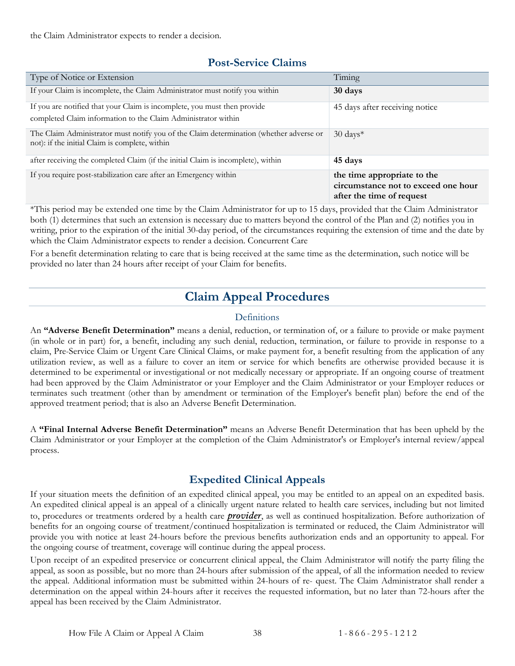the Claim Administrator expects to render a decision.

#### **Post-Service Claims**

<span id="page-40-0"></span>

| Type of Notice or Extension                                                                                                              | Timing                                                                                          |
|------------------------------------------------------------------------------------------------------------------------------------------|-------------------------------------------------------------------------------------------------|
| If your Claim is incomplete, the Claim Administrator must notify you within                                                              | 30 days                                                                                         |
| If you are notified that your Claim is incomplete, you must then provide                                                                 | 45 days after receiving notice                                                                  |
| completed Claim information to the Claim Administrator within                                                                            |                                                                                                 |
| The Claim Administrator must notify you of the Claim determination (whether adverse or<br>not): if the initial Claim is complete, within | $30 \text{ days}^*$                                                                             |
| after receiving the completed Claim (if the initial Claim is incomplete), within                                                         | 45 days                                                                                         |
| If you require post-stabilization care after an Emergency within                                                                         | the time appropriate to the<br>circumstance not to exceed one hour<br>after the time of request |

\*This period may be extended one time by the Claim Administrator for up to 15 days, provided that the Claim Administrator both (1) determines that such an extension is necessary due to matters beyond the control of the Plan and (2) notifies you in writing, prior to the expiration of the initial 30-day period, of the circumstances requiring the extension of time and the date by which the Claim Administrator expects to render a decision. Concurrent Care

<span id="page-40-1"></span>For a benefit determination relating to care that is being received at the same time as the determination, such notice will be provided no later than 24 hours after receipt of your Claim for benefits.

## **Claim Appeal Procedures**

#### Definitions

<span id="page-40-2"></span>An **"Adverse Benefit Determination"** means a denial, reduction, or termination of, or a failure to provide or make payment (in whole or in part) for, a benefit, including any such denial, reduction, termination, or failure to provide in response to a claim, Pre-Service Claim or Urgent Care Clinical Claims, or make payment for, a benefit resulting from the application of any utilization review, as well as a failure to cover an item or service for which benefits are otherwise provided because it is determined to be experimental or investigational or not medically necessary or appropriate. If an ongoing course of treatment had been approved by the Claim Administrator or your Employer and the Claim Administrator or your Employer reduces or terminates such treatment (other than by amendment or termination of the Employer's benefit plan) before the end of the approved treatment period; that is also an Adverse Benefit Determination.

A **"Final Internal Adverse Benefit Determination"** means an Adverse Benefit Determination that has been upheld by the Claim Administrator or your Employer at the completion of the Claim Administrator's or Employer's internal review/appeal process.

#### **Expedited Clinical Appeals**

<span id="page-40-3"></span>If your situation meets the definition of an expedited clinical appeal, you may be entitled to an appeal on an expedited basis. An expedited clinical appeal is an appeal of a clinically urgent nature related to health care services, including but not limited to, procedures or treatments ordered by a health care *[provider](#page-59-3)*, as well as continued hospitalization. Before authorization of benefits for an ongoing course of treatment/continued hospitalization is terminated or reduced, the Claim Administrator will provide you with notice at least 24-hours before the previous benefits authorization ends and an opportunity to appeal. For the ongoing course of treatment, coverage will continue during the appeal process.

Upon receipt of an expedited preservice or concurrent clinical appeal, the Claim Administrator will notify the party filing the appeal, as soon as possible, but no more than 24-hours after submission of the appeal, of all the information needed to review the appeal. Additional information must be submitted within 24-hours of re- quest. The Claim Administrator shall render a determination on the appeal within 24-hours after it receives the requested information, but no later than 72-hours after the appeal has been received by the Claim Administrator.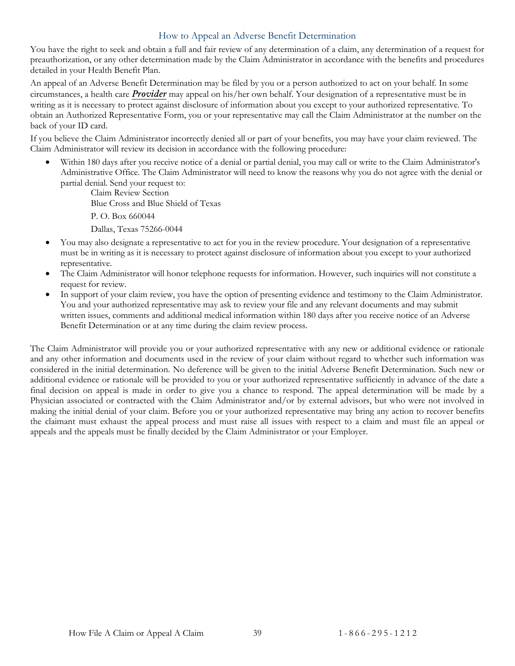#### How to Appeal an Adverse Benefit Determination

<span id="page-41-0"></span>You have the right to seek and obtain a full and fair review of any determination of a claim, any determination of a request for preauthorization, or any other determination made by the Claim Administrator in accordance with the benefits and procedures detailed in your Health Benefit Plan.

An appeal of an Adverse Benefit Determination may be filed by you or a person authorized to act on your behalf. In some circumstances, a health care *[Provider](#page-59-3)* may appeal on his/her own behalf. Your designation of a representative must be in writing as it is necessary to protect against disclosure of information about you except to your authorized representative. To obtain an Authorized Representative Form, you or your representative may call the Claim Administrator at the number on the back of your ID card.

If you believe the Claim Administrator incorrectly denied all or part of your benefits, you may have your claim reviewed. The Claim Administrator will review its decision in accordance with the following procedure:

• Within 180 days after you receive notice of a denial or partial denial, you may call or write to the Claim Administrator's Administrative Office. The Claim Administrator will need to know the reasons why you do not agree with the denial or partial denial. Send your request to:

Claim Review Section Blue Cross and Blue Shield of Texas P. O. Box 660044

Dallas, Texas 75266-0044

- You may also designate a representative to act for you in the review procedure. Your designation of a representative must be in writing as it is necessary to protect against disclosure of information about you except to your authorized representative.
- The Claim Administrator will honor telephone requests for information. However, such inquiries will not constitute a request for review.
- In support of your claim review, you have the option of presenting evidence and testimony to the Claim Administrator. You and your authorized representative may ask to review your file and any relevant documents and may submit written issues, comments and additional medical information within 180 days after you receive notice of an Adverse Benefit Determination or at any time during the claim review process.

The Claim Administrator will provide you or your authorized representative with any new or additional evidence or rationale and any other information and documents used in the review of your claim without regard to whether such information was considered in the initial determination. No deference will be given to the initial Adverse Benefit Determination. Such new or additional evidence or rationale will be provided to you or your authorized representative sufficiently in advance of the date a final decision on appeal is made in order to give you a chance to respond. The appeal determination will be made by a Physician associated or contracted with the Claim Administrator and/or by external advisors, but who were not involved in making the initial denial of your claim. Before you or your authorized representative may bring any action to recover benefits the claimant must exhaust the appeal process and must raise all issues with respect to a claim and must file an appeal or appeals and the appeals must be finally decided by the Claim Administrator or your Employer.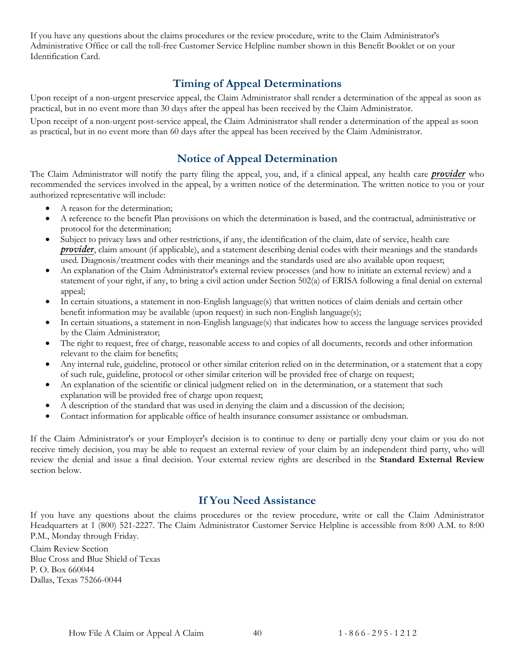If you have any questions about the claims procedures or the review procedure, write to the Claim Administrator's Administrative Office or call the toll-free Customer Service Helpline number shown in this Benefit Booklet or on your Identification Card.

#### **Timing of Appeal Determinations**

<span id="page-42-0"></span>Upon receipt of a non-urgent preservice appeal, the Claim Administrator shall render a determination of the appeal as soon as practical, but in no event more than 30 days after the appeal has been received by the Claim Administrator.

Upon receipt of a non-urgent post-service appeal, the Claim Administrator shall render a determination of the appeal as soon as practical, but in no event more than 60 days after the appeal has been received by the Claim Administrator.

#### **Notice of Appeal Determination**

<span id="page-42-1"></span>The Claim Administrator will notify the party filing the appeal, you, and, if a clinical appeal, any health care *[provider](#page-59-3)* who recommended the services involved in the appeal, by a written notice of the determination. The written notice to you or your authorized representative will include:

- A reason for the determination;
- A reference to the benefit Plan provisions on which the determination is based, and the contractual, administrative or protocol for the determination;
- Subject to privacy laws and other restrictions, if any, the identification of the claim, date of service, health care *[provider](#page-59-3)*, claim amount (if applicable), and a statement describing denial codes with their meanings and the standards used. Diagnosis/treatment codes with their meanings and the standards used are also available upon request;
- An explanation of the Claim Administrator's external review processes (and how to initiate an external review) and a statement of your right, if any, to bring a civil action under Section 502(a) of ERISA following a final denial on external appeal;
- In certain situations, a statement in non-English language(s) that written notices of claim denials and certain other benefit information may be available (upon request) in such non-English language(s);
- In certain situations, a statement in non-English language(s) that indicates how to access the language services provided by the Claim Administrator;
- The right to request, free of charge, reasonable access to and copies of all documents, records and other information relevant to the claim for benefits;
- Any internal rule, guideline, protocol or other similar criterion relied on in the determination, or a statement that a copy of such rule, guideline, protocol or other similar criterion will be provided free of charge on request;
- An explanation of the scientific or clinical judgment relied on in the determination, or a statement that such explanation will be provided free of charge upon request;
- A description of the standard that was used in denying the claim and a discussion of the decision;
- Contact information for applicable office of health insurance consumer assistance or ombudsman.

If the Claim Administrator's or your Employer's decision is to continue to deny or partially deny your claim or you do not receive timely decision, you may be able to request an external review of your claim by an independent third party, who will review the denial and issue a final decision. Your external review rights are described in the **Standard External Review** section below.

#### **If You Need Assistance**

<span id="page-42-2"></span>If you have any questions about the claims procedures or the review procedure, write or call the Claim Administrator Headquarters at 1 (800) 521-2227. The Claim Administrator Customer Service Helpline is accessible from 8:00 A.M. to 8:00 P.M., Monday through Friday.

Claim Review Section Blue Cross and Blue Shield of Texas P. O. Box 660044 Dallas, Texas 75266-0044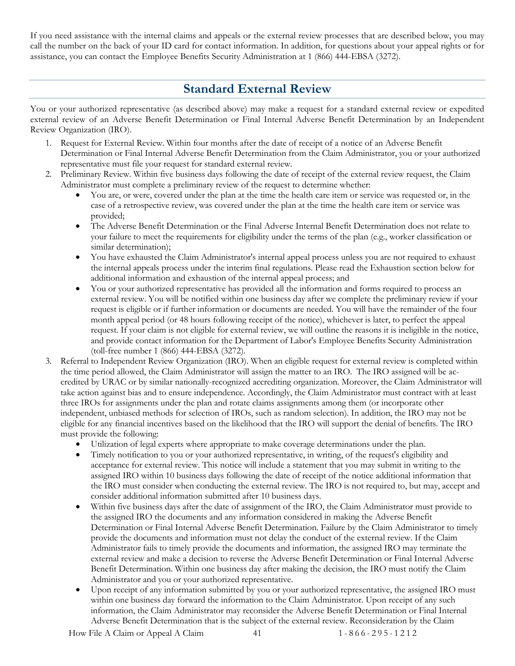If you need assistance with the internal claims and appeals or the external review processes that are described below, you may call the number on the back of your ID card for contact information. In addition, for questions about your appeal rights or for assistance, you can contact the Employee Benefits Security Administration at 1 (866) 444-EBSA (3272).

## **Standard External Review**

<span id="page-43-0"></span>You or your authorized representative (as described above) may make a request for a standard external review or expedited external review of an Adverse Benefit Determination or Final Internal Adverse Benefit Determination by an Independent Review Organization (IRO).

- 1. Request for External Review. Within four months after the date of receipt of a notice of an Adverse Benefit Determination or Final Internal Adverse Benefit Determination from the Claim Administrator, you or your authorized representative must file your request for standard external review.
- 2. Preliminary Review. Within five business days following the date of receipt of the external review request, the Claim Administrator must complete a preliminary review of the request to determine whether:
	- You are, or were, covered under the plan at the time the health care item or service was requested or, in the case of a retrospective review, was covered under the plan at the time the health care item or service was provided;
	- The Adverse Benefit Determination or the Final Adverse Internal Benefit Determination does not relate to your failure to meet the requirements for eligibility under the terms of the plan (e.g., worker classification or similar determination);
	- You have exhausted the Claim Administrator's internal appeal process unless you are not required to exhaust the internal appeals process under the interim final regulations. Please read the Exhaustion section below for additional information and exhaustion of the internal appeal process; and
	- You or your authorized representative has provided all the information and forms required to process an external review. You will be notified within one business day after we complete the preliminary review if your request is eligible or if further information or documents are needed. You will have the remainder of the four month appeal period (or 48 hours following receipt of the notice), whichever is later, to perfect the appeal request. If your claim is not eligible for external review, we will outline the reasons it is ineligible in the notice, and provide contact information for the Department of Labor's Employee Benefits Security Administration (toll-free number 1 (866) 444-EBSA (3272).
- 3. Referral to Independent Review Organization (IRO). When an eligible request for external review is completed within the time period allowed, the Claim Administrator will assign the matter to an IRO. The IRO assigned will be accredited by URAC or by similar nationally-recognized accrediting organization. Moreover, the Claim Administrator will take action against bias and to ensure independence. Accordingly, the Claim Administrator must contract with at least three IROs for assignments under the plan and rotate claims assignments among them (or incorporate other independent, unbiased methods for selection of IROs, such as random selection). In addition, the IRO may not be eligible for any financial incentives based on the likelihood that the IRO will support the denial of benefits. The IRO must provide the following:
	- Utilization of legal experts where appropriate to make coverage determinations under the plan.
	- Timely notification to you or your authorized representative, in writing, of the request's eligibility and acceptance for external review. This notice will include a statement that you may submit in writing to the assigned IRO within 10 business days following the date of receipt of the notice additional information that the IRO must consider when conducting the external review. The IRO is not required to, but may, accept and consider additional information submitted after 10 business days.
	- Within five business days after the date of assignment of the IRO, the Claim Administrator must provide to the assigned IRO the documents and any information considered in making the Adverse Benefit Determination or Final Internal Adverse Benefit Determination. Failure by the Claim Administrator to timely provide the documents and information must not delay the conduct of the external review. If the Claim Administrator fails to timely provide the documents and information, the assigned IRO may terminate the external review and make a decision to reverse the Adverse Benefit Determination or Final Internal Adverse Benefit Determination. Within one business day after making the decision, the IRO must notify the Claim Administrator and you or your authorized representative.
	- Upon receipt of any information submitted by you or your authorized representative, the assigned IRO must within one business day forward the information to the Claim Administrator. Upon receipt of any such information, the Claim Administrator may reconsider the Adverse Benefit Determination or Final Internal Adverse Benefit Determination that is the subject of the external review. Reconsideration by the Claim

How File A Claim or Appeal A Claim 41 1 - 866 - 295 - 1212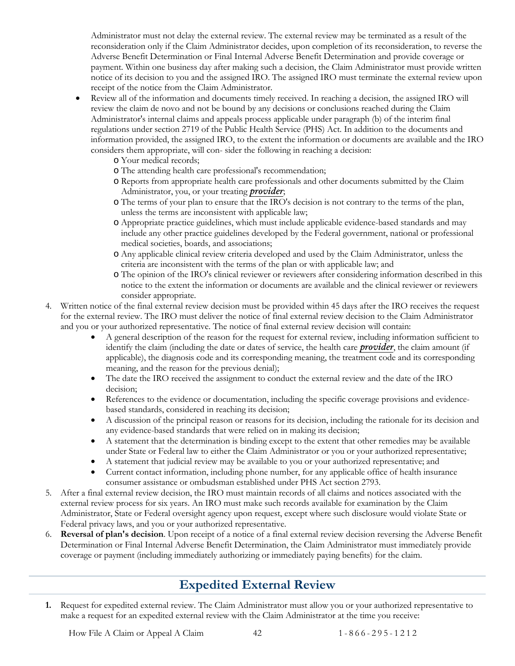Administrator must not delay the external review. The external review may be terminated as a result of the reconsideration only if the Claim Administrator decides, upon completion of its reconsideration, to reverse the Adverse Benefit Determination or Final Internal Adverse Benefit Determination and provide coverage or payment. Within one business day after making such a decision, the Claim Administrator must provide written notice of its decision to you and the assigned IRO. The assigned IRO must terminate the external review upon receipt of the notice from the Claim Administrator.

- Review all of the information and documents timely received. In reaching a decision, the assigned IRO will review the claim de novo and not be bound by any decisions or conclusions reached during the Claim Administrator's internal claims and appeals process applicable under paragraph (b) of the interim final regulations under section 2719 of the Public Health Service (PHS) Act. In addition to the documents and information provided, the assigned IRO, to the extent the information or documents are available and the IRO considers them appropriate, will con- sider the following in reaching a decision:
	- o Your medical records;
	- o The attending health care professional's recommendation;
	- o Reports from appropriate health care professionals and other documents submitted by the Claim Administrator, you, or your treating *[provider](#page-59-3)*;
	- o The terms of your plan to ensure that the IRO's decision is not contrary to the terms of the plan, unless the terms are inconsistent with applicable law;
	- o Appropriate practice guidelines, which must include applicable evidence-based standards and may include any other practice guidelines developed by the Federal government, national or professional medical societies, boards, and associations;
	- o Any applicable clinical review criteria developed and used by the Claim Administrator, unless the criteria are inconsistent with the terms of the plan or with applicable law; and
	- o The opinion of the IRO's clinical reviewer or reviewers after considering information described in this notice to the extent the information or documents are available and the clinical reviewer or reviewers consider appropriate.
- 4. Written notice of the final external review decision must be provided within 45 days after the IRO receives the request for the external review. The IRO must deliver the notice of final external review decision to the Claim Administrator and you or your authorized representative. The notice of final external review decision will contain:
	- A general description of the reason for the request for external review, including information sufficient to identify the claim (including the date or dates of service, the health care *[provider](#page-59-3)*, the claim amount (if applicable), the diagnosis code and its corresponding meaning, the treatment code and its corresponding meaning, and the reason for the previous denial);
	- The date the IRO received the assignment to conduct the external review and the date of the IRO decision;
	- References to the evidence or documentation, including the specific coverage provisions and evidencebased standards, considered in reaching its decision;
	- A discussion of the principal reason or reasons for its decision, including the rationale for its decision and any evidence-based standards that were relied on in making its decision;
	- A statement that the determination is binding except to the extent that other remedies may be available under State or Federal law to either the Claim Administrator or you or your authorized representative;
	- A statement that judicial review may be available to you or your authorized representative; and
	- Current contact information, including phone number, for any applicable office of health insurance consumer assistance or ombudsman established under PHS Act section 2793.
- 5. After a final external review decision, the IRO must maintain records of all claims and notices associated with the external review process for six years. An IRO must make such records available for examination by the Claim Administrator, State or Federal oversight agency upon request, except where such disclosure would violate State or Federal privacy laws, and you or your authorized representative.
- 6. **Reversal of plan's decision**. Upon receipt of a notice of a final external review decision reversing the Adverse Benefit Determination or Final Internal Adverse Benefit Determination, the Claim Administrator must immediately provide coverage or payment (including immediately authorizing or immediately paying benefits) for the claim.

## **Expedited External Review**

<span id="page-44-0"></span>**1.** Request for expedited external review. The Claim Administrator must allow you or your authorized representative to make a request for an expedited external review with the Claim Administrator at the time you receive: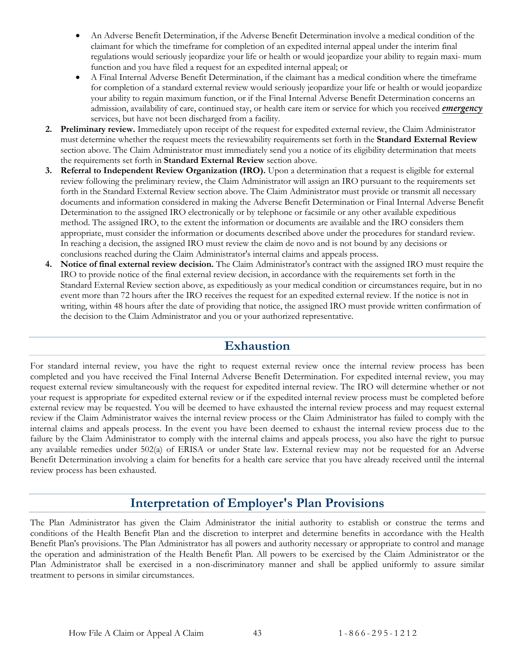- An Adverse Benefit Determination, if the Adverse Benefit Determination involve a medical condition of the claimant for which the timeframe for completion of an expedited internal appeal under the interim final regulations would seriously jeopardize your life or health or would jeopardize your ability to regain maxi- mum function and you have filed a request for an expedited internal appeal; or
- A Final Internal Adverse Benefit Determination, if the claimant has a medical condition where the timeframe for completion of a standard external review would seriously jeopardize your life or health or would jeopardize your ability to regain maximum function, or if the Final Internal Adverse Benefit Determination concerns an admission, availability of care, continued stay, or health care item or service for which you received *[emergency](#page-58-5)* services, but have not been discharged from a facility.
- **2. Preliminary review.** Immediately upon receipt of the request for expedited external review, the Claim Administrator must determine whether the request meets the reviewability requirements set forth in the **Standard External Review** section above. The Claim Administrator must immediately send you a notice of its eligibility determination that meets the requirements set forth in **Standard External Review** section above.
- **3. Referral to Independent Review Organization (IRO).** Upon a determination that a request is eligible for external review following the preliminary review, the Claim Administrator will assign an IRO pursuant to the requirements set forth in the Standard External Review section above. The Claim Administrator must provide or transmit all necessary documents and information considered in making the Adverse Benefit Determination or Final Internal Adverse Benefit Determination to the assigned IRO electronically or by telephone or facsimile or any other available expeditious method. The assigned IRO, to the extent the information or documents are available and the IRO considers them appropriate, must consider the information or documents described above under the procedures for standard review. In reaching a decision, the assigned IRO must review the claim de novo and is not bound by any decisions or conclusions reached during the Claim Administrator's internal claims and appeals process.
- **4. Notice of final external review decision.** The Claim Administrator's contract with the assigned IRO must require the IRO to provide notice of the final external review decision, in accordance with the requirements set forth in the Standard External Review section above, as expeditiously as your medical condition or circumstances require, but in no event more than 72 hours after the IRO receives the request for an expedited external review. If the notice is not in writing, within 48 hours after the date of providing that notice, the assigned IRO must provide written confirmation of the decision to the Claim Administrator and you or your authorized representative.

## **Exhaustion**

<span id="page-45-0"></span>For standard internal review, you have the right to request external review once the internal review process has been completed and you have received the Final Internal Adverse Benefit Determination. For expedited internal review, you may request external review simultaneously with the request for expedited internal review. The IRO will determine whether or not your request is appropriate for expedited external review or if the expedited internal review process must be completed before external review may be requested. You will be deemed to have exhausted the internal review process and may request external review if the Claim Administrator waives the internal review process or the Claim Administrator has failed to comply with the internal claims and appeals process. In the event you have been deemed to exhaust the internal review process due to the failure by the Claim Administrator to comply with the internal claims and appeals process, you also have the right to pursue any available remedies under 502(a) of ERISA or under State law. External review may not be requested for an Adverse Benefit Determination involving a claim for benefits for a health care service that you have already received until the internal review process has been exhausted.

## **Interpretation of Employer's Plan Provisions**

<span id="page-45-1"></span>The Plan Administrator has given the Claim Administrator the initial authority to establish or construe the terms and conditions of the Health Benefit Plan and the discretion to interpret and determine benefits in accordance with the Health Benefit Plan's provisions. The Plan Administrator has all powers and authority necessary or appropriate to control and manage the operation and administration of the Health Benefit Plan. All powers to be exercised by the Claim Administrator or the Plan Administrator shall be exercised in a non-discriminatory manner and shall be applied uniformly to assure similar treatment to persons in similar circumstances.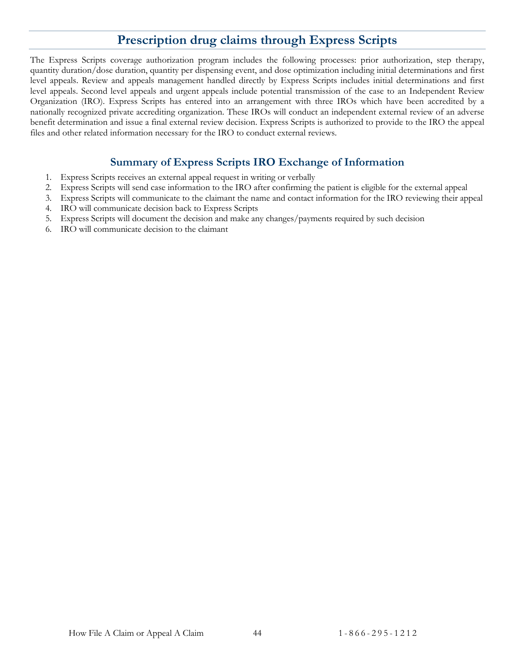## **Prescription drug claims through Express Scripts**

<span id="page-46-0"></span>The Express Scripts coverage authorization program includes the following processes: prior authorization, step therapy, quantity duration/dose duration, quantity per dispensing event, and dose optimization including initial determinations and first level appeals. Review and appeals management handled directly by Express Scripts includes initial determinations and first level appeals. Second level appeals and urgent appeals include potential transmission of the case to an Independent Review Organization (IRO). Express Scripts has entered into an arrangement with three IROs which have been accredited by a nationally recognized private accrediting organization. These IROs will conduct an independent external review of an adverse benefit determination and issue a final external review decision. Express Scripts is authorized to provide to the IRO the appeal files and other related information necessary for the IRO to conduct external reviews.

#### **Summary of Express Scripts IRO Exchange of Information**

- <span id="page-46-1"></span>1. Express Scripts receives an external appeal request in writing or verbally
- 2. Express Scripts will send case information to the IRO after confirming the patient is eligible for the external appeal
- 3. Express Scripts will communicate to the claimant the name and contact information for the IRO reviewing their appeal
- 4. IRO will communicate decision back to Express Scripts
- 5. Express Scripts will document the decision and make any changes/payments required by such decision
- 6. IRO will communicate decision to the claimant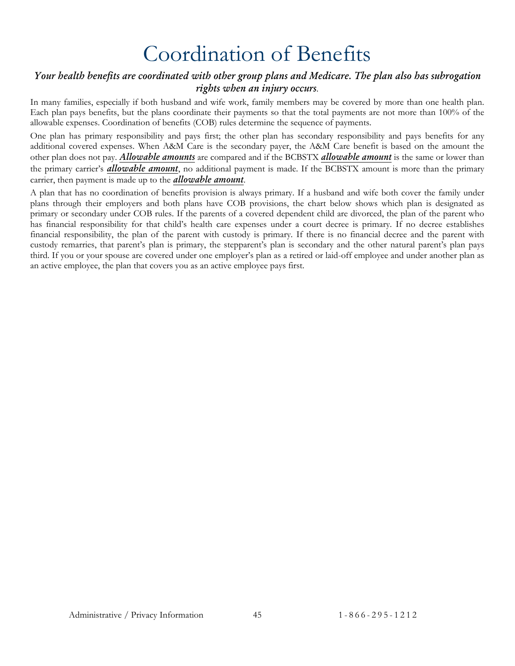# Coordination of Benefits

#### <span id="page-47-0"></span>*Your health benefits are coordinated with other group plans and Medicare. The plan also has subrogation rights when an injury occurs*.

In many families, especially if both husband and wife work, family members may be covered by more than one health plan. Each plan pays benefits, but the plans coordinate their payments so that the total payments are not more than 100% of the allowable expenses. Coordination of benefits (COB) rules determine the sequence of payments.

One plan has primary responsibility and pays first; the other plan has secondary responsibility and pays benefits for any additional covered expenses. When A&M Care is the secondary payer, the A&M Care benefit is based on the amount the other plan does not pay. *[Allowable amounts](#page-57-1)* are compared and if the BCBSTX *[allowable amount](#page-57-1)* is the same or lower than the primary carrier's *[allowable amount](#page-57-1)*, no additional payment is made. If the BCBSTX amount is more than the primary carrier, then payment is made up to the *[allowable amount](#page-57-1)*.

A plan that has no coordination of benefits provision is always primary. If a husband and wife both cover the family under plans through their employers and both plans have COB provisions, the chart below shows which plan is designated as primary or secondary under COB rules. If the parents of a covered dependent child are divorced, the plan of the parent who has financial responsibility for that child's health care expenses under a court decree is primary. If no decree establishes financial responsibility, the plan of the parent with custody is primary. If there is no financial decree and the parent with custody remarries, that parent's plan is primary, the stepparent's plan is secondary and the other natural parent's plan pays third. If you or your spouse are covered under one employer's plan as a retired or laid-off employee and under another plan as an active employee, the plan that covers you as an active employee pays first.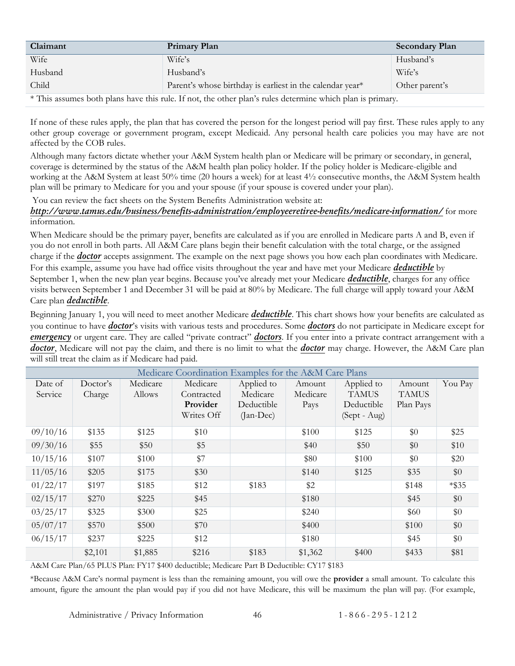| Claimant                                                                                                  | <b>Primary Plan</b>                                       | <b>Secondary Plan</b> |
|-----------------------------------------------------------------------------------------------------------|-----------------------------------------------------------|-----------------------|
| Wife                                                                                                      | Wife's                                                    | Husband's             |
| Husband                                                                                                   | Husband's                                                 | Wife's                |
| Child                                                                                                     | Parent's whose birthday is earliest in the calendar year* | Other parent's        |
| * This assumes both plans have this rule. If not, the other plan's rules determine which plan is primary. |                                                           |                       |

If none of these rules apply, the plan that has covered the person for the longest period will pay first. These rules apply to any other group coverage or government program, except Medicaid. Any personal health care policies you may have are not affected by the COB rules.

Although many factors dictate whether your A&M System health plan or Medicare will be primary or secondary, in general, coverage is determined by the status of the A&M health plan policy holder. If the policy holder is Medicare-eligible and working at the A&M System at least 50% time (20 hours a week) for at least 4½ consecutive months, the A&M System health plan will be primary to Medicare for you and your spouse (if your spouse is covered under your plan).

You can review the fact sheets on the System Benefits Administration website at:

#### *<http://www.tamus.edu/business/benefits-administration/employeeretiree-benefits/medicare-information/>* for more information.

When Medicare should be the primary payer, benefits are calculated as if you are enrolled in Medicare parts A and B, even if you do not enroll in both parts. All A&M Care plans begin their benefit calculation with the total charge, or the assigned charge if the *[doctor](#page-58-4)* accepts assignment. The example on the next page shows you how each plan coordinates with Medicare. For this example, assume you have had office visits throughout the year and have met your Medicare *[deductible](#page-58-1)* by September 1, when the new plan year begins. Because you've already met your Medicare *[deductible](#page-58-1)*, charges for any office visits between September 1 and December 31 will be paid at 80% by Medicare. The full charge will apply toward your A&M Care plan *[deductible](#page-58-1)*.

Beginning January 1, you will need to meet another Medicare *[deductible](#page-58-1)*. This chart shows how your benefits are calculated as you continue to have *[doctor](#page-58-4)*'s visits with various tests and procedures. Some *[doctors](#page-58-4)* do not participate in Medicare except for *[emergency](#page-58-5)* or urgent care. They are called "private contract" *[doctors](#page-58-4)*. If you enter into a private contract arrangement with a *[doctor](#page-58-4)*, Medicare will not pay the claim, and there is no limit to what the *[doctor](#page-58-4)* may charge. However, the A&M Care plan will still treat the claim as if Medicare had paid.

| Medicare Coordination Examples for the A&M Care Plans |          |          |            |             |          |              |              |          |
|-------------------------------------------------------|----------|----------|------------|-------------|----------|--------------|--------------|----------|
| Date of                                               | Doctor's | Medicare | Medicare   | Applied to  | Amount   | Applied to   | Amount       | You Pay  |
| Service                                               | Charge   | Allows   | Contracted | Medicare    | Medicare | <b>TAMUS</b> | <b>TAMUS</b> |          |
|                                                       |          |          | Provider   | Deductible  | Pays     | Deductible   | Plan Pays    |          |
|                                                       |          |          | Writes Off | $(Jan-Dec)$ |          | (Sept - Aug) |              |          |
| 09/10/16                                              | \$135    | \$125    | \$10       |             | \$100    | \$125        | \$0          | \$25     |
| 09/30/16                                              | \$55     | \$50     | \$5        |             | \$40     | \$50         | \$0          | \$10     |
| 10/15/16                                              | \$107    | \$100    | \$7        |             | \$80     | \$100        | \$0          | \$20     |
| 11/05/16                                              | \$205    | \$175    | \$30       |             | \$140    | \$125        | \$35         | \$0      |
| 01/22/17                                              | \$197    | \$185    | \$12       | \$183       | \$2      |              | \$148        | $*$ \$35 |
| 02/15/17                                              | \$270    | \$225    | \$45       |             | \$180    |              | \$45         | \$0      |
| 03/25/17                                              | \$325    | \$300    | \$25       |             | \$240    |              | \$60         | \$0      |
| 05/07/17                                              | \$570    | \$500    | \$70       |             | \$400    |              | \$100        | \$0      |
| 06/15/17                                              | \$237    | \$225    | \$12       |             | \$180    |              | \$45         | \$0      |
|                                                       | \$2,101  | \$1,885  | \$216      | \$183       | \$1,362  | \$400        | \$433        | \$81     |

A&M Care Plan/65 PLUS Plan: FY17 \$400 deductible; Medicare Part B Deductible: CY17 \$183

\*Because A&M Care's normal payment is less than the remaining amount, you will owe the **provider** a small amount. To calculate this amount, figure the amount the plan would pay if you did not have Medicare, this will be maximum the plan will pay. (For example,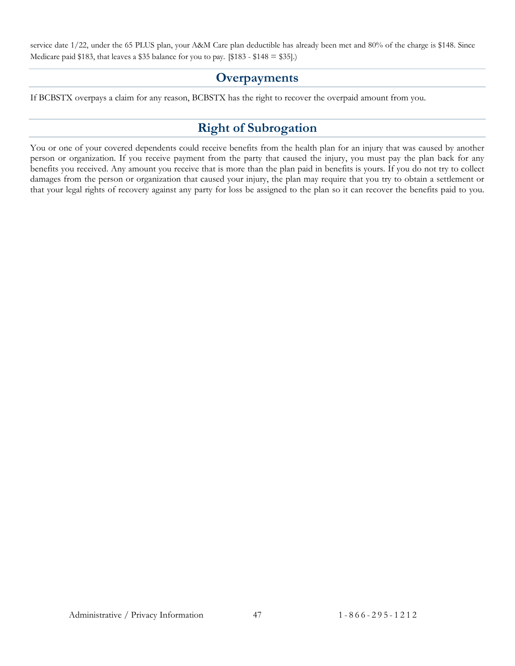<span id="page-49-0"></span>service date 1/22, under the 65 PLUS plan, your A&M Care plan deductible has already been met and 80% of the charge is \$148. Since Medicare paid \$183, that leaves a \$35 balance for you to pay. [\$183 - \$148  $=$  \$35].)

#### **Overpayments**

<span id="page-49-1"></span>If BCBSTX overpays a claim for any reason, BCBSTX has the right to recover the overpaid amount from you.

#### **Right of Subrogation**

You or one of your covered dependents could receive benefits from the health plan for an injury that was caused by another person or organization. If you receive payment from the party that caused the injury, you must pay the plan back for any benefits you received. Any amount you receive that is more than the plan paid in benefits is yours. If you do not try to collect damages from the person or organization that caused your injury, the plan may require that you try to obtain a settlement or that your legal rights of recovery against any party for loss be assigned to the plan so it can recover the benefits paid to you.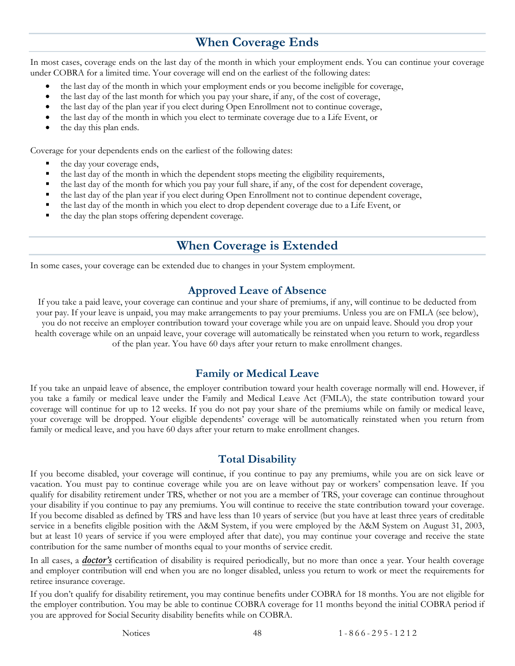## **When Coverage Ends**

<span id="page-50-0"></span>In most cases, coverage ends on the last day of the month in which your employment ends. You can continue your coverage under COBRA for a limited time. Your coverage will end on the earliest of the following dates:

- the last day of the month in which your employment ends or you become ineligible for coverage,
- the last day of the last month for which you pay your share, if any, of the cost of coverage,
- the last day of the plan year if you elect during Open Enrollment not to continue coverage,
- the last day of the month in which you elect to terminate coverage due to a Life Event, or
- the day this plan ends.

Coverage for your dependents ends on the earliest of the following dates:

- the day your coverage ends,
- the last day of the month in which the dependent stops meeting the eligibility requirements,
- the last day of the month for which you pay your full share, if any, of the cost for dependent coverage,
- the last day of the plan year if you elect during Open Enrollment not to continue dependent coverage,
- the last day of the month in which you elect to drop dependent coverage due to a Life Event, or
- <span id="page-50-1"></span>the day the plan stops offering dependent coverage.

#### **When Coverage is Extended**

In some cases, your coverage can be extended due to changes in your System employment.

#### **Approved Leave of Absence**

<span id="page-50-2"></span>If you take a paid leave, your coverage can continue and your share of premiums, if any, will continue to be deducted from your pay. If your leave is unpaid, you may make arrangements to pay your premiums. Unless you are on FMLA (see below), you do not receive an employer contribution toward your coverage while you are on unpaid leave. Should you drop your health coverage while on an unpaid leave, your coverage will automatically be reinstated when you return to work, regardless of the plan year. You have 60 days after your return to make enrollment changes.

#### **Family or Medical Leave**

<span id="page-50-3"></span>If you take an unpaid leave of absence, the employer contribution toward your health coverage normally will end. However, if you take a family or medical leave under the Family and Medical Leave Act (FMLA), the state contribution toward your coverage will continue for up to 12 weeks. If you do not pay your share of the premiums while on family or medical leave, your coverage will be dropped. Your eligible dependents' coverage will be automatically reinstated when you return from family or medical leave, and you have 60 days after your return to make enrollment changes.

#### **Total Disability**

<span id="page-50-4"></span>If you become disabled, your coverage will continue, if you continue to pay any premiums, while you are on sick leave or vacation. You must pay to continue coverage while you are on leave without pay or workers' compensation leave. If you qualify for disability retirement under TRS, whether or not you are a member of TRS, your coverage can continue throughout your disability if you continue to pay any premiums. You will continue to receive the state contribution toward your coverage. If you become disabled as defined by TRS and have less than 10 years of service (but you have at least three years of creditable service in a benefits eligible position with the A&M System, if you were employed by the A&M System on August 31, 2003, but at least 10 years of service if you were employed after that date), you may continue your coverage and receive the state contribution for the same number of months equal to your months of service credit.

In all cases, a *[doctor's](#page-58-4)* certification of disability is required periodically, but no more than once a year. Your health coverage and employer contribution will end when you are no longer disabled, unless you return to work or meet the requirements for retiree insurance coverage.

If you don't qualify for disability retirement, you may continue benefits under COBRA for 18 months. You are not eligible for the employer contribution. You may be able to continue COBRA coverage for 11 months beyond the initial COBRA period if you are approved for Social Security disability benefits while on COBRA.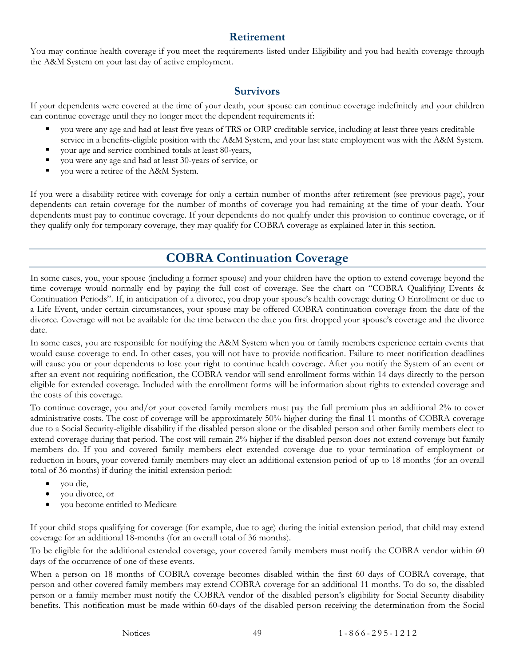#### **Retirement**

<span id="page-51-0"></span>You may continue health coverage if you meet the requirements listed under Eligibility and you had health coverage through the A&M System on your last day of active employment.

#### **Survivors**

<span id="page-51-1"></span>If your dependents were covered at the time of your death, your spouse can continue coverage indefinitely and your children can continue coverage until they no longer meet the dependent requirements if:

- you were any age and had at least five years of TRS or ORP creditable service, including at least three years creditable service in a benefits-eligible position with the A&M System, and your last state employment was with the A&M System.
- your age and service combined totals at least 80-years,
- you were any age and had at least 30-years of service, or
- you were a retiree of the A&M System.

If you were a disability retiree with coverage for only a certain number of months after retirement (see previous page), your dependents can retain coverage for the number of months of coverage you had remaining at the time of your death. Your dependents must pay to continue coverage. If your dependents do not qualify under this provision to continue coverage, or if they qualify only for temporary coverage, they may qualify for COBRA coverage as explained later in this section.

## **COBRA Continuation Coverage**

<span id="page-51-2"></span>In some cases, you, your spouse (including a former spouse) and your children have the option to extend coverage beyond the time coverage would normally end by paying the full cost of coverage. See the chart on "COBRA Qualifying Events & Continuation Periods". If, in anticipation of a divorce, you drop your spouse's health coverage during O Enrollment or due to a Life Event, under certain circumstances, your spouse may be offered COBRA continuation coverage from the date of the divorce. Coverage will not be available for the time between the date you first dropped your spouse's coverage and the divorce date.

In some cases, you are responsible for notifying the A&M System when you or family members experience certain events that would cause coverage to end. In other cases, you will not have to provide notification. Failure to meet notification deadlines will cause you or your dependents to lose your right to continue health coverage. After you notify the System of an event or after an event not requiring notification, the COBRA vendor will send enrollment forms within 14 days directly to the person eligible for extended coverage. Included with the enrollment forms will be information about rights to extended coverage and the costs of this coverage.

To continue coverage, you and/or your covered family members must pay the full premium plus an additional 2% to cover administrative costs. The cost of coverage will be approximately 50% higher during the final 11 months of COBRA coverage due to a Social Security-eligible disability if the disabled person alone or the disabled person and other family members elect to extend coverage during that period. The cost will remain 2% higher if the disabled person does not extend coverage but family members do. If you and covered family members elect extended coverage due to your termination of employment or reduction in hours, your covered family members may elect an additional extension period of up to 18 months (for an overall total of 36 months) if during the initial extension period:

- you die,
- you divorce, or
- you become entitled to Medicare

If your child stops qualifying for coverage (for example, due to age) during the initial extension period, that child may extend coverage for an additional 18-months (for an overall total of 36 months).

To be eligible for the additional extended coverage, your covered family members must notify the COBRA vendor within 60 days of the occurrence of one of these events.

When a person on 18 months of COBRA coverage becomes disabled within the first 60 days of COBRA coverage, that person and other covered family members may extend COBRA coverage for an additional 11 months. To do so, the disabled person or a family member must notify the COBRA vendor of the disabled person's eligibility for Social Security disability benefits. This notification must be made within 60-days of the disabled person receiving the determination from the Social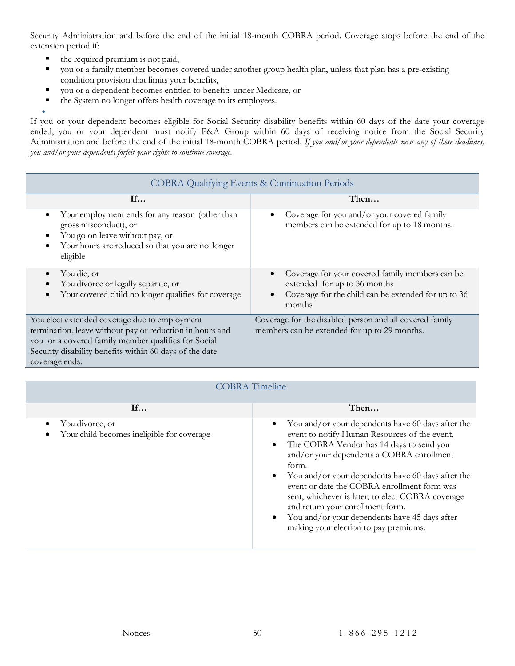Security Administration and before the end of the initial 18-month COBRA period. Coverage stops before the end of the extension period if:

- the required premium is not paid,
- you or a family member becomes covered under another group health plan, unless that plan has a pre-existing condition provision that limits your benefits,
- you or a dependent becomes entitled to benefits under Medicare, or
- the System no longer offers health coverage to its employees.

• If you or your dependent becomes eligible for Social Security disability benefits within 60 days of the date your coverage ended, you or your dependent must notify P&A Group within 60 days of receiving notice from the Social Security Administration and before the end of the initial 18-month COBRA period. *If you and/or your dependents miss any of these deadlines, you and/or your dependents forfeit your rights to continue coverage.*

| <b>COBRA Qualifying Events &amp; Continuation Periods</b>                                                                                                                                                                                     |                                                                                                                                                               |  |  |
|-----------------------------------------------------------------------------------------------------------------------------------------------------------------------------------------------------------------------------------------------|---------------------------------------------------------------------------------------------------------------------------------------------------------------|--|--|
| If                                                                                                                                                                                                                                            | Then                                                                                                                                                          |  |  |
| Your employment ends for any reason (other than<br>$\bullet$<br>gross misconduct), or<br>You go on leave without pay, or<br>٠<br>Your hours are reduced so that you are no longer<br>$\bullet$<br>eligible                                    | Coverage for you and/or your covered family<br>$\bullet$<br>members can be extended for up to 18 months.                                                      |  |  |
| You die, or<br>$\bullet$<br>You divorce or legally separate, or<br>$\bullet$<br>Your covered child no longer qualifies for coverage<br>$\bullet$                                                                                              | Coverage for your covered family members can be<br>extended for up to 36 months<br>Coverage for the child can be extended for up to 36<br>$\bullet$<br>months |  |  |
| You elect extended coverage due to employment<br>termination, leave without pay or reduction in hours and<br>you or a covered family member qualifies for Social<br>Security disability benefits within 60 days of the date<br>coverage ends. | Coverage for the disabled person and all covered family<br>members can be extended for up to 29 months.                                                       |  |  |

| <b>COBRA</b> Timeline                                              |                                                                                                                                                                                                                                                                                                                                                                                                                                                                                             |  |
|--------------------------------------------------------------------|---------------------------------------------------------------------------------------------------------------------------------------------------------------------------------------------------------------------------------------------------------------------------------------------------------------------------------------------------------------------------------------------------------------------------------------------------------------------------------------------|--|
| If                                                                 | Then                                                                                                                                                                                                                                                                                                                                                                                                                                                                                        |  |
| You divorce, or<br>٠<br>Your child becomes ineligible for coverage | You and/or your dependents have 60 days after the<br>event to notify Human Resources of the event.<br>The COBRA Vendor has 14 days to send you<br>and/or your dependents a COBRA enrollment<br>form.<br>You and/or your dependents have 60 days after the<br>event or date the COBRA enrollment form was<br>sent, whichever is later, to elect COBRA coverage<br>and return your enrollment form.<br>You and/or your dependents have 45 days after<br>making your election to pay premiums. |  |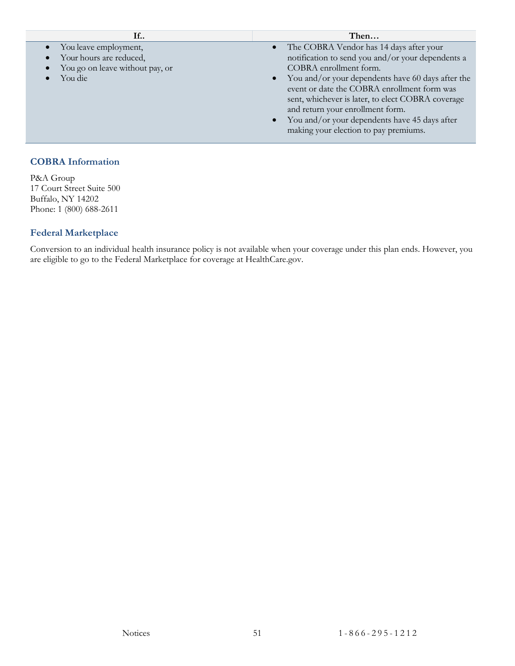| If                                                                                               | Then                                                                                                                                                                                                                                                                                                                                                                                                                |
|--------------------------------------------------------------------------------------------------|---------------------------------------------------------------------------------------------------------------------------------------------------------------------------------------------------------------------------------------------------------------------------------------------------------------------------------------------------------------------------------------------------------------------|
| • You leave employment,<br>Your hours are reduced,<br>You go on leave without pay, or<br>You die | • The COBRA Vendor has 14 days after your<br>notification to send you and/or your dependents a<br>COBRA enrollment form.<br>• You and/or your dependents have 60 days after the<br>event or date the COBRA enrollment form was<br>sent, whichever is later, to elect COBRA coverage<br>and return your enrollment form.<br>• You and/or your dependents have 45 days after<br>making your election to pay premiums. |
|                                                                                                  |                                                                                                                                                                                                                                                                                                                                                                                                                     |

#### **COBRA Information**

P&A Group 17 Court Street Suite 500 Buffalo, NY 14202 Phone: 1 (800) 688-2611

#### **Federal Marketplace**

Conversion to an individual health insurance policy is not available when your coverage under this plan ends. However, you are eligible to go to the Federal Marketplace for coverage at HealthCare.gov.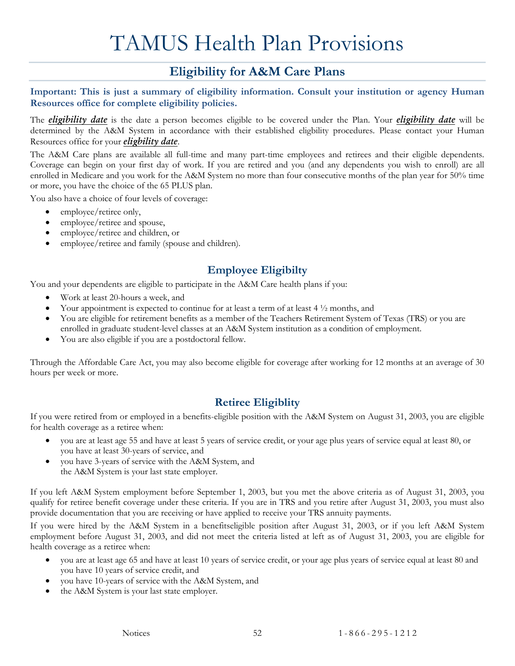# TAMUS Health Plan Provisions

## **Eligibility for A&M Care Plans**

<span id="page-54-1"></span><span id="page-54-0"></span>**Important: This is just a summary of eligibility information. Consult your institution or agency Human Resources office for complete eligibility policies.**

The *[eligibility date](#page-58-8)* is the date a person becomes eligible to be covered under the Plan. Your *[eligibility date](#page-58-8)* will be determined by the A&M System in accordance with their established eligbility procedures. Please contact your Human Resources office for your *[eligbility date](#page-58-8)*.

The A&M Care plans are available all full-time and many part-time employees and retirees and their eligible dependents. Coverage can begin on your first day of work. If you are retired and you (and any dependents you wish to enroll) are all enrolled in Medicare and you work for the A&M System no more than four consecutive months of the plan year for 50% time or more, you have the choice of the 65 PLUS plan.

You also have a choice of four levels of coverage:

- employee/retiree only,
- employee/retiree and spouse,
- employee/retiree and children, or
- employee/retiree and family (spouse and children).

#### **Employee Eligibilty**

<span id="page-54-2"></span>You and your dependents are eligible to participate in the A&M Care health plans if you:

- Work at least 20-hours a week, and
- Your appointment is expected to continue for at least a term of at least  $4\frac{1}{2}$  months, and
- You are eligible for retirement benefits as a member of the Teachers Retirement System of Texas (TRS) or you are enrolled in graduate student-level classes at an A&M System institution as a condition of employment.
- You are also eligible if you are a postdoctoral fellow.

Through the Affordable Care Act, you may also become eligible for coverage after working for 12 months at an average of 30 hours per week or more.

#### **Retiree Eligiblity**

<span id="page-54-3"></span>If you were retired from or employed in a benefits-eligible position with the A&M System on August 31, 2003, you are eligible for health coverage as a retiree when:

- you are at least age 55 and have at least 5 years of service credit, or your age plus years of service equal at least 80, or you have at least 30-years of service, and
- you have 3-years of service with the A&M System, and the A&M System is your last state employer.

If you left A&M System employment before September 1, 2003, but you met the above criteria as of August 31, 2003, you qualify for retiree benefit coverage under these criteria. If you are in TRS and you retire after August 31, 2003, you must also provide documentation that you are receiving or have applied to receive your TRS annuity payments.

If you were hired by the A&M System in a benefitseligible position after August 31, 2003, or if you left A&M System employment before August 31, 2003, and did not meet the criteria listed at left as of August 31, 2003, you are eligible for health coverage as a retiree when:

- you are at least age 65 and have at least 10 years of service credit, or your age plus years of service equal at least 80 and you have 10 years of service credit, and
- you have 10-years of service with the A&M System, and
- the A&M System is your last state employer.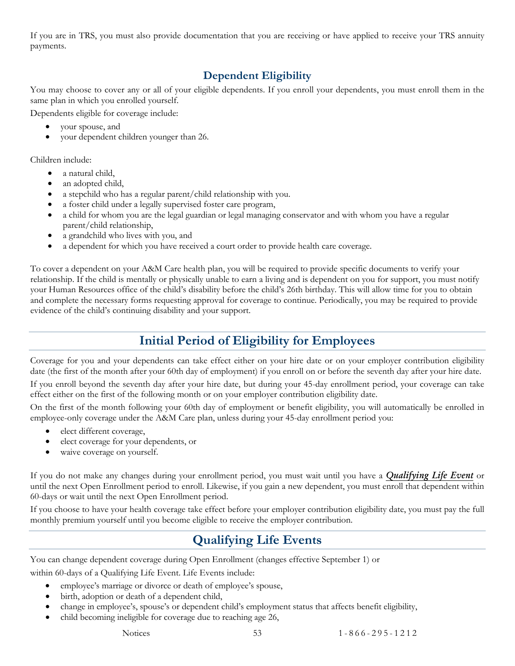If you are in TRS, you must also provide documentation that you are receiving or have applied to receive your TRS annuity payments.

#### **Dependent Eligibility**

<span id="page-55-0"></span>You may choose to cover any or all of your eligible dependents. If you enroll your dependents, you must enroll them in the same plan in which you enrolled yourself.

Dependents eligible for coverage include:

- your spouse, and
- your dependent children younger than 26.

Children include:

- a natural child.
- an adopted child,
- a stepchild who has a regular parent/child relationship with you.
- a foster child under a legally supervised foster care program,
- a child for whom you are the legal guardian or legal managing conservator and with whom you have a regular parent/child relationship,
- a grandchild who lives with you, and
- a dependent for which you have received a court order to provide health care coverage.

To cover a dependent on your A&M Care health plan, you will be required to provide specific documents to verify your relationship. If the child is mentally or physically unable to earn a living and is dependent on you for support, you must notify your Human Resources office of the child's disability before the child's 26th birthday. This will allow time for you to obtain and complete the necessary forms requesting approval for coverage to continue. Periodically, you may be required to provide evidence of the child's continuing disability and your support.

## **Initial Period of Eligibility for Employees**

<span id="page-55-1"></span>Coverage for you and your dependents can take effect either on your hire date or on your employer contribution eligibility date (the first of the month after your 60th day of employment) if you enroll on or before the seventh day after your hire date.

If you enroll beyond the seventh day after your hire date, but during your 45-day enrollment period, your coverage can take effect either on the first of the following month or on your employer contribution eligibility date.

On the first of the month following your 60th day of employment or benefit eligibility, you will automatically be enrolled in employee-only coverage under the A&M Care plan, unless during your 45-day enrollment period you:

- elect different coverage,
- elect coverage for your dependents, or
- waive coverage on yourself.

If you do not make any changes during your enrollment period, you must wait until you have a *[Qualifying Life Event](#page-55-2)* or until the next Open Enrollment period to enroll. Likewise, if you gain a new dependent, you must enroll that dependent within 60-days or wait until the next Open Enrollment period.

<span id="page-55-2"></span>If you choose to have your health coverage take effect before your employer contribution eligibility date, you must pay the full monthly premium yourself until you become eligible to receive the employer contribution.

## **Qualifying Life Events**

You can change dependent coverage during Open Enrollment (changes effective September 1) or within 60-days of a Qualifying Life Event. Life Events include:

- employee's marriage or divorce or death of employee's spouse,
- birth, adoption or death of a dependent child,
- change in employee's, spouse's or dependent child's employment status that affects benefit eligibility,
- child becoming ineligible for coverage due to reaching age 26,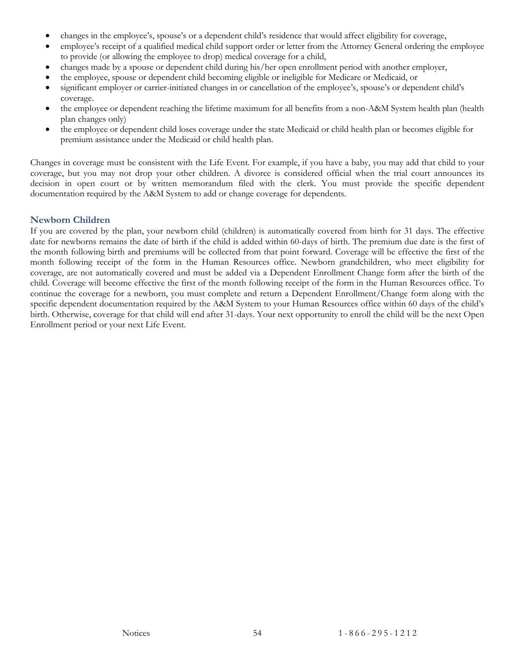- changes in the employee's, spouse's or a dependent child's residence that would affect eligibility for coverage,
- employee's receipt of a qualified medical child support order or letter from the Attorney General ordering the employee to provide (or allowing the employee to drop) medical coverage for a child,
- changes made by a spouse or dependent child during his/her open enrollment period with another employer,
- the employee, spouse or dependent child becoming eligible or ineligible for Medicare or Medicaid, or
- significant employer or carrier-initiated changes in or cancellation of the employee's, spouse's or dependent child's coverage.
- the employee or dependent reaching the lifetime maximum for all benefits from a non-A&M System health plan (health plan changes only)
- the employee or dependent child loses coverage under the state Medicaid or child health plan or becomes eligible for premium assistance under the Medicaid or child health plan.

Changes in coverage must be consistent with the Life Event. For example, if you have a baby, you may add that child to your coverage, but you may not drop your other children. A divorce is considered official when the trial court announces its decision in open court or by written memorandum filed with the clerk. You must provide the specific dependent documentation required by the A&M System to add or change coverage for dependents.

#### **Newborn Children**

If you are covered by the plan, your newborn child (children) is automatically covered from birth for 31 days. The effective date for newborns remains the date of birth if the child is added within 60-days of birth. The premium due date is the first of the month following birth and premiums will be collected from that point forward. Coverage will be effective the first of the month following receipt of the form in the Human Resources office. Newborn grandchildren, who meet eligibility for coverage, are not automatically covered and must be added via a Dependent Enrollment Change form after the birth of the child. Coverage will become effective the first of the month following receipt of the form in the Human Resources office. To continue the coverage for a newborn, you must complete and return a Dependent Enrollment/Change form along with the specific dependent documentation required by the A&M System to your Human Resources office within 60 days of the child's birth. Otherwise, coverage for that child will end after 31-days. Your next opportunity to enroll the child will be the next Open Enrollment period or your next Life Event.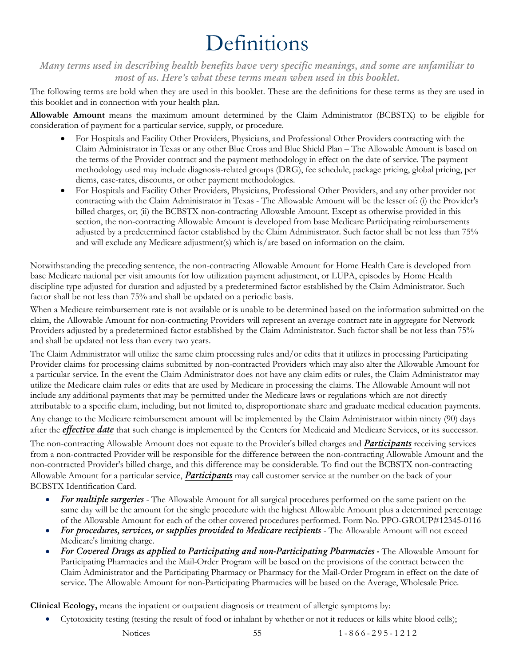# Definitions

<span id="page-57-0"></span>*Many terms used in describing health benefits have very specific meanings, and some are unfamiliar to most of us. Here's what these terms mean when used in this booklet.*

The following terms are bold when they are used in this booklet. These are the definitions for these terms as they are used in this booklet and in connection with your health plan.

<span id="page-57-1"></span>**Allowable Amount** means the maximum amount determined by the Claim Administrator (BCBSTX) to be eligible for consideration of payment for a particular service, supply, or procedure.

- For Hospitals and Facility Other Providers, Physicians, and Professional Other Providers contracting with the Claim Administrator in Texas or any other Blue Cross and Blue Shield Plan – The Allowable Amount is based on the terms of the Provider contract and the payment methodology in effect on the date of service. The payment methodology used may include diagnosis-related groups (DRG), fee schedule, package pricing, global pricing, per diems, case-rates, discounts, or other payment methodologies.
- For Hospitals and Facility Other Providers, Physicians, Professional Other Providers, and any other provider not contracting with the Claim Administrator in Texas - The Allowable Amount will be the lesser of: (i) the Provider's billed charges, or; (ii) the BCBSTX non-contracting Allowable Amount. Except as otherwise provided in this section, the non-contracting Allowable Amount is developed from base Medicare Participating reimbursements adjusted by a predetermined factor established by the Claim Administrator. Such factor shall be not less than 75% and will exclude any Medicare adjustment(s) which is/are based on information on the claim.

Notwithstanding the preceding sentence, the non-contracting Allowable Amount for Home Health Care is developed from base Medicare national per visit amounts for low utilization payment adjustment, or LUPA, episodes by Home Health discipline type adjusted for duration and adjusted by a predetermined factor established by the Claim Administrator. Such factor shall be not less than 75% and shall be updated on a periodic basis.

When a Medicare reimbursement rate is not available or is unable to be determined based on the information submitted on the claim, the Allowable Amount for non-contracting Providers will represent an average contract rate in aggregate for Network Providers adjusted by a predetermined factor established by the Claim Administrator. Such factor shall be not less than 75% and shall be updated not less than every two years.

The Claim Administrator will utilize the same claim processing rules and/or edits that it utilizes in processing Participating Provider claims for processing claims submitted by non-contracted Providers which may also alter the Allowable Amount for a particular service. In the event the Claim Administrator does not have any claim edits or rules, the Claim Administrator may utilize the Medicare claim rules or edits that are used by Medicare in processing the claims. The Allowable Amount will not include any additional payments that may be permitted under the Medicare laws or regulations which are not directly attributable to a specific claim, including, but not limited to, disproportionate share and graduate medical education payments. Any change to the Medicare reimbursement amount will be implemented by the Claim Administrator within ninety (90) days after the *[effective date](#page-58-0)* that such change is implemented by the Centers for Medicaid and Medicare Services, or its successor.

The non-contracting Allowable Amount does not equate to the Provider's billed charges and *[Participants](#page-59-0)* receiving services from a non-contracted Provider will be responsible for the difference between the non-contracting Allowable Amount and the non-contracted Provider's billed charge, and this difference may be considerable. To find out the BCBSTX non-contracting Allowable Amount for a particular service, *[Participants](#page-59-0)* may call customer service at the number on the back of your BCBSTX Identification Card.

- *For multiple surgeries*  The Allowable Amount for all surgical procedures performed on the same patient on the same day will be the amount for the single procedure with the highest Allowable Amount plus a determined percentage of the Allowable Amount for each of the other covered procedures performed. Form No. PPO-GROUP#12345-0116
- *For procedures, services, or supplies provided to Medicare recipients* The Allowable Amount will not exceed Medicare's limiting charge.
- *For Covered Drugs as applied to Participating and non-Participating Pharmacies -* The Allowable Amount for Participating Pharmacies and the Mail-Order Program will be based on the provisions of the contract between the Claim Administrator and the Participating Pharmacy or Pharmacy for the Mail-Order Program in effect on the date of service. The Allowable Amount for non-Participating Pharmacies will be based on the Average, Wholesale Price.

<span id="page-57-2"></span>**Clinical Ecology,** means the inpatient or outpatient diagnosis or treatment of allergic symptoms by:

- Cytotoxicity testing (testing the result of food or inhalant by whether or not it reduces or kills white blood cells);
	-

Notices 55 1 - 866 - 295 - 1212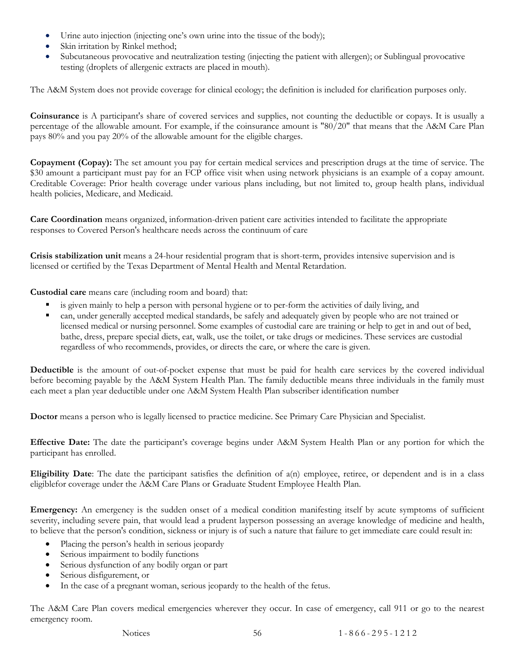- Urine auto injection (injecting one's own urine into the tissue of the body);
- Skin irritation by Rinkel method;
- Subcutaneous provocative and neutralization testing (injecting the patient with allergen); or Sublingual provocative testing (droplets of allergenic extracts are placed in mouth).

The A&M System does not provide coverage for clinical ecology; the definition is included for clarification purposes only.

<span id="page-58-2"></span>**Coinsurance** is A participant's share of covered services and supplies, not counting the deductible or copays. It is usually a percentage of the allowable amount. For example, if the coinsurance amount is "80/20" that means that the A&M Care Plan pays 80% and you pay 20% of the allowable amount for the eligible charges.

<span id="page-58-3"></span>**Copayment (Copay):** The set amount you pay for certain medical services and prescription drugs at the time of service. The \$30 amount a participant must pay for an FCP office visit when using network physicians is an example of a copay amount. Creditable Coverage: Prior health coverage under various plans including, but not limited to, group health plans, individual health policies, Medicare, and Medicaid.

**Care Coordination** means organized, information-driven patient care activities intended to facilitate the appropriate responses to Covered Person's healthcare needs across the continuum of care

<span id="page-58-7"></span>**Crisis stabilization unit** means a 24-hour residential program that is short-term, provides intensive supervision and is licensed or certified by the Texas Department of Mental Health and Mental Retardation.

<span id="page-58-6"></span>**Custodial care** means care (including room and board) that:

- is given mainly to help a person with personal hygiene or to per-form the activities of daily living, and
- can, under generally accepted medical standards, be safely and adequately given by people who are not trained or licensed medical or nursing personnel. Some examples of custodial care are training or help to get in and out of bed, bathe, dress, prepare special diets, eat, walk, use the toilet, or take drugs or medicines. These services are custodial regardless of who recommends, provides, or directs the care, or where the care is given.

<span id="page-58-1"></span>**Deductible** is the amount of out-of-pocket expense that must be paid for health care services by the covered individual before becoming payable by the A&M System Health Plan. The family deductible means three individuals in the family must each meet a plan year deductible under one A&M System Health Plan subscriber identification number

<span id="page-58-4"></span>**Doctor** means a person who is legally licensed to practice medicine. See Primary Care Physician and Specialist.

<span id="page-58-0"></span>**Effective Date:** The date the participant's coverage begins under A&M System Health Plan or any portion for which the participant has enrolled.

<span id="page-58-8"></span>**Eligibility Date**: The date the participant satisfies the definition of a(n) employee, retiree, or dependent and is in a class eligiblefor coverage under the A&M Care Plans or Graduate Student Employee Health Plan.

<span id="page-58-5"></span>**Emergency:** An emergency is the sudden onset of a medical condition manifesting itself by acute symptoms of sufficient severity, including severe pain, that would lead a prudent layperson possessing an average knowledge of medicine and health, to believe that the person's condition, sickness or injury is of such a nature that failure to get immediate care could result in:

- Placing the person's health in serious jeopardy
- Serious impairment to bodily functions
- Serious dysfunction of any bodily organ or part
- Serious disfigurement, or
- In the case of a pregnant woman, serious jeopardy to the health of the fetus.

The A&M Care Plan covers medical emergencies wherever they occur. In case of emergency, call 911 or go to the nearest emergency room.

Notices 56 1 - 866 - 295 - 1 2 1 2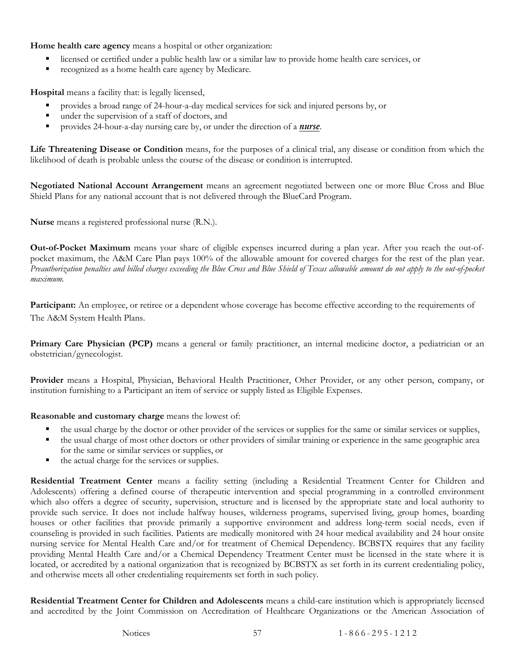<span id="page-59-7"></span>**Home health care agency** means a hospital or other organization:

- licensed or certified under a public health law or a similar law to provide home health care services, or
- recognized as a home health care agency by Medicare.

<span id="page-59-4"></span>**Hospital** means a facility that: is legally licensed,

- provides a broad range of 24-hour-a-day medical services for sick and injured persons by, or
- under the supervision of a staff of doctors, and
- provides 24-hour-a-day nursing care by, or under the direction of a *[nurse](#page-59-5)*.

**Life Threatening Disease or Condition** means, for the purposes of a clinical trial, any disease or condition from which the likelihood of death is probable unless the course of the disease or condition is interrupted.

<span id="page-59-9"></span>**Negotiated National Account Arrangement** means an agreement negotiated between one or more Blue Cross and Blue Shield Plans for any national account that is not delivered through the BlueCard Program.

<span id="page-59-5"></span>**Nurse** means a registered professional nurse (R.N.).

<span id="page-59-1"></span>**Out-of-Pocket Maximum** means your share of eligible expenses incurred during a plan year. After you reach the out-ofpocket maximum, the A&M Care Plan pays 100% of the allowable amount for covered charges for the rest of the plan year. *Preauthorization penalties and billed charges exceeding the Blue Cross and Blue Shield of Texas allowable amount do not apply to the out-of-pocket maximum.*

<span id="page-59-0"></span>**Participant:** An employee, or retiree or a dependent whose coverage has become effective according to the requirements of The A&M System Health Plans.

<span id="page-59-2"></span>**Primary Care Physician (PCP)** means a general or family practitioner, an internal medicine doctor, a pediatrician or an obstetrician/gynecologist.

<span id="page-59-3"></span>**Provider** means a Hospital, Physician, Behavioral Health Practitioner, Other Provider, or any other person, company, or institution furnishing to a Participant an item of service or supply listed as Eligible Expenses.

<span id="page-59-6"></span>**Reasonable and customary charge** means the lowest of:

- the usual charge by the doctor or other provider of the services or supplies for the same or similar services or supplies,
- the usual charge of most other doctors or other providers of similar training or experience in the same geographic area for the same or similar services or supplies, or
- the actual charge for the services or supplies.

<span id="page-59-8"></span>**Residential Treatment Center** means a facility setting (including a Residential Treatment Center for Children and Adolescents) offering a defined course of therapeutic intervention and special programming in a controlled environment which also offers a degree of security, supervision, structure and is licensed by the appropriate state and local authority to provide such service. It does not include halfway houses, wilderness programs, supervised living, group homes, boarding houses or other facilities that provide primarily a supportive environment and address long-term social needs, even if counseling is provided in such facilities. Patients are medically monitored with 24 hour medical availability and 24 hour onsite nursing service for Mental Health Care and/or for treatment of Chemical Dependency. BCBSTX requires that any facility providing Mental Health Care and/or a Chemical Dependency Treatment Center must be licensed in the state where it is located, or accredited by a national organization that is recognized by BCBSTX as set forth in its current credentialing policy, and otherwise meets all other credentialing requirements set forth in such policy.

**Residential Treatment Center for Children and Adolescents** means a child-care institution which is appropriately licensed and accredited by the Joint Commission on Accreditation of Healthcare Organizations or the American Association of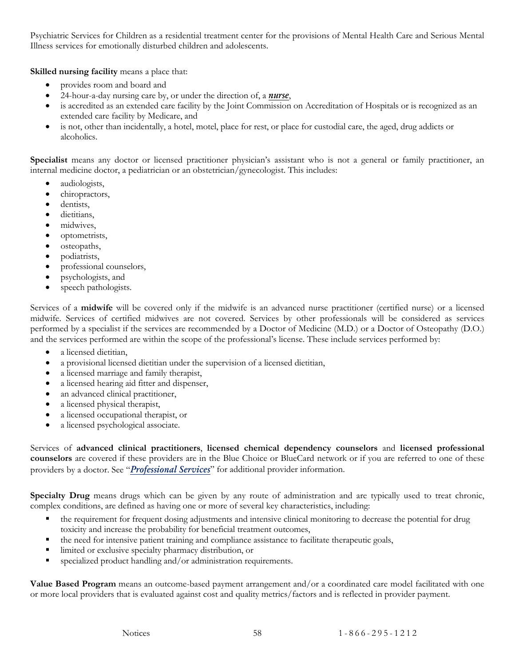Psychiatric Services for Children as a residential treatment center for the provisions of Mental Health Care and Serious Mental Illness services for emotionally disturbed children and adolescents.

<span id="page-60-1"></span>**Skilled nursing facility** means a place that:

- provides room and board and
- 24-hour-a-day nursing care by, or under the direction of, a *[nurse](#page-59-5)*,
- is accredited as an extended care facility by the Joint Commission on Accreditation of Hospitals or is recognized as an extended care facility by Medicare, and
- is not, other than incidentally, a hotel, motel, place for rest, or place for custodial care, the aged, drug addicts or alcoholics.

<span id="page-60-0"></span>**Specialist** means any doctor or licensed practitioner physician's assistant who is not a general or family practitioner, an internal medicine doctor, a pediatrician or an obstetrician/gynecologist. This includes:

- audiologists,
- chiropractors,
- dentists.
- dietitians.
- midwives,
- optometrists,
- osteopaths,
- podiatrists,
- professional counselors,
- psychologists, and
- speech pathologists.

Services of a **midwife** will be covered only if the midwife is an advanced nurse practitioner (certified nurse) or a licensed midwife. Services of certified midwives are not covered. Services by other professionals will be considered as services performed by a specialist if the services are recommended by a Doctor of Medicine (M.D.) or a Doctor of Osteopathy (D.O.) and the services performed are within the scope of the professional's license. These include services performed by:

- a licensed dietitian,
- a provisional licensed dietitian under the supervision of a licensed dietitian,
- a licensed marriage and family therapist,
- a licensed hearing aid fitter and dispenser,
- an advanced clinical practitioner,
- a licensed physical therapist,
- a licensed occupational therapist, or
- a licensed psychological associate.

Services of **advanced clinical practitioners**, **licensed chemical dependency counselors** and **licensed professional counselors** are covered if these providers are in the Blue Choice or BlueCard network or if you are referred to one of these providers by a doctor. See "*Professional Services*" for additional provider information.

<span id="page-60-2"></span>**Specialty Drug** means drugs which can be given by any route of administration and are typically used to treat chronic, complex conditions, are defined as having one or more of several key characteristics, including:

- the requirement for frequent dosing adjustments and intensive clinical monitoring to decrease the potential for drug toxicity and increase the probability for beneficial treatment outcomes,
- the need for intensive patient training and compliance assistance to facilitate therapeutic goals,
- limited or exclusive specialty pharmacy distribution, or
- specialized product handling and/or administration requirements.

**Value Based Program** means an outcome-based payment arrangement and/or a coordinated care model facilitated with one or more local providers that is evaluated against cost and quality metrics/factors and is reflected in provider payment.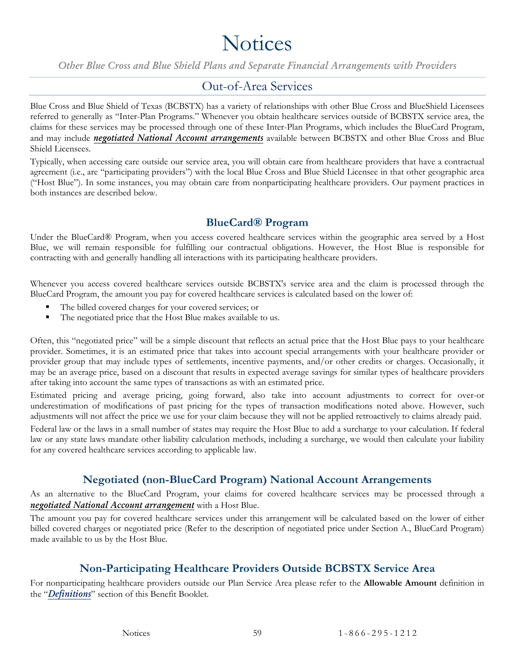# **Notices**

<span id="page-61-0"></span>*Other Blue Cross and Blue Shield Plans and Separate Financial Arrangements with Providers*

#### Out-of-Area Services

<span id="page-61-1"></span>Blue Cross and Blue Shield of Texas (BCBSTX) has a variety of relationships with other Blue Cross and BlueShield Licensees referred to generally as "Inter-Plan Programs." Whenever you obtain healthcare services outside of BCBSTX service area, the claims for these services may be processed through one of these Inter-Plan Programs, which includes the BlueCard Program, and may include *[negotiated National Account arrangements](#page-59-9)* available between BCBSTX and other Blue Cross and Blue Shield Licensees.

Typically, when accessing care outside our service area, you will obtain care from healthcare providers that have a contractual agreement (i.e., are "participating providers") with the local Blue Cross and Blue Shield Licensee in that other geographic area ("Host Blue"). In some instances, you may obtain care from nonparticipating healthcare providers. Our payment practices in both instances are described below.

#### **BlueCard® Program**

<span id="page-61-2"></span>Under the BlueCard® Program, when you access covered healthcare services within the geographic area served by a Host Blue, we will remain responsible for fulfilling our contractual obligations. However, the Host Blue is responsible for contracting with and generally handling all interactions with its participating healthcare providers.

Whenever you access covered healthcare services outside BCBSTX's service area and the claim is processed through the BlueCard Program, the amount you pay for covered healthcare services is calculated based on the lower of:

- The billed covered charges for your covered services; or
- The negotiated price that the Host Blue makes available to us.

Often, this "negotiated price" will be a simple discount that reflects an actual price that the Host Blue pays to your healthcare provider. Sometimes, it is an estimated price that takes into account special arrangements with your healthcare provider or provider group that may include types of settlements, incentive payments, and/or other credits or charges. Occasionally, it may be an average price, based on a discount that results in expected average savings for similar types of healthcare providers after taking into account the same types of transactions as with an estimated price.

Estimated pricing and average pricing, going forward, also take into account adjustments to correct for over-or underestimation of modifications of past pricing for the types of transaction modifications noted above. However, such adjustments will not affect the price we use for your claim because they will not be applied retroactively to claims already paid.

Federal law or the laws in a small number of states may require the Host Blue to add a surcharge to your calculation. If federal law or any state laws mandate other liability calculation methods, including a surcharge, we would then calculate your liability for any covered healthcare services according to applicable law.

#### **Negotiated (non-BlueCard Program) National Account Arrangements**

<span id="page-61-3"></span>As an alternative to the BlueCard Program, your claims for covered healthcare services may be processed through a *[negotiated National Account arrangement](#page-59-9)* with a Host Blue.

The amount you pay for covered healthcare services under this arrangement will be calculated based on the lower of either billed covered charges or negotiated price (Refer to the description of negotiated price under Section A., BlueCard Program) made available to us by the Host Blue.

#### **Non-Participating Healthcare Providers Outside BCBSTX Service Area**

<span id="page-61-4"></span>For nonparticipating healthcare providers outside our Plan Service Area please refer to the **Allowable Amount** definition in the "*Definitions*" section of this Benefit Booklet.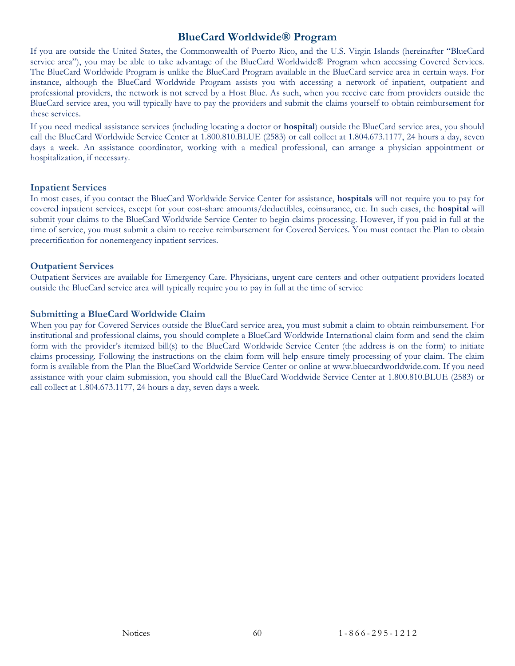#### **BlueCard Worldwide® Program**

<span id="page-62-0"></span>If you are outside the United States, the Commonwealth of Puerto Rico, and the U.S. Virgin Islands (hereinafter "BlueCard service area"), you may be able to take advantage of the BlueCard Worldwide® Program when accessing Covered Services. The BlueCard Worldwide Program is unlike the BlueCard Program available in the BlueCard service area in certain ways. For instance, although the BlueCard Worldwide Program assists you with accessing a network of inpatient, outpatient and professional providers, the network is not served by a Host Blue. As such, when you receive care from providers outside the BlueCard service area, you will typically have to pay the providers and submit the claims yourself to obtain reimbursement for these services.

If you need medical assistance services (including locating a doctor or **hospital**) outside the BlueCard service area, you should call the BlueCard Worldwide Service Center at 1.800.810.BLUE (2583) or call collect at 1.804.673.1177, 24 hours a day, seven days a week. An assistance coordinator, working with a medical professional, can arrange a physician appointment or hospitalization, if necessary.

#### **Inpatient Services**

In most cases, if you contact the BlueCard Worldwide Service Center for assistance, **hospitals** will not require you to pay for covered inpatient services, except for your cost-share amounts/deductibles, coinsurance, etc. In such cases, the **hospital** will submit your claims to the BlueCard Worldwide Service Center to begin claims processing. However, if you paid in full at the time of service, you must submit a claim to receive reimbursement for Covered Services. You must contact the Plan to obtain precertification for nonemergency inpatient services.

#### **Outpatient Services**

Outpatient Services are available for Emergency Care. Physicians, urgent care centers and other outpatient providers located outside the BlueCard service area will typically require you to pay in full at the time of service

#### **Submitting a BlueCard Worldwide Claim**

When you pay for Covered Services outside the BlueCard service area, you must submit a claim to obtain reimbursement. For institutional and professional claims, you should complete a BlueCard Worldwide International claim form and send the claim form with the provider's itemized bill(s) to the BlueCard Worldwide Service Center (the address is on the form) to initiate claims processing. Following the instructions on the claim form will help ensure timely processing of your claim. The claim form is available from the Plan the BlueCard Worldwide Service Center or online at www.bluecardworldwide.com. If you need assistance with your claim submission, you should call the BlueCard Worldwide Service Center at 1.800.810.BLUE (2583) or call collect at 1.804.673.1177, 24 hours a day, seven days a week.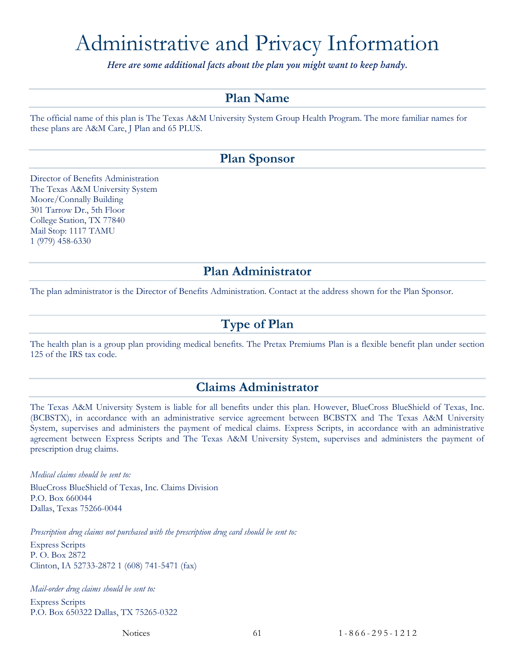# <span id="page-63-0"></span>Administrative and Privacy Information

*Here are some additional facts about the plan you might want to keep handy.*

#### **Plan Name**

<span id="page-63-1"></span>The official name of this plan is The Texas A&M University System Group Health Program. The more familiar names for these plans are A&M Care, J Plan and 65 PLUS.

#### **Plan Sponsor**

<span id="page-63-2"></span>Director of Benefits Administration The Texas A&M University System Moore/Connally Building 301 Tarrow Dr., 5th Floor College Station, TX 77840 Mail Stop: 1117 TAMU 1 (979) 458-6330

#### **Plan Administrator**

<span id="page-63-4"></span><span id="page-63-3"></span>The plan administrator is the Director of Benefits Administration. Contact at the address shown for the Plan Sponsor.

#### **Type of Plan**

The health plan is a group plan providing medical benefits. The Pretax Premiums Plan is a flexible benefit plan under section 125 of the IRS tax code.

#### **Claims Administrator**

<span id="page-63-5"></span>The Texas A&M University System is liable for all benefits under this plan. However, BlueCross BlueShield of Texas, Inc. (BCBSTX), in accordance with an administrative service agreement between BCBSTX and The Texas A&M University System, supervises and administers the payment of medical claims. Express Scripts, in accordance with an administrative agreement between Express Scripts and The Texas A&M University System, supervises and administers the payment of prescription drug claims.

*Medical claims should be sent to:*

BlueCross BlueShield of Texas, Inc. Claims Division P.O. Box 660044 Dallas, Texas 75266-0044

*Prescription drug claims not purchased with the prescription drug card should be sent to:*

Express Scripts P. O. Box 2872 Clinton, IA 52733-2872 1 (608) 741-5471 (fax)

*Mail-order drug claims should be sent to:* Express Scripts P.O. Box 650322 Dallas, TX 75265-0322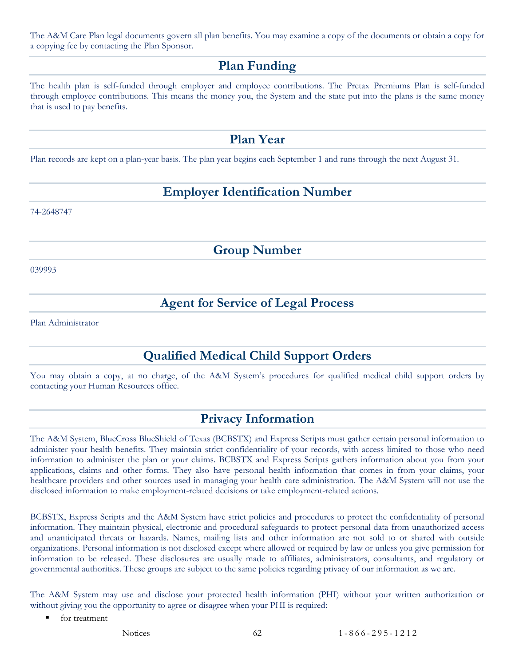<span id="page-64-0"></span>The A&M Care Plan legal documents govern all plan benefits. You may examine a copy of the documents or obtain a copy for a copying fee by contacting the Plan Sponsor.

#### **Plan Funding**

The health plan is self-funded through employer and employee contributions. The Pretax Premiums Plan is self-funded through employee contributions. This means the money you, the System and the state put into the plans is the same money that is used to pay benefits.

#### **Plan Year**

<span id="page-64-2"></span><span id="page-64-1"></span>Plan records are kept on a plan-year basis. The plan year begins each September 1 and runs through the next August 31.

## **Employer Identification Number**

74-2648747

**Group Number**

<span id="page-64-4"></span><span id="page-64-3"></span>039993

## **Agent for Service of Legal Process**

<span id="page-64-5"></span>Plan Administrator

## **Qualified Medical Child Support Orders**

You may obtain a copy, at no charge, of the A&M System's procedures for qualified medical child support orders by contacting your Human Resources office.

#### **Privacy Information**

<span id="page-64-6"></span>The A&M System, BlueCross BlueShield of Texas (BCBSTX) and Express Scripts must gather certain personal information to administer your health benefits. They maintain strict confidentiality of your records, with access limited to those who need information to administer the plan or your claims. BCBSTX and Express Scripts gathers information about you from your applications, claims and other forms. They also have personal health information that comes in from your claims, your healthcare providers and other sources used in managing your health care administration. The A&M System will not use the disclosed information to make employment-related decisions or take employment-related actions.

BCBSTX, Express Scripts and the A&M System have strict policies and procedures to protect the confidentiality of personal information. They maintain physical, electronic and procedural safeguards to protect personal data from unauthorized access and unanticipated threats or hazards. Names, mailing lists and other information are not sold to or shared with outside organizations. Personal information is not disclosed except where allowed or required by law or unless you give permission for information to be released. These disclosures are usually made to affiliates, administrators, consultants, and regulatory or governmental authorities. These groups are subject to the same policies regarding privacy of our information as we are.

The A&M System may use and disclose your protected health information (PHI) without your written authorization or without giving you the opportunity to agree or disagree when your PHI is required:

- **for treatment**
-